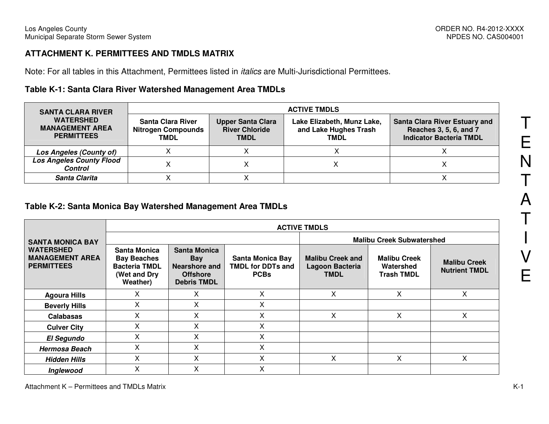#### **ATTACHMENT K. PERMITTEES AND TMDLS MATRIX**

Note: For all tables in this Attachment, Permittees listed in italics are Multi-Jurisdictional Permittees.

# **Table K-1: Santa Clara River Watershed Management Area TMDLs**

| <b>SANTA CLARA RIVER</b><br><b>WATERSHED</b><br><b>MANAGEMENT AREA</b><br><b>PERMITTEES</b> | <b>ACTIVE TMDLS</b>                                                  |                                                                  |                                                                    |                                                                                                  |  |  |  |  |
|---------------------------------------------------------------------------------------------|----------------------------------------------------------------------|------------------------------------------------------------------|--------------------------------------------------------------------|--------------------------------------------------------------------------------------------------|--|--|--|--|
|                                                                                             | <b>Santa Clara River</b><br><b>Nitrogen Compounds</b><br><b>TMDL</b> | <b>Upper Santa Clara</b><br><b>River Chloride</b><br><b>TMDL</b> | Lake Elizabeth, Munz Lake,<br>and Lake Hughes Trash<br><b>TMDL</b> | <b>Santa Clara River Estuary and</b><br>Reaches 3, 5, 6, and 7<br><b>Indicator Bacteria TMDL</b> |  |  |  |  |
| Los Angeles (County of)                                                                     |                                                                      |                                                                  |                                                                    |                                                                                                  |  |  |  |  |
| <b>Los Angeles County Flood</b><br><b>Control</b>                                           |                                                                      |                                                                  |                                                                    |                                                                                                  |  |  |  |  |
| Santa Clarita                                                                               |                                                                      |                                                                  |                                                                    |                                                                                                  |  |  |  |  |

#### **Table K-2: Santa Monica Bay Watershed Management Area TMDLs**

|                                                                 | <b>ACTIVE TMDLS</b>                                                                    |                                                                                                    |                                                                    |                                                           |                                                       |                                             |  |  |  |  |
|-----------------------------------------------------------------|----------------------------------------------------------------------------------------|----------------------------------------------------------------------------------------------------|--------------------------------------------------------------------|-----------------------------------------------------------|-------------------------------------------------------|---------------------------------------------|--|--|--|--|
| <b>SANTA MONICA BAY</b>                                         |                                                                                        |                                                                                                    |                                                                    | <b>Malibu Creek Subwatershed</b>                          |                                                       |                                             |  |  |  |  |
| <b>WATERSHED</b><br><b>MANAGEMENT AREA</b><br><b>PERMITTEES</b> | Santa Monica<br><b>Bay Beaches</b><br><b>Bacteria TMDL</b><br>(Wet and Dry<br>Weather) | <b>Santa Monica</b><br><b>Bay</b><br><b>Nearshore and</b><br><b>Offshore</b><br><b>Debris TMDL</b> | <b>Santa Monica Bay</b><br><b>TMDL for DDTs and</b><br><b>PCBs</b> | <b>Malibu Creek and</b><br>Lagoon Bacteria<br><b>TMDL</b> | <b>Malibu Creek</b><br>Watershed<br><b>Trash TMDL</b> | <b>Malibu Creek</b><br><b>Nutrient TMDL</b> |  |  |  |  |
| <b>Agoura Hills</b>                                             | X                                                                                      | X                                                                                                  | X                                                                  | X                                                         | X                                                     | X                                           |  |  |  |  |
| <b>Beverly Hills</b>                                            | $\mathsf{X}$                                                                           | X                                                                                                  | X                                                                  |                                                           |                                                       |                                             |  |  |  |  |
| <b>Calabasas</b>                                                | X.                                                                                     | X                                                                                                  | X                                                                  | X                                                         | Χ                                                     | X                                           |  |  |  |  |
| <b>Culver City</b>                                              | X.                                                                                     | X                                                                                                  | X                                                                  |                                                           |                                                       |                                             |  |  |  |  |
| <b>El Segundo</b>                                               | X.                                                                                     | X                                                                                                  | X                                                                  |                                                           |                                                       |                                             |  |  |  |  |
| <b>Hermosa Beach</b>                                            | X.                                                                                     | X                                                                                                  | X                                                                  |                                                           |                                                       |                                             |  |  |  |  |
| <b>Hidden Hills</b>                                             | X                                                                                      | X                                                                                                  | Χ                                                                  | X                                                         | Χ                                                     | х                                           |  |  |  |  |
| Inglewood                                                       | Χ                                                                                      | Χ                                                                                                  | Χ                                                                  |                                                           |                                                       |                                             |  |  |  |  |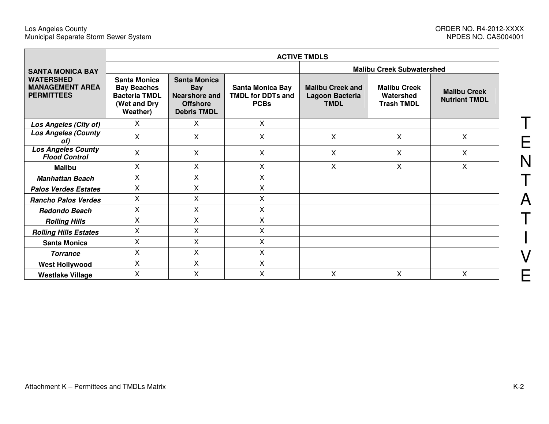|                                                                 | <b>ACTIVE TMDLS</b>                                                                           |                                                                                                    |                                                                    |                                                           |                                                       |                                             |  |  |  |  |
|-----------------------------------------------------------------|-----------------------------------------------------------------------------------------------|----------------------------------------------------------------------------------------------------|--------------------------------------------------------------------|-----------------------------------------------------------|-------------------------------------------------------|---------------------------------------------|--|--|--|--|
| <b>SANTA MONICA BAY</b>                                         |                                                                                               |                                                                                                    |                                                                    | <b>Malibu Creek Subwatershed</b>                          |                                                       |                                             |  |  |  |  |
| <b>WATERSHED</b><br><b>MANAGEMENT AREA</b><br><b>PERMITTEES</b> | <b>Santa Monica</b><br><b>Bay Beaches</b><br><b>Bacteria TMDL</b><br>(Wet and Dry<br>Weather) | <b>Santa Monica</b><br><b>Bay</b><br><b>Nearshore and</b><br><b>Offshore</b><br><b>Debris TMDL</b> | <b>Santa Monica Bay</b><br><b>TMDL for DDTs and</b><br><b>PCBs</b> | <b>Malibu Creek and</b><br>Lagoon Bacteria<br><b>TMDL</b> | <b>Malibu Creek</b><br>Watershed<br><b>Trash TMDL</b> | <b>Malibu Creek</b><br><b>Nutrient TMDL</b> |  |  |  |  |
| Los Angeles (City of)                                           | X                                                                                             | X                                                                                                  | X                                                                  |                                                           |                                                       |                                             |  |  |  |  |
| <b>Los Angeles (County</b><br>of)                               | X                                                                                             | X                                                                                                  | X                                                                  | X                                                         | X                                                     | $\boldsymbol{\mathsf{X}}$                   |  |  |  |  |
| <b>Los Angeles County</b><br><b>Flood Control</b>               | X                                                                                             | X                                                                                                  | X                                                                  | X                                                         | X                                                     | X                                           |  |  |  |  |
| <b>Malibu</b>                                                   | $\sf X$                                                                                       | X                                                                                                  | X                                                                  | X                                                         | X                                                     | X                                           |  |  |  |  |
| <b>Manhattan Beach</b>                                          | Χ                                                                                             | X                                                                                                  | X                                                                  |                                                           |                                                       |                                             |  |  |  |  |
| <b>Palos Verdes Estates</b>                                     | X                                                                                             | X                                                                                                  | X                                                                  |                                                           |                                                       |                                             |  |  |  |  |
| <b>Rancho Palos Verdes</b>                                      | X                                                                                             | X                                                                                                  | X                                                                  |                                                           |                                                       |                                             |  |  |  |  |
| <b>Redondo Beach</b>                                            | X                                                                                             | X                                                                                                  | X                                                                  |                                                           |                                                       |                                             |  |  |  |  |
| <b>Rolling Hills</b>                                            | X                                                                                             | X                                                                                                  | X                                                                  |                                                           |                                                       |                                             |  |  |  |  |
| <b>Rolling Hills Estates</b>                                    | X                                                                                             | X                                                                                                  | X                                                                  |                                                           |                                                       |                                             |  |  |  |  |
| <b>Santa Monica</b>                                             | X                                                                                             | X                                                                                                  | X                                                                  |                                                           |                                                       |                                             |  |  |  |  |
| <b>Torrance</b>                                                 | X                                                                                             | X                                                                                                  | X                                                                  |                                                           |                                                       |                                             |  |  |  |  |
| <b>West Hollywood</b>                                           | X                                                                                             | X                                                                                                  | X                                                                  |                                                           |                                                       |                                             |  |  |  |  |
| <b>Westlake Village</b>                                         | X                                                                                             | X                                                                                                  | X                                                                  | X                                                         | X                                                     | X                                           |  |  |  |  |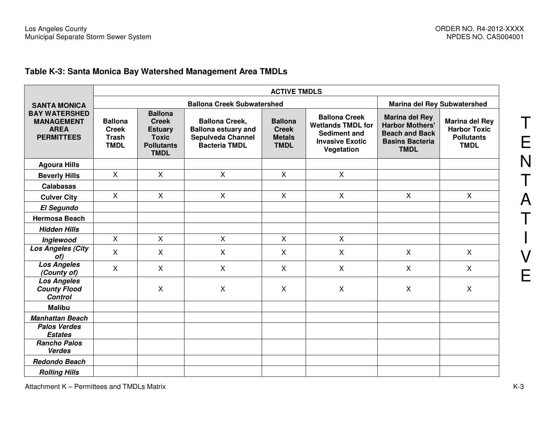# **Table K-3: Santa Monica Bay Watershed Management Area TMDLs**

|                                                                               | <b>ACTIVE TMDLS</b>                                           |                                                                                                      |                                                                                                         |                                                                |                                                                                                          |                                                                                                                   |                                                                                  |  |  |
|-------------------------------------------------------------------------------|---------------------------------------------------------------|------------------------------------------------------------------------------------------------------|---------------------------------------------------------------------------------------------------------|----------------------------------------------------------------|----------------------------------------------------------------------------------------------------------|-------------------------------------------------------------------------------------------------------------------|----------------------------------------------------------------------------------|--|--|
| <b>SANTA MONICA</b>                                                           |                                                               |                                                                                                      |                                                                                                         | <b>Marina del Rey Subwatershed</b>                             |                                                                                                          |                                                                                                                   |                                                                                  |  |  |
| <b>BAY WATERSHED</b><br><b>MANAGEMENT</b><br><b>AREA</b><br><b>PERMITTEES</b> | <b>Ballona</b><br><b>Creek</b><br><b>Trash</b><br><b>TMDL</b> | <b>Ballona</b><br><b>Creek</b><br><b>Estuary</b><br><b>Toxic</b><br><b>Pollutants</b><br><b>TMDL</b> | <b>Ballona Creek,</b><br><b>Ballona estuary and</b><br><b>Sepulveda Channel</b><br><b>Bacteria TMDL</b> | <b>Ballona</b><br><b>Creek</b><br><b>Metals</b><br><b>TMDL</b> | <b>Ballona Creek</b><br><b>Wetlands TMDL for</b><br>Sediment and<br><b>Invasive Exotic</b><br>Vegetation | <b>Marina del Rey</b><br><b>Harbor Mothers'</b><br><b>Beach and Back</b><br><b>Basins Bacteria</b><br><b>TMDL</b> | <b>Marina del Rey</b><br><b>Harbor Toxic</b><br><b>Pollutants</b><br><b>TMDL</b> |  |  |
| <b>Agoura Hills</b>                                                           |                                                               |                                                                                                      |                                                                                                         |                                                                |                                                                                                          |                                                                                                                   |                                                                                  |  |  |
| <b>Beverly Hills</b>                                                          | $\mathsf{X}$                                                  | $\mathsf{X}$                                                                                         | $\mathsf{X}$                                                                                            | $\mathsf{X}$                                                   | $\mathsf{X}$                                                                                             |                                                                                                                   |                                                                                  |  |  |
| <b>Calabasas</b>                                                              |                                                               |                                                                                                      |                                                                                                         |                                                                |                                                                                                          |                                                                                                                   |                                                                                  |  |  |
| <b>Culver City</b>                                                            | $\mathsf{X}$                                                  | $\mathsf{X}$                                                                                         | $\mathsf{X}$                                                                                            | X                                                              | $\mathsf{X}$                                                                                             | $\mathsf{X}$                                                                                                      | $\mathsf{X}$                                                                     |  |  |
| <b>El Segundo</b>                                                             |                                                               |                                                                                                      |                                                                                                         |                                                                |                                                                                                          |                                                                                                                   |                                                                                  |  |  |
| <b>Hermosa Beach</b>                                                          |                                                               |                                                                                                      |                                                                                                         |                                                                |                                                                                                          |                                                                                                                   |                                                                                  |  |  |
| <b>Hidden Hills</b>                                                           |                                                               |                                                                                                      |                                                                                                         |                                                                |                                                                                                          |                                                                                                                   |                                                                                  |  |  |
| Inglewood                                                                     | X                                                             | $\mathsf{X}$                                                                                         | X                                                                                                       | X                                                              | $\mathsf{X}$                                                                                             |                                                                                                                   |                                                                                  |  |  |
| <b>Los Angeles (City</b><br>of)                                               | $\sf X$                                                       | X                                                                                                    | $\mathsf{X}$                                                                                            | X                                                              | $\sf X$                                                                                                  | X                                                                                                                 | X                                                                                |  |  |
| <b>Los Angeles</b><br>(County of)                                             | $\sf X$                                                       | $\sf X$                                                                                              | $\mathsf{X}$                                                                                            | $\mathsf{X}$                                                   | $\mathsf{X}$                                                                                             | $\mathsf{X}$                                                                                                      | $\mathsf{X}$                                                                     |  |  |
| <b>Los Angeles</b><br><b>County Flood</b><br><b>Control</b>                   |                                                               | X                                                                                                    | X                                                                                                       | X                                                              | $\boldsymbol{\mathsf{X}}$                                                                                | $\pmb{\times}$                                                                                                    | X                                                                                |  |  |
| <b>Malibu</b>                                                                 |                                                               |                                                                                                      |                                                                                                         |                                                                |                                                                                                          |                                                                                                                   |                                                                                  |  |  |
| <b>Manhattan Beach</b>                                                        |                                                               |                                                                                                      |                                                                                                         |                                                                |                                                                                                          |                                                                                                                   |                                                                                  |  |  |
| <b>Palos Verdes</b><br><b>Estates</b>                                         |                                                               |                                                                                                      |                                                                                                         |                                                                |                                                                                                          |                                                                                                                   |                                                                                  |  |  |
| <b>Rancho Palos</b><br><b>Verdes</b>                                          |                                                               |                                                                                                      |                                                                                                         |                                                                |                                                                                                          |                                                                                                                   |                                                                                  |  |  |
| <b>Redondo Beach</b>                                                          |                                                               |                                                                                                      |                                                                                                         |                                                                |                                                                                                          |                                                                                                                   |                                                                                  |  |  |
| <b>Rolling Hills</b>                                                          |                                                               |                                                                                                      |                                                                                                         |                                                                |                                                                                                          |                                                                                                                   |                                                                                  |  |  |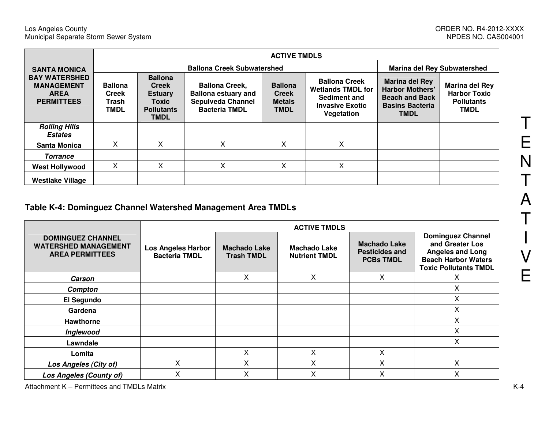|                                                                                                      | <b>ACTIVE TMDLS</b>                                    |                                                                                               |                                                                                                         |                                                                |                                                                                                          |                                                                                                                   |                                                                           |  |  |
|------------------------------------------------------------------------------------------------------|--------------------------------------------------------|-----------------------------------------------------------------------------------------------|---------------------------------------------------------------------------------------------------------|----------------------------------------------------------------|----------------------------------------------------------------------------------------------------------|-------------------------------------------------------------------------------------------------------------------|---------------------------------------------------------------------------|--|--|
| <b>SANTA MONICA</b><br><b>BAY WATERSHED</b><br><b>MANAGEMENT</b><br><b>AREA</b><br><b>PERMITTEES</b> |                                                        |                                                                                               | <b>Marina del Rey Subwatershed</b>                                                                      |                                                                |                                                                                                          |                                                                                                                   |                                                                           |  |  |
|                                                                                                      | <b>Ballona</b><br><b>Creek</b><br>Trash<br><b>TMDL</b> | <b>Ballona</b><br><b>Creek</b><br><b>Estuary</b><br>Toxic<br><b>Pollutants</b><br><b>TMDL</b> | <b>Ballona Creek,</b><br><b>Ballona estuary and</b><br><b>Sepulveda Channel</b><br><b>Bacteria TMDL</b> | <b>Ballona</b><br><b>Creek</b><br><b>Metals</b><br><b>TMDL</b> | <b>Ballona Creek</b><br><b>Wetlands TMDL for</b><br>Sediment and<br><b>Invasive Exotic</b><br>Vegetation | <b>Marina del Rey</b><br><b>Harbor Mothers'</b><br><b>Beach and Back</b><br><b>Basins Bacteria</b><br><b>TMDL</b> | Marina del Rey<br><b>Harbor Toxic</b><br><b>Pollutants</b><br><b>TMDL</b> |  |  |
| <b>Rolling Hills</b><br><b>Estates</b>                                                               |                                                        |                                                                                               |                                                                                                         |                                                                |                                                                                                          |                                                                                                                   |                                                                           |  |  |
| <b>Santa Monica</b>                                                                                  | х                                                      | Χ                                                                                             | X                                                                                                       | X                                                              | X                                                                                                        |                                                                                                                   |                                                                           |  |  |
| <b>Torrance</b>                                                                                      |                                                        |                                                                                               |                                                                                                         |                                                                |                                                                                                          |                                                                                                                   |                                                                           |  |  |
| <b>West Hollywood</b>                                                                                | х                                                      | Χ                                                                                             | Χ                                                                                                       | X                                                              | X                                                                                                        |                                                                                                                   |                                                                           |  |  |
| <b>Westlake Village</b>                                                                              |                                                        |                                                                                               |                                                                                                         |                                                                |                                                                                                          |                                                                                                                   |                                                                           |  |  |

#### **Table K-4: Dominguez Channel Watershed Management Area TMDLs**

|                                                                                   | <b>ACTIVE TMDLS</b>                               |                                          |                                             |                                                                  |                                                                                                                                      |  |  |  |
|-----------------------------------------------------------------------------------|---------------------------------------------------|------------------------------------------|---------------------------------------------|------------------------------------------------------------------|--------------------------------------------------------------------------------------------------------------------------------------|--|--|--|
| <b>DOMINGUEZ CHANNEL</b><br><b>WATERSHED MANAGEMENT</b><br><b>AREA PERMITTEES</b> | <b>Los Angeles Harbor</b><br><b>Bacteria TMDL</b> | <b>Machado Lake</b><br><b>Trash TMDL</b> | <b>Machado Lake</b><br><b>Nutrient TMDL</b> | <b>Machado Lake</b><br><b>Pesticides and</b><br><b>PCBs TMDL</b> | <b>Dominguez Channel</b><br>and Greater Los<br><b>Angeles and Long</b><br><b>Beach Harbor Waters</b><br><b>Toxic Pollutants TMDL</b> |  |  |  |
| Carson                                                                            |                                                   | X                                        | X                                           | X                                                                | х                                                                                                                                    |  |  |  |
| Compton                                                                           |                                                   |                                          |                                             |                                                                  | X                                                                                                                                    |  |  |  |
| El Segundo                                                                        |                                                   |                                          |                                             |                                                                  | Χ                                                                                                                                    |  |  |  |
| Gardena                                                                           |                                                   |                                          |                                             |                                                                  | Χ                                                                                                                                    |  |  |  |
| <b>Hawthorne</b>                                                                  |                                                   |                                          |                                             |                                                                  | Χ                                                                                                                                    |  |  |  |
| Inglewood                                                                         |                                                   |                                          |                                             |                                                                  | X                                                                                                                                    |  |  |  |
| Lawndale                                                                          |                                                   |                                          |                                             |                                                                  | X                                                                                                                                    |  |  |  |
| Lomita                                                                            |                                                   | Χ                                        | X                                           | X                                                                |                                                                                                                                      |  |  |  |
| Los Angeles (City of)                                                             | X                                                 | X                                        | X                                           | X                                                                | Χ                                                                                                                                    |  |  |  |
| <b>Los Angeles (County of)</b>                                                    | Χ                                                 | X                                        | X                                           | X                                                                | Χ                                                                                                                                    |  |  |  |

T E N T ATI VE

Attachment K – Permittees and TMDLs Matrix K-4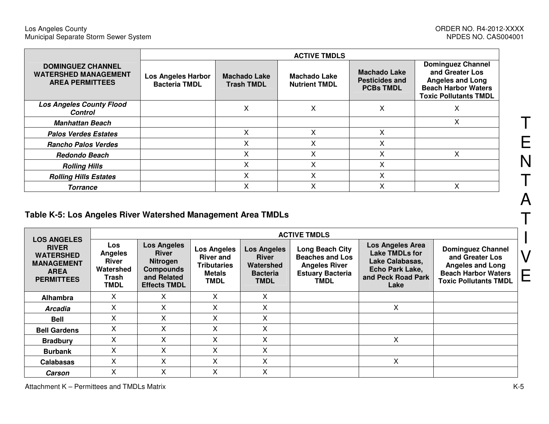|                                                                                   | <b>ACTIVE TMDLS</b>                               |                                          |                                      |                                                                  |                                                                                                                                      |  |  |  |
|-----------------------------------------------------------------------------------|---------------------------------------------------|------------------------------------------|--------------------------------------|------------------------------------------------------------------|--------------------------------------------------------------------------------------------------------------------------------------|--|--|--|
| <b>DOMINGUEZ CHANNEL</b><br><b>WATERSHED MANAGEMENT</b><br><b>AREA PERMITTEES</b> | <b>Los Angeles Harbor</b><br><b>Bacteria TMDL</b> | <b>Machado Lake</b><br><b>Trash TMDL</b> | Machado Lake<br><b>Nutrient TMDL</b> | <b>Machado Lake</b><br><b>Pesticides and</b><br><b>PCBs TMDL</b> | <b>Dominguez Channel</b><br>and Greater Los<br><b>Angeles and Long</b><br><b>Beach Harbor Waters</b><br><b>Toxic Pollutants TMDL</b> |  |  |  |
| <b>Los Angeles County Flood</b><br><b>Control</b>                                 |                                                   | ᄉ                                        | х                                    | Χ                                                                | ∧                                                                                                                                    |  |  |  |
| <b>Manhattan Beach</b>                                                            |                                                   |                                          |                                      |                                                                  | X                                                                                                                                    |  |  |  |
| <b>Palos Verdes Estates</b>                                                       |                                                   | X                                        | X                                    | X                                                                |                                                                                                                                      |  |  |  |
| <b>Rancho Palos Verdes</b>                                                        |                                                   |                                          | Χ                                    | x                                                                |                                                                                                                                      |  |  |  |
| Redondo Beach                                                                     |                                                   |                                          | Χ                                    | x                                                                | Χ                                                                                                                                    |  |  |  |
| <b>Rolling Hills</b>                                                              |                                                   | x                                        | x                                    | X                                                                |                                                                                                                                      |  |  |  |
| <b>Rolling Hills Estates</b>                                                      |                                                   | ⋏                                        | Χ                                    | Χ                                                                |                                                                                                                                      |  |  |  |
| <b>Torrance</b>                                                                   |                                                   |                                          | $\checkmark$<br>́                    | Χ                                                                | ⋏                                                                                                                                    |  |  |  |

# **Table K-5: Los Angeles River Watershed Management Area TMDLs**

|                                                                                                                 |                                                                                   | <b>ACTIVE TMDLS</b>                                                                                             |                                                                                              |                                                                                   |                                                                                                             |                                                                                                                      |                                                                                                                                      |   |  |  |  |
|-----------------------------------------------------------------------------------------------------------------|-----------------------------------------------------------------------------------|-----------------------------------------------------------------------------------------------------------------|----------------------------------------------------------------------------------------------|-----------------------------------------------------------------------------------|-------------------------------------------------------------------------------------------------------------|----------------------------------------------------------------------------------------------------------------------|--------------------------------------------------------------------------------------------------------------------------------------|---|--|--|--|
| <b>LOS ANGELES</b><br><b>RIVER</b><br><b>WATERSHED</b><br><b>MANAGEMENT</b><br><b>AREA</b><br><b>PERMITTEES</b> | <b>Los</b><br><b>Angeles</b><br><b>River</b><br>Watershed<br>Trash<br><b>TMDL</b> | <b>Los Angeles</b><br><b>River</b><br><b>Nitrogen</b><br><b>Compounds</b><br>and Related<br><b>Effects TMDL</b> | <b>Los Angeles</b><br><b>River and</b><br><b>Tributaries</b><br><b>Metals</b><br><b>TMDL</b> | <b>Los Angeles</b><br><b>River</b><br>Watershed<br><b>Bacteria</b><br><b>TMDL</b> | Long Beach City<br><b>Beaches and Los</b><br><b>Angeles River</b><br><b>Estuary Bacteria</b><br><b>TMDL</b> | <b>Los Angeles Area</b><br><b>Lake TMDLs for</b><br>Lake Calabasas,<br>Echo Park Lake,<br>and Peck Road Park<br>Lake | <b>Dominguez Channel</b><br>and Greater Los<br><b>Angeles and Long</b><br><b>Beach Harbor Waters</b><br><b>Toxic Pollutants TMDL</b> | V |  |  |  |
| Alhambra                                                                                                        | X.                                                                                | X                                                                                                               | X                                                                                            | X                                                                                 |                                                                                                             |                                                                                                                      |                                                                                                                                      |   |  |  |  |
| <b>Arcadia</b>                                                                                                  | X                                                                                 | X                                                                                                               | X                                                                                            | X                                                                                 |                                                                                                             | X                                                                                                                    |                                                                                                                                      |   |  |  |  |
| <b>Bell</b>                                                                                                     | X                                                                                 | X                                                                                                               | X                                                                                            | X                                                                                 |                                                                                                             |                                                                                                                      |                                                                                                                                      |   |  |  |  |
| <b>Bell Gardens</b>                                                                                             | X.                                                                                | X                                                                                                               | X.                                                                                           | X                                                                                 |                                                                                                             |                                                                                                                      |                                                                                                                                      |   |  |  |  |
| <b>Bradbury</b>                                                                                                 | X                                                                                 | X                                                                                                               | X                                                                                            | X                                                                                 |                                                                                                             | X                                                                                                                    |                                                                                                                                      |   |  |  |  |
| <b>Burbank</b>                                                                                                  | X                                                                                 | X                                                                                                               | X                                                                                            | X                                                                                 |                                                                                                             |                                                                                                                      |                                                                                                                                      |   |  |  |  |
| <b>Calabasas</b>                                                                                                | X                                                                                 | X                                                                                                               | X                                                                                            | Χ                                                                                 |                                                                                                             | х                                                                                                                    |                                                                                                                                      |   |  |  |  |
| Carson                                                                                                          | X                                                                                 | X                                                                                                               | X                                                                                            | X                                                                                 |                                                                                                             |                                                                                                                      |                                                                                                                                      |   |  |  |  |

T

E

N

T

A

T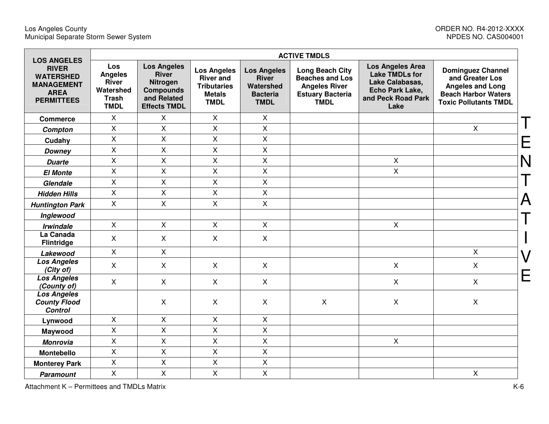| <b>LOS ANGELES</b>                                                                        |                                                                                   |                                                                                                                 |                                                                                              |                                                                                   |                                                                                                                    |                                                                                                               |                                                                                                                                      |
|-------------------------------------------------------------------------------------------|-----------------------------------------------------------------------------------|-----------------------------------------------------------------------------------------------------------------|----------------------------------------------------------------------------------------------|-----------------------------------------------------------------------------------|--------------------------------------------------------------------------------------------------------------------|---------------------------------------------------------------------------------------------------------------|--------------------------------------------------------------------------------------------------------------------------------------|
| <b>RIVER</b><br><b>WATERSHED</b><br><b>MANAGEMENT</b><br><b>AREA</b><br><b>PERMITTEES</b> | Los<br><b>Angeles</b><br><b>River</b><br>Watershed<br><b>Trash</b><br><b>TMDL</b> | <b>Los Angeles</b><br><b>River</b><br><b>Nitrogen</b><br><b>Compounds</b><br>and Related<br><b>Effects TMDL</b> | <b>Los Angeles</b><br><b>River and</b><br><b>Tributaries</b><br><b>Metals</b><br><b>TMDL</b> | <b>Los Angeles</b><br><b>River</b><br>Watershed<br><b>Bacteria</b><br><b>TMDL</b> | <b>Long Beach City</b><br><b>Beaches and Los</b><br><b>Angeles River</b><br><b>Estuary Bacteria</b><br><b>TMDL</b> | Los Angeles Area<br><b>Lake TMDLs for</b><br>Lake Calabasas,<br>Echo Park Lake,<br>and Peck Road Park<br>Lake | <b>Dominguez Channel</b><br>and Greater Los<br><b>Angeles and Long</b><br><b>Beach Harbor Waters</b><br><b>Toxic Pollutants TMDL</b> |
| <b>Commerce</b>                                                                           | X                                                                                 | X                                                                                                               | $\mathsf{X}$                                                                                 | $\mathsf X$                                                                       |                                                                                                                    |                                                                                                               |                                                                                                                                      |
| Compton                                                                                   | $\mathsf{X}$                                                                      | X                                                                                                               | $\pmb{\times}$                                                                               | X                                                                                 |                                                                                                                    |                                                                                                               | X                                                                                                                                    |
| Cudahy                                                                                    | $\pmb{\times}$                                                                    | Χ                                                                                                               | $\pmb{\times}$                                                                               | $\mathsf X$                                                                       |                                                                                                                    |                                                                                                               |                                                                                                                                      |
| <b>Downey</b>                                                                             | $\mathsf{X}$                                                                      | X                                                                                                               | $\mathsf{X}$                                                                                 | $\mathsf{X}$                                                                      |                                                                                                                    |                                                                                                               |                                                                                                                                      |
| <b>Duarte</b>                                                                             | $\mathsf{X}$                                                                      | X                                                                                                               | $\mathsf{X}$                                                                                 | $\mathsf{x}$                                                                      |                                                                                                                    | $\mathsf{X}$                                                                                                  |                                                                                                                                      |
| <b>El Monte</b>                                                                           | X                                                                                 | X                                                                                                               | X                                                                                            | X                                                                                 |                                                                                                                    | X                                                                                                             |                                                                                                                                      |
| Glendale                                                                                  | X                                                                                 | X                                                                                                               | $\mathsf{X}$                                                                                 | X                                                                                 |                                                                                                                    |                                                                                                               |                                                                                                                                      |
| <b>Hidden Hills</b>                                                                       | $\mathsf{X}$                                                                      | X                                                                                                               | $\pmb{\times}$                                                                               | X                                                                                 |                                                                                                                    |                                                                                                               |                                                                                                                                      |
| <b>Huntington Park</b>                                                                    | $\mathsf{X}$                                                                      | X                                                                                                               | $\mathsf{X}$                                                                                 | $\mathsf{X}$                                                                      |                                                                                                                    |                                                                                                               |                                                                                                                                      |
| Inglewood                                                                                 |                                                                                   |                                                                                                                 |                                                                                              |                                                                                   |                                                                                                                    |                                                                                                               |                                                                                                                                      |
| <b>Irwindale</b>                                                                          | $\mathsf{X}$                                                                      | $\mathsf{X}$                                                                                                    | $\mathsf{X}$                                                                                 | $\mathsf{X}$                                                                      |                                                                                                                    | $\mathsf{X}$                                                                                                  |                                                                                                                                      |
| La Canada<br><b>Flintridge</b>                                                            | $\mathsf{X}$                                                                      | $\mathsf{X}$                                                                                                    | $\mathsf{X}$                                                                                 | $\mathsf{X}$                                                                      |                                                                                                                    |                                                                                                               |                                                                                                                                      |
| Lakewood                                                                                  | $\mathsf{X}$                                                                      | $\mathsf{X}$                                                                                                    |                                                                                              |                                                                                   |                                                                                                                    |                                                                                                               | $\pmb{\times}$                                                                                                                       |
| <b>Los Angeles</b><br>(City of)                                                           | $\mathsf{X}$                                                                      | X                                                                                                               | X                                                                                            | $\mathsf{X}$                                                                      |                                                                                                                    | $\mathsf{X}$                                                                                                  | $\mathsf{X}$                                                                                                                         |
| <b>Los Angeles</b><br>(County of)                                                         | $\mathsf{X}$                                                                      | X                                                                                                               | $\mathsf{X}$                                                                                 | $\mathsf{X}$                                                                      |                                                                                                                    | $\mathsf{X}$                                                                                                  | X                                                                                                                                    |
| <b>Los Angeles</b><br><b>County Flood</b><br><b>Control</b>                               |                                                                                   | X                                                                                                               | X                                                                                            | $\pmb{\times}$                                                                    | $\pmb{\times}$                                                                                                     | X                                                                                                             | $\pmb{\times}$                                                                                                                       |
| Lynwood                                                                                   | $\mathsf{X}$                                                                      | X                                                                                                               | $\pmb{\times}$                                                                               | $\pmb{\times}$                                                                    |                                                                                                                    |                                                                                                               |                                                                                                                                      |
| Maywood                                                                                   | $\mathsf{X}$                                                                      | Χ                                                                                                               | $\mathsf{X}$                                                                                 | $\mathsf{X}$                                                                      |                                                                                                                    |                                                                                                               |                                                                                                                                      |
| <b>Monrovia</b>                                                                           | $\mathsf{X}$                                                                      | X                                                                                                               | $\mathsf{X}$                                                                                 | $\mathsf{X}$                                                                      |                                                                                                                    | $\mathsf{X}$                                                                                                  |                                                                                                                                      |
| <b>Montebello</b>                                                                         | X                                                                                 | X                                                                                                               | $\mathsf{X}$                                                                                 | $\mathsf{X}$                                                                      |                                                                                                                    |                                                                                                               |                                                                                                                                      |
| <b>Monterey Park</b>                                                                      | $\pmb{\times}$                                                                    | X                                                                                                               | $\pmb{\times}$                                                                               | X                                                                                 |                                                                                                                    |                                                                                                               |                                                                                                                                      |
| <b>Paramount</b>                                                                          | $\mathsf{X}$                                                                      | X                                                                                                               | $\mathsf{X}$                                                                                 | X                                                                                 |                                                                                                                    |                                                                                                               | $\pmb{\times}$                                                                                                                       |

Attachment K – Permittees and TMDLs Matrix K-6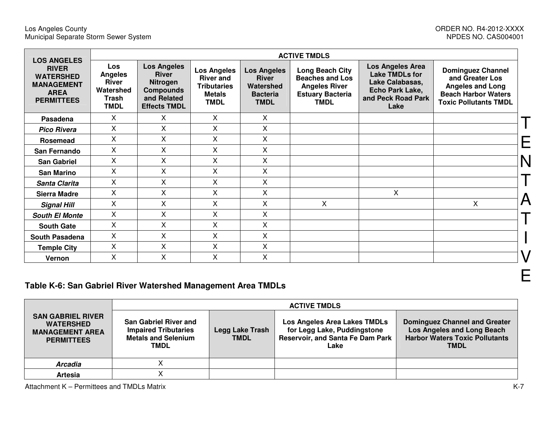| <b>LOS ANGELES</b>                                                                        |                                                                                   | <b>ACTIVE TMDLS</b>                                                                                      |                                                                                              |                                                                                   |                                                                                                                    |                                                                                                               |                                                                                                                                      |  |  |  |  |
|-------------------------------------------------------------------------------------------|-----------------------------------------------------------------------------------|----------------------------------------------------------------------------------------------------------|----------------------------------------------------------------------------------------------|-----------------------------------------------------------------------------------|--------------------------------------------------------------------------------------------------------------------|---------------------------------------------------------------------------------------------------------------|--------------------------------------------------------------------------------------------------------------------------------------|--|--|--|--|
| <b>RIVER</b><br><b>WATERSHED</b><br><b>MANAGEMENT</b><br><b>AREA</b><br><b>PERMITTEES</b> | <b>Los</b><br><b>Angeles</b><br><b>River</b><br>Watershed<br>Trash<br><b>TMDL</b> | <b>Los Angeles</b><br><b>River</b><br>Nitrogen<br><b>Compounds</b><br>and Related<br><b>Effects TMDL</b> | <b>Los Angeles</b><br><b>River and</b><br><b>Tributaries</b><br><b>Metals</b><br><b>TMDL</b> | <b>Los Angeles</b><br><b>River</b><br>Watershed<br><b>Bacteria</b><br><b>TMDL</b> | <b>Long Beach City</b><br><b>Beaches and Los</b><br><b>Angeles River</b><br><b>Estuary Bacteria</b><br><b>TMDL</b> | Los Angeles Area<br><b>Lake TMDLs for</b><br>Lake Calabasas,<br>Echo Park Lake,<br>and Peck Road Park<br>Lake | <b>Dominguez Channel</b><br>and Greater Los<br><b>Angeles and Long</b><br><b>Beach Harbor Waters</b><br><b>Toxic Pollutants TMDL</b> |  |  |  |  |
| Pasadena                                                                                  | X.                                                                                | X                                                                                                        | X.                                                                                           | X                                                                                 |                                                                                                                    |                                                                                                               |                                                                                                                                      |  |  |  |  |
| <b>Pico Rivera</b>                                                                        | X                                                                                 | X                                                                                                        | X.                                                                                           | X                                                                                 |                                                                                                                    |                                                                                                               |                                                                                                                                      |  |  |  |  |
| Rosemead                                                                                  | X                                                                                 | X                                                                                                        | X                                                                                            | X                                                                                 |                                                                                                                    |                                                                                                               |                                                                                                                                      |  |  |  |  |
| San Fernando                                                                              | X                                                                                 | Χ                                                                                                        | X                                                                                            | X                                                                                 |                                                                                                                    |                                                                                                               |                                                                                                                                      |  |  |  |  |
| <b>San Gabriel</b>                                                                        | X                                                                                 | $\mathsf{X}$                                                                                             | X                                                                                            | X                                                                                 |                                                                                                                    |                                                                                                               |                                                                                                                                      |  |  |  |  |
| <b>San Marino</b>                                                                         | X                                                                                 | X                                                                                                        | X                                                                                            | X                                                                                 |                                                                                                                    |                                                                                                               |                                                                                                                                      |  |  |  |  |
| Santa Clarita                                                                             | $\mathsf{X}$                                                                      | X                                                                                                        | X.                                                                                           | X                                                                                 |                                                                                                                    |                                                                                                               |                                                                                                                                      |  |  |  |  |
| <b>Sierra Madre</b>                                                                       | X                                                                                 | Χ                                                                                                        | X                                                                                            | X                                                                                 |                                                                                                                    | X                                                                                                             |                                                                                                                                      |  |  |  |  |
| <b>Signal Hill</b>                                                                        | $\mathsf{X}$                                                                      | X                                                                                                        | X                                                                                            | $\times$                                                                          | X.                                                                                                                 |                                                                                                               | X                                                                                                                                    |  |  |  |  |
| <b>South El Monte</b>                                                                     | $\mathsf{X}$                                                                      | X                                                                                                        | X.                                                                                           | X                                                                                 |                                                                                                                    |                                                                                                               |                                                                                                                                      |  |  |  |  |
| <b>South Gate</b>                                                                         | X                                                                                 | X                                                                                                        | X                                                                                            | X                                                                                 |                                                                                                                    |                                                                                                               |                                                                                                                                      |  |  |  |  |
| <b>South Pasadena</b>                                                                     | X                                                                                 | X                                                                                                        | X                                                                                            | X                                                                                 |                                                                                                                    |                                                                                                               |                                                                                                                                      |  |  |  |  |
| <b>Temple City</b>                                                                        | X                                                                                 | X                                                                                                        | X                                                                                            | Χ                                                                                 |                                                                                                                    |                                                                                                               |                                                                                                                                      |  |  |  |  |
| Vernon                                                                                    | Χ                                                                                 | Χ                                                                                                        | X                                                                                            | Χ                                                                                 |                                                                                                                    |                                                                                                               |                                                                                                                                      |  |  |  |  |

# **Table K-6: San Gabriel River Watershed Management Area TMDLs**

|                                                                                             | <b>ACTIVE TMDLS</b>                                                                               |                                |                                                                                                                |                                                                                                                            |  |  |  |  |
|---------------------------------------------------------------------------------------------|---------------------------------------------------------------------------------------------------|--------------------------------|----------------------------------------------------------------------------------------------------------------|----------------------------------------------------------------------------------------------------------------------------|--|--|--|--|
| <b>SAN GABRIEL RIVER</b><br><b>WATERSHED</b><br><b>MANAGEMENT AREA</b><br><b>PERMITTEES</b> | <b>San Gabriel River and</b><br><b>Impaired Tributaries</b><br><b>Metals and Selenium</b><br>TMDL | Legg Lake Trash<br><b>TMDL</b> | <b>Los Angeles Area Lakes TMDLs</b><br>for Legg Lake, Puddingstone<br>Reservoir, and Santa Fe Dam Park<br>Lake | <b>Dominguez Channel and Greater</b><br>Los Angeles and Long Beach<br><b>Harbor Waters Toxic Pollutants</b><br><b>TMDL</b> |  |  |  |  |
| <b>Arcadia</b>                                                                              |                                                                                                   |                                |                                                                                                                |                                                                                                                            |  |  |  |  |
| <b>Artesia</b>                                                                              |                                                                                                   |                                |                                                                                                                |                                                                                                                            |  |  |  |  |

Attachment K – Permittees and TMDLs Matrix K-7

E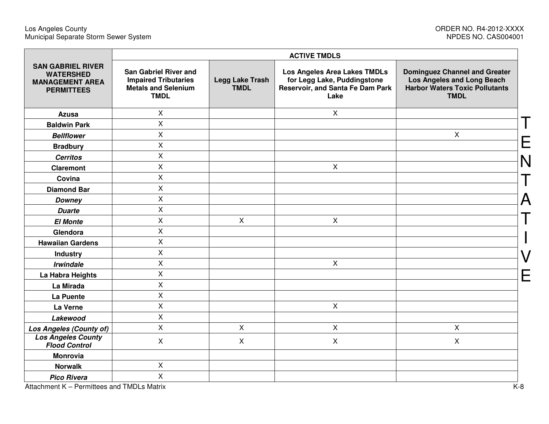#### Los Angeles County ORDER NO. R4-2012-XXXX Municipal Separate Storm Sewer System NPDES NO. CAS004001

|                                                                                             |                                                                                                          |                                       | <b>ACTIVE TMDLS</b>                                                                                     |                                                                                                                            |   |
|---------------------------------------------------------------------------------------------|----------------------------------------------------------------------------------------------------------|---------------------------------------|---------------------------------------------------------------------------------------------------------|----------------------------------------------------------------------------------------------------------------------------|---|
| <b>SAN GABRIEL RIVER</b><br><b>WATERSHED</b><br><b>MANAGEMENT AREA</b><br><b>PERMITTEES</b> | <b>San Gabriel River and</b><br><b>Impaired Tributaries</b><br><b>Metals and Selenium</b><br><b>TMDL</b> | <b>Legg Lake Trash</b><br><b>TMDL</b> | Los Angeles Area Lakes TMDLs<br>for Legg Lake, Puddingstone<br>Reservoir, and Santa Fe Dam Park<br>Lake | <b>Dominguez Channel and Greater</b><br>Los Angeles and Long Beach<br><b>Harbor Waters Toxic Pollutants</b><br><b>TMDL</b> |   |
| <b>Azusa</b>                                                                                | X                                                                                                        |                                       | $\pmb{\times}$                                                                                          |                                                                                                                            |   |
| <b>Baldwin Park</b>                                                                         | X                                                                                                        |                                       |                                                                                                         |                                                                                                                            |   |
| <b>Bellflower</b>                                                                           | $\mathsf{X}$                                                                                             |                                       |                                                                                                         | $\mathsf{X}$                                                                                                               |   |
| <b>Bradbury</b>                                                                             | $\mathsf{X}$                                                                                             |                                       |                                                                                                         |                                                                                                                            |   |
| <b>Cerritos</b>                                                                             | $\mathsf{X}$                                                                                             |                                       |                                                                                                         |                                                                                                                            |   |
| <b>Claremont</b>                                                                            | X                                                                                                        |                                       | $\mathsf{X}$                                                                                            |                                                                                                                            |   |
| Covina                                                                                      | $\overline{X}$                                                                                           |                                       |                                                                                                         |                                                                                                                            |   |
| <b>Diamond Bar</b>                                                                          | $\mathsf{X}$                                                                                             |                                       |                                                                                                         |                                                                                                                            |   |
| <b>Downey</b>                                                                               | $\mathsf{X}$                                                                                             |                                       |                                                                                                         |                                                                                                                            | Д |
| <b>Duarte</b>                                                                               | $\mathsf{X}$                                                                                             |                                       |                                                                                                         |                                                                                                                            |   |
| <b>El Monte</b>                                                                             | X                                                                                                        | $\mathsf{X}$                          | $\mathsf{X}$                                                                                            |                                                                                                                            |   |
| Glendora                                                                                    | $\mathsf{X}$                                                                                             |                                       |                                                                                                         |                                                                                                                            |   |
| <b>Hawaiian Gardens</b>                                                                     | X                                                                                                        |                                       |                                                                                                         |                                                                                                                            |   |
| <b>Industry</b>                                                                             | X                                                                                                        |                                       |                                                                                                         |                                                                                                                            |   |
| <b>Irwindale</b>                                                                            | $\mathsf{X}$                                                                                             |                                       | $\mathsf{X}$                                                                                            |                                                                                                                            |   |
| La Habra Heights                                                                            | Χ                                                                                                        |                                       |                                                                                                         |                                                                                                                            |   |
| La Mirada                                                                                   | X                                                                                                        |                                       |                                                                                                         |                                                                                                                            |   |
| La Puente                                                                                   | X                                                                                                        |                                       |                                                                                                         |                                                                                                                            |   |
| La Verne                                                                                    | X                                                                                                        |                                       | $\mathsf{X}$                                                                                            |                                                                                                                            |   |
| Lakewood                                                                                    | $\mathsf X$                                                                                              |                                       |                                                                                                         |                                                                                                                            |   |
| <b>Los Angeles (County of)</b>                                                              | $\mathsf{X}$                                                                                             | $\mathsf{X}$                          | $\mathsf{X}$                                                                                            | X                                                                                                                          |   |
| <b>Los Angeles County</b><br><b>Flood Control</b>                                           | X                                                                                                        | X                                     | $\mathsf{X}$                                                                                            | $\boldsymbol{\mathsf{X}}$                                                                                                  |   |
| <b>Monrovia</b>                                                                             |                                                                                                          |                                       |                                                                                                         |                                                                                                                            |   |
| <b>Norwalk</b>                                                                              | $\mathsf{X}$                                                                                             |                                       |                                                                                                         |                                                                                                                            |   |
| <b>Pico Rivera</b>                                                                          | $\mathsf{X}$                                                                                             |                                       |                                                                                                         |                                                                                                                            |   |

Attachment K – Permittees and TMDLs Matrix K-8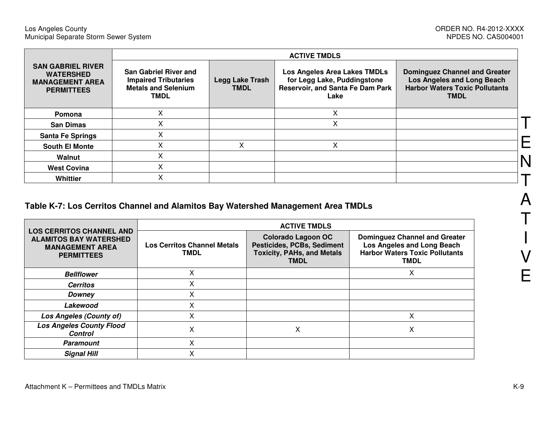|                                                                                             | <b>ACTIVE TMDLS</b>                                                                                      |                                       |                                                                                                                |                                                                                                                            |  |  |  |  |  |  |  |  |
|---------------------------------------------------------------------------------------------|----------------------------------------------------------------------------------------------------------|---------------------------------------|----------------------------------------------------------------------------------------------------------------|----------------------------------------------------------------------------------------------------------------------------|--|--|--|--|--|--|--|--|
| <b>SAN GABRIEL RIVER</b><br><b>WATERSHED</b><br><b>MANAGEMENT AREA</b><br><b>PERMITTEES</b> | <b>San Gabriel River and</b><br><b>Impaired Tributaries</b><br><b>Metals and Selenium</b><br><b>TMDL</b> | <b>Legg Lake Trash</b><br><b>TMDL</b> | <b>Los Angeles Area Lakes TMDLs</b><br>for Legg Lake, Puddingstone<br>Reservoir, and Santa Fe Dam Park<br>Lake | <b>Dominguez Channel and Greater</b><br>Los Angeles and Long Beach<br><b>Harbor Waters Toxic Pollutants</b><br><b>TMDL</b> |  |  |  |  |  |  |  |  |
| Pomona                                                                                      | v<br>Λ                                                                                                   |                                       | X                                                                                                              |                                                                                                                            |  |  |  |  |  |  |  |  |
| <b>San Dimas</b>                                                                            | Λ                                                                                                        |                                       | x                                                                                                              |                                                                                                                            |  |  |  |  |  |  |  |  |
| <b>Santa Fe Springs</b>                                                                     |                                                                                                          |                                       |                                                                                                                |                                                                                                                            |  |  |  |  |  |  |  |  |
| <b>South El Monte</b>                                                                       |                                                                                                          |                                       |                                                                                                                |                                                                                                                            |  |  |  |  |  |  |  |  |
| Walnut                                                                                      | $\checkmark$<br>^                                                                                        |                                       |                                                                                                                |                                                                                                                            |  |  |  |  |  |  |  |  |
| <b>West Covina</b>                                                                          | Χ                                                                                                        |                                       |                                                                                                                |                                                                                                                            |  |  |  |  |  |  |  |  |
| <b>Whittier</b>                                                                             | x                                                                                                        |                                       |                                                                                                                |                                                                                                                            |  |  |  |  |  |  |  |  |

# **Table K-7: Los Cerritos Channel and Alamitos Bay Watershed Management Area TMDLs**

|                                                                                                                 |                                                   | <b>ACTIVE TMDLS</b>                                                                                                |                                                                                                                            |  |  |  |  |  |  |  |  |
|-----------------------------------------------------------------------------------------------------------------|---------------------------------------------------|--------------------------------------------------------------------------------------------------------------------|----------------------------------------------------------------------------------------------------------------------------|--|--|--|--|--|--|--|--|
| <b>LOS CERRITOS CHANNEL AND</b><br><b>ALAMITOS BAY WATERSHED</b><br><b>MANAGEMENT AREA</b><br><b>PERMITTEES</b> | <b>Los Cerritos Channel Metals</b><br><b>TMDL</b> | <b>Colorado Lagoon OC</b><br><b>Pesticides, PCBs, Sediment</b><br><b>Toxicity, PAHs, and Metals</b><br><b>TMDL</b> | <b>Dominguez Channel and Greater</b><br>Los Angeles and Long Beach<br><b>Harbor Waters Toxic Pollutants</b><br><b>TMDL</b> |  |  |  |  |  |  |  |  |
| <b>Bellflower</b>                                                                                               | Χ                                                 |                                                                                                                    | Χ                                                                                                                          |  |  |  |  |  |  |  |  |
| <b>Cerritos</b>                                                                                                 | x                                                 |                                                                                                                    |                                                                                                                            |  |  |  |  |  |  |  |  |
| Downey                                                                                                          | Χ                                                 |                                                                                                                    |                                                                                                                            |  |  |  |  |  |  |  |  |
| Lakewood                                                                                                        | Χ                                                 |                                                                                                                    |                                                                                                                            |  |  |  |  |  |  |  |  |
| <b>Los Angeles (County of)</b>                                                                                  | Χ                                                 |                                                                                                                    | Χ                                                                                                                          |  |  |  |  |  |  |  |  |
| <b>Los Angeles County Flood</b><br><b>Control</b>                                                               | Χ                                                 | Χ                                                                                                                  | Χ                                                                                                                          |  |  |  |  |  |  |  |  |
| <b>Paramount</b>                                                                                                | x                                                 |                                                                                                                    |                                                                                                                            |  |  |  |  |  |  |  |  |
| <b>Signal Hill</b>                                                                                              | X                                                 |                                                                                                                    |                                                                                                                            |  |  |  |  |  |  |  |  |

A

T

I

V

E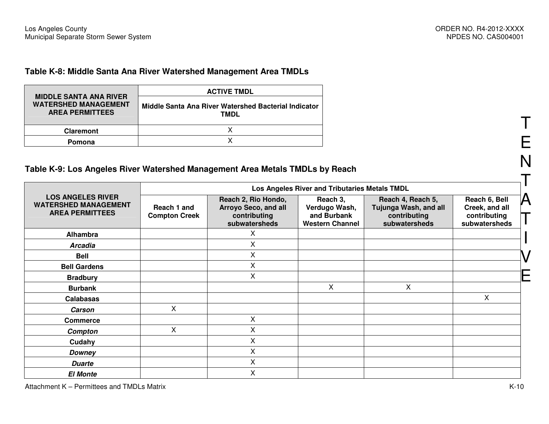#### **Table K-8: Middle Santa Ana River Watershed Management Area TMDLs**

|                                                                                        | <b>ACTIVE TMDL</b>                                           |
|----------------------------------------------------------------------------------------|--------------------------------------------------------------|
| <b>MIDDLE SANTA ANA RIVER</b><br><b>WATERSHED MANAGEMENT</b><br><b>AREA PERMITTEES</b> | Middle Santa Ana River Watershed Bacterial Indicator<br>TMDL |
| <b>Claremont</b>                                                                       |                                                              |
| Pomona                                                                                 |                                                              |

## **Table K-9: Los Angeles River Watershed Management Area Metals TMDLs by Reach**

|                                                                                   | Los Angeles River and Tributaries Metals TMDL |                                                                              |                                                                    |                                                                             |                                                                  |  |  |  |  |  |  |
|-----------------------------------------------------------------------------------|-----------------------------------------------|------------------------------------------------------------------------------|--------------------------------------------------------------------|-----------------------------------------------------------------------------|------------------------------------------------------------------|--|--|--|--|--|--|
| <b>LOS ANGELES RIVER</b><br><b>WATERSHED MANAGEMENT</b><br><b>AREA PERMITTEES</b> | Reach 1 and<br><b>Compton Creek</b>           | Reach 2, Rio Hondo,<br>Arroyo Seco, and all<br>contributing<br>subwatersheds | Reach 3,<br>Verdugo Wash,<br>and Burbank<br><b>Western Channel</b> | Reach 4, Reach 5,<br>Tujunga Wash, and all<br>contributing<br>subwatersheds | Reach 6, Bell<br>Creek, and all<br>contributing<br>subwatersheds |  |  |  |  |  |  |
| Alhambra                                                                          |                                               | X                                                                            |                                                                    |                                                                             |                                                                  |  |  |  |  |  |  |
| <b>Arcadia</b>                                                                    |                                               | X                                                                            |                                                                    |                                                                             |                                                                  |  |  |  |  |  |  |
| <b>Bell</b>                                                                       |                                               | X                                                                            |                                                                    |                                                                             |                                                                  |  |  |  |  |  |  |
| <b>Bell Gardens</b>                                                               |                                               | $\pmb{\times}$                                                               |                                                                    |                                                                             |                                                                  |  |  |  |  |  |  |
| <b>Bradbury</b>                                                                   |                                               | X                                                                            |                                                                    |                                                                             |                                                                  |  |  |  |  |  |  |
| <b>Burbank</b>                                                                    |                                               |                                                                              | Χ                                                                  | Χ                                                                           |                                                                  |  |  |  |  |  |  |
| Calabasas                                                                         |                                               |                                                                              |                                                                    |                                                                             | Χ                                                                |  |  |  |  |  |  |
| <b>Carson</b>                                                                     | X                                             |                                                                              |                                                                    |                                                                             |                                                                  |  |  |  |  |  |  |
| <b>Commerce</b>                                                                   |                                               | X                                                                            |                                                                    |                                                                             |                                                                  |  |  |  |  |  |  |
| Compton                                                                           | X                                             | X                                                                            |                                                                    |                                                                             |                                                                  |  |  |  |  |  |  |
| Cudahy                                                                            |                                               | X                                                                            |                                                                    |                                                                             |                                                                  |  |  |  |  |  |  |
| <b>Downey</b>                                                                     |                                               | X                                                                            |                                                                    |                                                                             |                                                                  |  |  |  |  |  |  |
| <b>Duarte</b>                                                                     |                                               | $\times$                                                                     |                                                                    |                                                                             |                                                                  |  |  |  |  |  |  |
| <b>El Monte</b>                                                                   |                                               | X                                                                            |                                                                    |                                                                             |                                                                  |  |  |  |  |  |  |

T

E

N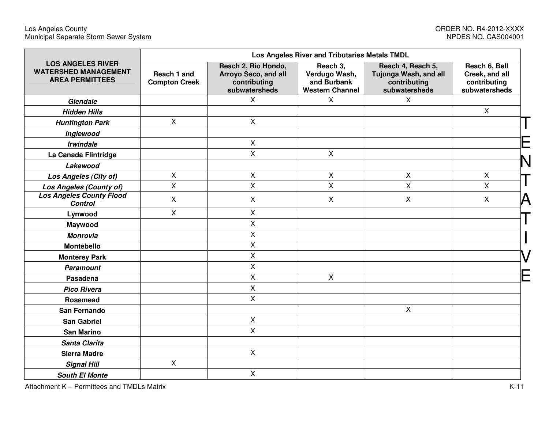|                                                                                   |                                     |                                                                              | Los Angeles River and Tributaries Metals TMDL                      |                                                                             |                                                                  |
|-----------------------------------------------------------------------------------|-------------------------------------|------------------------------------------------------------------------------|--------------------------------------------------------------------|-----------------------------------------------------------------------------|------------------------------------------------------------------|
| <b>LOS ANGELES RIVER</b><br><b>WATERSHED MANAGEMENT</b><br><b>AREA PERMITTEES</b> | Reach 1 and<br><b>Compton Creek</b> | Reach 2, Rio Hondo,<br>Arroyo Seco, and all<br>contributing<br>subwatersheds | Reach 3,<br>Verdugo Wash,<br>and Burbank<br><b>Western Channel</b> | Reach 4, Reach 5,<br>Tujunga Wash, and all<br>contributing<br>subwatersheds | Reach 6, Bell<br>Creek, and all<br>contributing<br>subwatersheds |
| Glendale                                                                          |                                     | $\mathsf{X}$                                                                 | X                                                                  | X                                                                           |                                                                  |
| <b>Hidden Hills</b>                                                               |                                     |                                                                              |                                                                    |                                                                             | $\mathsf{X}$                                                     |
| <b>Huntington Park</b>                                                            | $\mathsf{X}$                        | $\mathsf{X}$                                                                 |                                                                    |                                                                             |                                                                  |
| Inglewood                                                                         |                                     |                                                                              |                                                                    |                                                                             |                                                                  |
| <b>Irwindale</b>                                                                  |                                     | $\boldsymbol{\mathsf{X}}$                                                    |                                                                    |                                                                             |                                                                  |
| La Canada Flintridge                                                              |                                     | $\pmb{\times}$                                                               | $\mathsf{X}$                                                       |                                                                             |                                                                  |
| Lakewood                                                                          |                                     |                                                                              |                                                                    |                                                                             |                                                                  |
| Los Angeles (City of)                                                             | X                                   | $\pmb{\times}$                                                               | $\pmb{\times}$                                                     | X                                                                           | $\mathsf{X}$                                                     |
| Los Angeles (County of)                                                           | X                                   | X                                                                            | $\overline{X}$                                                     | X                                                                           | $\mathsf{X}$                                                     |
| <b>Los Angeles County Flood</b><br><b>Control</b>                                 | X                                   | $\mathsf{X}$                                                                 | $\mathsf{X}$                                                       | $\boldsymbol{\mathsf{X}}$                                                   | $\mathsf{X}$<br>$\boldsymbol{\vartriangle}$                      |
| Lynwood                                                                           | X                                   | $\mathsf X$                                                                  |                                                                    |                                                                             |                                                                  |
| Maywood                                                                           |                                     | $\sf X$                                                                      |                                                                    |                                                                             |                                                                  |
| <b>Monrovia</b>                                                                   |                                     | X                                                                            |                                                                    |                                                                             |                                                                  |
| <b>Montebello</b>                                                                 |                                     | X                                                                            |                                                                    |                                                                             |                                                                  |
| <b>Monterey Park</b>                                                              |                                     | $\overline{X}$                                                               |                                                                    |                                                                             |                                                                  |
| <b>Paramount</b>                                                                  |                                     | $\pmb{\times}$                                                               |                                                                    |                                                                             |                                                                  |
| Pasadena                                                                          |                                     | $\mathsf{X}$                                                                 | $\mathsf{X}$                                                       |                                                                             |                                                                  |
| <b>Pico Rivera</b>                                                                |                                     | $\pmb{\times}$                                                               |                                                                    |                                                                             |                                                                  |
| Rosemead                                                                          |                                     | $\mathsf{X}$                                                                 |                                                                    |                                                                             |                                                                  |
| San Fernando                                                                      |                                     |                                                                              |                                                                    | X                                                                           |                                                                  |
| <b>San Gabriel</b>                                                                |                                     | $\pmb{\times}$                                                               |                                                                    |                                                                             |                                                                  |
| <b>San Marino</b>                                                                 |                                     | $\mathsf{X}$                                                                 |                                                                    |                                                                             |                                                                  |
| Santa Clarita                                                                     |                                     |                                                                              |                                                                    |                                                                             |                                                                  |
| <b>Sierra Madre</b>                                                               |                                     | $\mathsf{X}$                                                                 |                                                                    |                                                                             |                                                                  |
| <b>Signal Hill</b>                                                                | X                                   |                                                                              |                                                                    |                                                                             |                                                                  |
| <b>South El Monte</b>                                                             |                                     | $\mathsf X$                                                                  |                                                                    |                                                                             |                                                                  |

Attachment K – Permittees and TMDLs Matrix K-11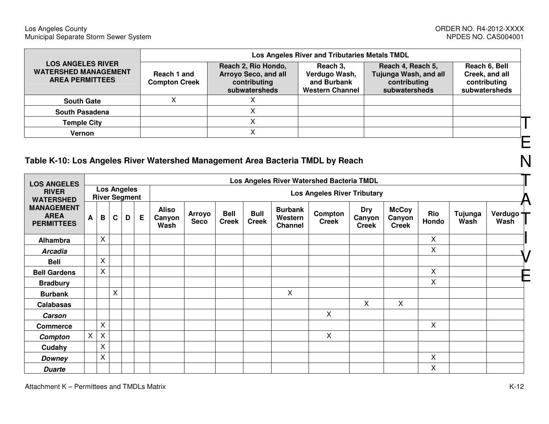|                                                                                   |                                     |                                                                              | Los Angeles River and Tributaries Metals TMDL                      |                                                                             |                                                                  |  |
|-----------------------------------------------------------------------------------|-------------------------------------|------------------------------------------------------------------------------|--------------------------------------------------------------------|-----------------------------------------------------------------------------|------------------------------------------------------------------|--|
| <b>LOS ANGELES RIVER</b><br><b>WATERSHED MANAGEMENT</b><br><b>AREA PERMITTEES</b> | Reach 1 and<br><b>Compton Creek</b> | Reach 2, Rio Hondo,<br>Arroyo Seco, and all<br>contributing<br>subwatersheds | Reach 3,<br>Verdugo Wash,<br>and Burbank<br><b>Western Channel</b> | Reach 4, Reach 5,<br>Tujunga Wash, and all<br>contributing<br>subwatersheds | Reach 6, Bell<br>Creek, and all<br>contributing<br>subwatersheds |  |
| <b>South Gate</b>                                                                 |                                     |                                                                              |                                                                    |                                                                             |                                                                  |  |
| <b>South Pasadena</b>                                                             |                                     |                                                                              |                                                                    |                                                                             |                                                                  |  |
| <b>Temple City</b>                                                                |                                     |                                                                              |                                                                    |                                                                             |                                                                  |  |
| Vernon                                                                            |                                     |                                                                              |                                                                    |                                                                             |                                                                  |  |
|                                                                                   |                                     |                                                                              |                                                                    |                                                                             |                                                                  |  |

# **Table K-10: Los Angeles River Watershed Management Area Bacteria TMDL by Reach**

| <b>LOS ANGELES</b>                                    |                                            |              |              |   |   | Los Angeles River Watershed Bacteria TMDL |                                    |                             |                             |                                             |                         |                                      |                                        |              |                 |                   |
|-------------------------------------------------------|--------------------------------------------|--------------|--------------|---|---|-------------------------------------------|------------------------------------|-----------------------------|-----------------------------|---------------------------------------------|-------------------------|--------------------------------------|----------------------------------------|--------------|-----------------|-------------------|
| <b>RIVER</b><br><b>WATERSHED</b>                      | <b>Los Angeles</b><br><b>River Segment</b> |              |              |   |   |                                           | <b>Los Angeles River Tributary</b> |                             |                             |                                             |                         |                                      |                                        |              |                 |                   |
| <b>MANAGEMENT</b><br><b>AREA</b><br><b>PERMITTEES</b> | A                                          | B            | $\mathbf{C}$ | D | E | <b>Aliso</b><br>Canyon<br>Wash            | <b>Arroyo</b><br><b>Seco</b>       | <b>Bell</b><br><b>Creek</b> | <b>Bull</b><br><b>Creek</b> | <b>Burbank</b><br>Western<br><b>Channel</b> | Compton<br><b>Creek</b> | <b>Dry</b><br>Canyon<br><b>Creek</b> | <b>McCoy</b><br>Canyon<br><b>Creek</b> | Rio<br>Hondo | Tujunga<br>Wash | Verdugo +<br>Wash |
| Alhambra                                              |                                            | $\mathsf{x}$ |              |   |   |                                           |                                    |                             |                             |                                             |                         |                                      |                                        | X            |                 |                   |
| <b>Arcadia</b>                                        |                                            |              |              |   |   |                                           |                                    |                             |                             |                                             |                         |                                      |                                        | X            |                 |                   |
| <b>Bell</b>                                           |                                            | X            |              |   |   |                                           |                                    |                             |                             |                                             |                         |                                      |                                        |              |                 |                   |
| <b>Bell Gardens</b>                                   |                                            | X            |              |   |   |                                           |                                    |                             |                             |                                             |                         |                                      |                                        | X            |                 |                   |
| <b>Bradbury</b>                                       |                                            |              |              |   |   |                                           |                                    |                             |                             |                                             |                         |                                      |                                        | X            |                 |                   |
| <b>Burbank</b>                                        |                                            |              | X            |   |   |                                           |                                    |                             |                             | X                                           |                         |                                      |                                        |              |                 |                   |
| Calabasas                                             |                                            |              |              |   |   |                                           |                                    |                             |                             |                                             |                         | X                                    | X                                      |              |                 |                   |
| <b>Carson</b>                                         |                                            |              |              |   |   |                                           |                                    |                             |                             |                                             | X                       |                                      |                                        |              |                 |                   |
| <b>Commerce</b>                                       |                                            | $\mathsf{x}$ |              |   |   |                                           |                                    |                             |                             |                                             |                         |                                      |                                        | X            |                 |                   |
| Compton                                               | $\pmb{\times}$                             | X            |              |   |   |                                           |                                    |                             |                             |                                             | X                       |                                      |                                        |              |                 |                   |
| Cudahy                                                |                                            | X            |              |   |   |                                           |                                    |                             |                             |                                             |                         |                                      |                                        |              |                 |                   |
| <b>Downey</b>                                         |                                            | X            |              |   |   |                                           |                                    |                             |                             |                                             |                         |                                      |                                        | Χ            |                 |                   |
| <b>Duarte</b>                                         |                                            |              |              |   |   |                                           |                                    |                             |                             |                                             |                         |                                      |                                        | X            |                 |                   |

N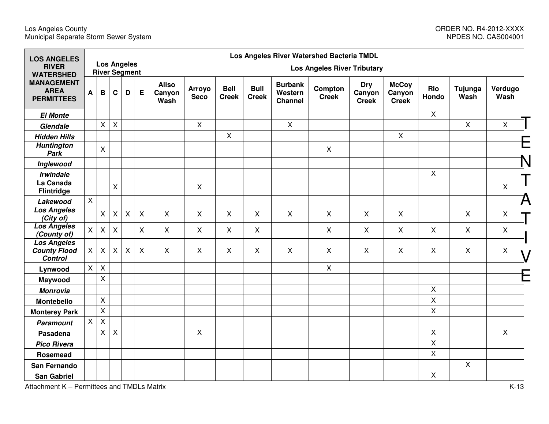| <b>LOS ANGELES</b>                                          |              |                           | Los Angeles River Watershed Bacteria TMDL |                                            |                |                                |                              |                             |                             |                                             |                                    |                                      |                                        |                |                 |                 |
|-------------------------------------------------------------|--------------|---------------------------|-------------------------------------------|--------------------------------------------|----------------|--------------------------------|------------------------------|-----------------------------|-----------------------------|---------------------------------------------|------------------------------------|--------------------------------------|----------------------------------------|----------------|-----------------|-----------------|
| <b>RIVER</b><br><b>WATERSHED</b>                            |              |                           |                                           | <b>Los Angeles</b><br><b>River Segment</b> |                |                                |                              |                             |                             |                                             | <b>Los Angeles River Tributary</b> |                                      |                                        |                |                 |                 |
| <b>MANAGEMENT</b><br><b>AREA</b><br><b>PERMITTEES</b>       | A            | $\mathbf B$               | $\mathbf c$                               | D                                          | E              | <b>Aliso</b><br>Canyon<br>Wash | <b>Arroyo</b><br><b>Seco</b> | <b>Bell</b><br><b>Creek</b> | <b>Bull</b><br><b>Creek</b> | <b>Burbank</b><br>Western<br><b>Channel</b> | Compton<br><b>Creek</b>            | <b>Dry</b><br>Canyon<br><b>Creek</b> | <b>McCoy</b><br>Canyon<br><b>Creek</b> | Rio<br>Hondo   | Tujunga<br>Wash | Verdugo<br>Wash |
| <b>El Monte</b>                                             |              |                           |                                           |                                            |                |                                |                              |                             |                             |                                             |                                    |                                      |                                        | $\mathsf{X}$   |                 |                 |
| Glendale                                                    |              | $\pmb{\times}$            | $\sf X$                                   |                                            |                |                                | $\mathsf{X}$                 |                             |                             | $\mathsf{X}$                                |                                    |                                      |                                        |                | $\mathsf{X}$    | $\mathsf{X}$    |
| <b>Hidden Hills</b>                                         |              |                           |                                           |                                            |                |                                |                              | $\pmb{\times}$              |                             |                                             |                                    |                                      | $\mathsf{X}$                           |                |                 |                 |
| <b>Huntington</b><br>Park                                   |              | $\pmb{\times}$            |                                           |                                            |                |                                |                              |                             |                             |                                             | $\mathsf{X}$                       |                                      |                                        |                |                 |                 |
| Inglewood                                                   |              |                           |                                           |                                            |                |                                |                              |                             |                             |                                             |                                    |                                      |                                        |                |                 |                 |
| <b>Irwindale</b>                                            |              |                           |                                           |                                            |                |                                |                              |                             |                             |                                             |                                    |                                      |                                        | $\pmb{\times}$ |                 |                 |
| La Canada<br><b>Flintridge</b>                              |              |                           | X                                         |                                            |                |                                | $\mathsf{X}$                 |                             |                             |                                             |                                    |                                      |                                        |                |                 | $\pmb{\times}$  |
| Lakewood                                                    | $\mathsf{X}$ |                           |                                           |                                            |                |                                |                              |                             |                             |                                             |                                    |                                      |                                        |                |                 |                 |
| <b>Los Angeles</b><br>(City of)                             |              | $\pmb{\times}$            | $\pmb{\times}$                            | $\boldsymbol{\mathsf{X}}$                  | $\pmb{\times}$ | $\mathsf{X}$                   | $\mathsf{X}$                 | X                           | $\mathsf{X}$                | $\mathsf{X}$                                | $\mathsf{X}$                       | $\mathsf{X}$                         | $\mathsf{X}$                           |                | $\mathsf{X}$    | $\pmb{\times}$  |
| <b>Los Angeles</b><br>(County of)                           | $\mathsf{X}$ | $\boldsymbol{\mathsf{X}}$ | $\boldsymbol{\mathsf{X}}$                 |                                            | $\mathsf{X}$   | $\mathsf{X}$                   | $\mathsf{X}$                 | X                           | $\mathsf{X}$                |                                             | $\sf X$                            | $\mathsf{X}$                         | $\boldsymbol{\mathsf{X}}$              | $\mathsf{X}$   | X               | X               |
| <b>Los Angeles</b><br><b>County Flood</b><br><b>Control</b> | X            | X                         | X                                         | X                                          | $\mathsf{X}$   | $\mathsf{X}$                   | $\mathsf{X}$                 | X                           | $\pmb{\times}$              | $\mathsf{X}$                                | $\mathsf{X}$                       | $\mathsf{X}$                         | $\mathsf{X}$                           | $\mathsf{X}$   | $\mathsf{X}$    | X               |
| Lynwood                                                     | X            | $\mathsf{X}$              |                                           |                                            |                |                                |                              |                             |                             |                                             | $\mathsf{X}$                       |                                      |                                        |                |                 |                 |
| Maywood                                                     |              | $\mathsf{X}$              |                                           |                                            |                |                                |                              |                             |                             |                                             |                                    |                                      |                                        |                |                 |                 |
| <b>Monrovia</b>                                             |              |                           |                                           |                                            |                |                                |                              |                             |                             |                                             |                                    |                                      |                                        | $\pmb{\times}$ |                 |                 |
| <b>Montebello</b>                                           |              | $\pmb{\times}$            |                                           |                                            |                |                                |                              |                             |                             |                                             |                                    |                                      |                                        | $\pmb{\times}$ |                 |                 |
| <b>Monterey Park</b>                                        |              | $\mathsf{X}$              |                                           |                                            |                |                                |                              |                             |                             |                                             |                                    |                                      |                                        | $\mathsf{X}$   |                 |                 |
| <b>Paramount</b>                                            | $\mathsf{X}$ | $\mathsf{X}$              |                                           |                                            |                |                                |                              |                             |                             |                                             |                                    |                                      |                                        |                |                 |                 |
| Pasadena                                                    |              | $\pmb{\times}$            | $\pmb{\times}$                            |                                            |                |                                | $\mathsf{X}$                 |                             |                             |                                             |                                    |                                      |                                        | $\mathsf{X}$   |                 | $\mathsf{X}$    |
| <b>Pico Rivera</b>                                          |              |                           |                                           |                                            |                |                                |                              |                             |                             |                                             |                                    |                                      |                                        | $\pmb{\times}$ |                 |                 |
| Rosemead                                                    |              |                           |                                           |                                            |                |                                |                              |                             |                             |                                             |                                    |                                      |                                        | $\mathsf{X}$   |                 |                 |
| San Fernando                                                |              |                           |                                           |                                            |                |                                |                              |                             |                             |                                             |                                    |                                      |                                        |                | $\mathsf{X}$    |                 |
| <b>San Gabriel</b>                                          |              |                           |                                           |                                            |                |                                |                              |                             |                             |                                             |                                    |                                      |                                        | $\pmb{\times}$ |                 |                 |

Attachment K – Permittees and TMDLs Matrix K-13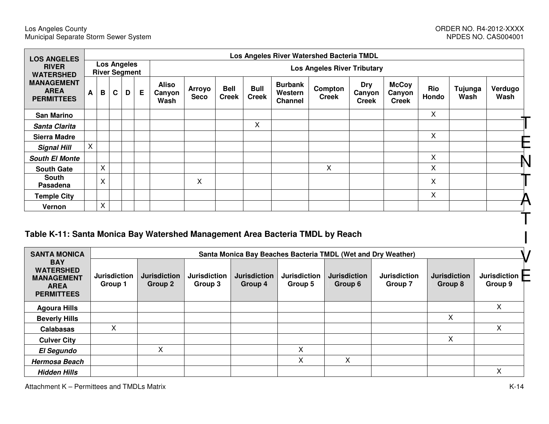| <b>LOS ANGELES</b>                                    |              | Los Angeles River Watershed Bacteria TMDL |   |                                            |   |                                |                                    |                             |                             |                                             |                         |                               |                                        |                     |                 |                 |  |
|-------------------------------------------------------|--------------|-------------------------------------------|---|--------------------------------------------|---|--------------------------------|------------------------------------|-----------------------------|-----------------------------|---------------------------------------------|-------------------------|-------------------------------|----------------------------------------|---------------------|-----------------|-----------------|--|
| <b>RIVER</b><br><b>WATERSHED</b>                      |              |                                           |   | <b>Los Angeles</b><br><b>River Segment</b> |   |                                | <b>Los Angeles River Tributary</b> |                             |                             |                                             |                         |                               |                                        |                     |                 |                 |  |
| <b>MANAGEMENT</b><br><b>AREA</b><br><b>PERMITTEES</b> | A            | B                                         | C | D                                          | E | <b>Aliso</b><br>Canyon<br>Wash | <b>Arroyo</b><br><b>Seco</b>       | <b>Bell</b><br><b>Creek</b> | <b>Bull</b><br><b>Creek</b> | <b>Burbank</b><br>Western<br><b>Channel</b> | Compton<br><b>Creek</b> | Dry<br>Canyon<br><b>Creek</b> | <b>McCoy</b><br>Canyon<br><b>Creek</b> | <b>Rio</b><br>Hondo | Tujunga<br>Wash | Verdugo<br>Wash |  |
| <b>San Marino</b>                                     |              |                                           |   |                                            |   |                                |                                    |                             |                             |                                             |                         |                               |                                        | X                   |                 |                 |  |
| Santa Clarita                                         |              |                                           |   |                                            |   |                                |                                    |                             | Χ                           |                                             |                         |                               |                                        |                     |                 |                 |  |
| <b>Sierra Madre</b>                                   |              |                                           |   |                                            |   |                                |                                    |                             |                             |                                             |                         |                               |                                        | Χ                   |                 |                 |  |
| <b>Signal Hill</b>                                    | $\mathsf{X}$ |                                           |   |                                            |   |                                |                                    |                             |                             |                                             |                         |                               |                                        |                     |                 |                 |  |
| <b>South El Monte</b>                                 |              |                                           |   |                                            |   |                                |                                    |                             |                             |                                             |                         |                               |                                        | Χ                   |                 |                 |  |
| <b>South Gate</b>                                     |              | X                                         |   |                                            |   |                                |                                    |                             |                             |                                             | X                       |                               |                                        | Χ                   |                 |                 |  |
| South<br>Pasadena                                     |              | X                                         |   |                                            |   |                                | X                                  |                             |                             |                                             |                         |                               |                                        | Χ                   |                 |                 |  |
| <b>Temple City</b>                                    |              |                                           |   |                                            |   |                                |                                    |                             |                             |                                             |                         |                               |                                        | X                   |                 |                 |  |
| Vernon                                                |              | X                                         |   |                                            |   |                                |                                    |                             |                             |                                             |                         |                               |                                        |                     |                 |                 |  |
|                                                       |              |                                           |   |                                            |   |                                |                                    |                             |                             |                                             |                         |                               |                                        |                     |                 |                 |  |

# **Table K-11: Santa Monica Bay Watershed Management Area Bacteria TMDL by Reach**

| <b>SANTA MONICA</b>                                                                     |                                | Santa Monica Bay Beaches Bacteria TMDL (Wet and Dry Weather) |                                |                                |                                |                                |                                |                                |                                |  |  |  |  |  |
|-----------------------------------------------------------------------------------------|--------------------------------|--------------------------------------------------------------|--------------------------------|--------------------------------|--------------------------------|--------------------------------|--------------------------------|--------------------------------|--------------------------------|--|--|--|--|--|
| <b>BAY</b><br><b>WATERSHED</b><br><b>MANAGEMENT</b><br><b>AREA</b><br><b>PERMITTEES</b> | <b>Jurisdiction</b><br>Group 1 | <b>Jurisdiction</b><br>Group 2                               | <b>Jurisdiction</b><br>Group 3 | <b>Jurisdiction</b><br>Group 4 | <b>Jurisdiction</b><br>Group 5 | <b>Jurisdiction</b><br>Group 6 | <b>Jurisdiction</b><br>Group 7 | <b>Jurisdiction</b><br>Group 8 | <b>Jurisdiction</b><br>Group 9 |  |  |  |  |  |
| <b>Agoura Hills</b>                                                                     |                                |                                                              |                                |                                |                                |                                |                                |                                | X.                             |  |  |  |  |  |
| <b>Beverly Hills</b>                                                                    |                                |                                                              |                                |                                |                                |                                |                                | X                              |                                |  |  |  |  |  |
| <b>Calabasas</b>                                                                        | X                              |                                                              |                                |                                |                                |                                |                                |                                | X                              |  |  |  |  |  |
| <b>Culver City</b>                                                                      |                                |                                                              |                                |                                |                                |                                |                                | Χ                              |                                |  |  |  |  |  |
| <b>El Segundo</b>                                                                       |                                | X                                                            |                                |                                | X                              |                                |                                |                                |                                |  |  |  |  |  |
| <b>Hermosa Beach</b>                                                                    |                                |                                                              |                                |                                | X                              | X                              |                                |                                |                                |  |  |  |  |  |
| <b>Hidden Hills</b>                                                                     |                                |                                                              |                                |                                |                                |                                |                                |                                | Χ                              |  |  |  |  |  |

I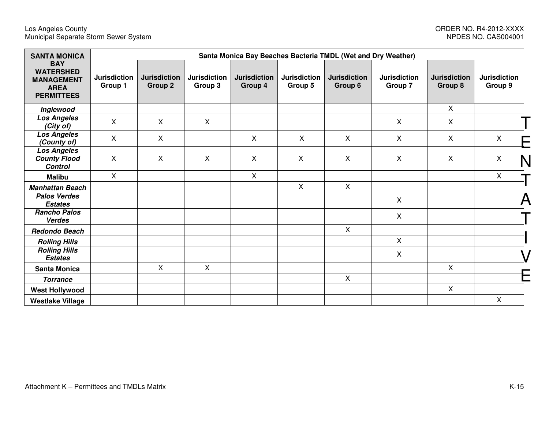#### Los Angeles County ORDER NO. R4-2012-XXXX Municipal Separate Storm Sewer System NPDES NO. CAS004001

# NPDES NO. CAS004001

| <b>SANTA MONICA</b>                                                                     | Santa Monica Bay Beaches Bacteria TMDL (Wet and Dry Weather) |                                |                                |                                |                                |                                |                                |                                |                                |    |  |  |  |
|-----------------------------------------------------------------------------------------|--------------------------------------------------------------|--------------------------------|--------------------------------|--------------------------------|--------------------------------|--------------------------------|--------------------------------|--------------------------------|--------------------------------|----|--|--|--|
| <b>BAY</b><br><b>WATERSHED</b><br><b>MANAGEMENT</b><br><b>AREA</b><br><b>PERMITTEES</b> | <b>Jurisdiction</b><br>Group 1                               | <b>Jurisdiction</b><br>Group 2 | <b>Jurisdiction</b><br>Group 3 | <b>Jurisdiction</b><br>Group 4 | <b>Jurisdiction</b><br>Group 5 | <b>Jurisdiction</b><br>Group 6 | <b>Jurisdiction</b><br>Group 7 | <b>Jurisdiction</b><br>Group 8 | <b>Jurisdiction</b><br>Group 9 |    |  |  |  |
| Inglewood                                                                               |                                                              |                                |                                |                                |                                |                                |                                | $\mathsf{X}$                   |                                |    |  |  |  |
| <b>Los Angeles</b><br>(City of)                                                         | X                                                            | X                              | $\mathsf{X}$                   |                                |                                |                                | $\mathsf{X}$                   | $\mathsf{X}$                   |                                |    |  |  |  |
| <b>Los Angeles</b><br>(County of)                                                       | X                                                            | X                              |                                | $\mathsf{X}$                   | $\mathsf{X}$                   | $\mathsf{X}$                   | X                              | X                              | $\mathsf{X}$                   |    |  |  |  |
| <b>Los Angeles</b><br><b>County Flood</b><br><b>Control</b>                             | X                                                            | X                              | X                              | $\mathsf{X}$                   | X                              | X                              | X                              | X                              | X                              | IN |  |  |  |
| <b>Malibu</b>                                                                           | $\mathsf{X}$                                                 |                                |                                | $\mathsf{X}$                   |                                |                                |                                |                                | $\mathsf{X}$                   |    |  |  |  |
| <b>Manhattan Beach</b>                                                                  |                                                              |                                |                                |                                | X                              | $\mathsf{X}$                   |                                |                                |                                |    |  |  |  |
| <b>Palos Verdes</b><br><b>Estates</b>                                                   |                                                              |                                |                                |                                |                                |                                | $\mathsf{X}$                   |                                |                                |    |  |  |  |
| <b>Rancho Palos</b><br><b>Verdes</b>                                                    |                                                              |                                |                                |                                |                                |                                | $\mathsf{X}$                   |                                |                                |    |  |  |  |
| <b>Redondo Beach</b>                                                                    |                                                              |                                |                                |                                |                                | $\mathsf{X}$                   |                                |                                |                                |    |  |  |  |
| <b>Rolling Hills</b>                                                                    |                                                              |                                |                                |                                |                                |                                | $\mathsf{X}$                   |                                |                                |    |  |  |  |
| <b>Rolling Hills</b><br><b>Estates</b>                                                  |                                                              |                                |                                |                                |                                |                                | $\mathsf{X}$                   |                                |                                |    |  |  |  |
| <b>Santa Monica</b>                                                                     |                                                              | $\mathsf{X}$                   | $\mathsf{X}$                   |                                |                                |                                |                                | X                              |                                |    |  |  |  |
| <b>Torrance</b>                                                                         |                                                              |                                |                                |                                |                                | X                              |                                |                                |                                |    |  |  |  |
| <b>West Hollywood</b>                                                                   |                                                              |                                |                                |                                |                                |                                |                                | $\pmb{\times}$                 |                                |    |  |  |  |
| <b>Westlake Village</b>                                                                 |                                                              |                                |                                |                                |                                |                                |                                |                                | $\mathsf{X}$                   |    |  |  |  |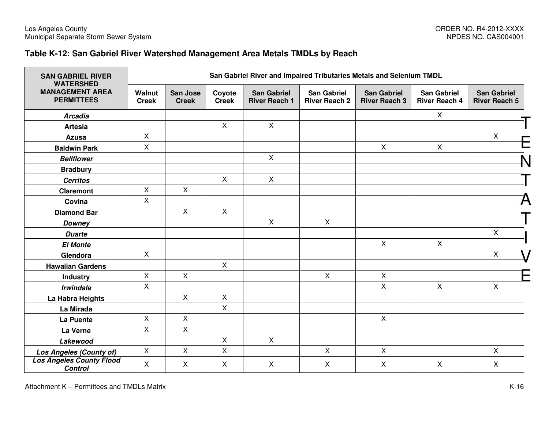#### **Table K-12: San Gabriel River Watershed Management Area Metals TMDLs by Reach**

| <b>SAN GABRIEL RIVER</b><br><b>WATERSHED</b>      |                        | San Gabriel River and Impaired Tributaries Metals and Selenium TMDL |                           |                                            |                                            |                                            |                                            |                                            |  |  |  |  |  |
|---------------------------------------------------|------------------------|---------------------------------------------------------------------|---------------------------|--------------------------------------------|--------------------------------------------|--------------------------------------------|--------------------------------------------|--------------------------------------------|--|--|--|--|--|
| <b>MANAGEMENT AREA</b><br><b>PERMITTEES</b>       | Walnut<br><b>Creek</b> | <b>San Jose</b><br><b>Creek</b>                                     | Coyote<br><b>Creek</b>    | <b>San Gabriel</b><br><b>River Reach 1</b> | <b>San Gabriel</b><br><b>River Reach 2</b> | <b>San Gabriel</b><br><b>River Reach 3</b> | <b>San Gabriel</b><br><b>River Reach 4</b> | <b>San Gabriel</b><br><b>River Reach 5</b> |  |  |  |  |  |
| <b>Arcadia</b>                                    |                        |                                                                     |                           |                                            |                                            |                                            | X                                          |                                            |  |  |  |  |  |
| <b>Artesia</b>                                    |                        |                                                                     | $\mathsf{X}$              | $\mathsf{X}$                               |                                            |                                            |                                            |                                            |  |  |  |  |  |
| Azusa                                             | $\mathsf{X}$           |                                                                     |                           |                                            |                                            |                                            |                                            | $\mathsf{X}$                               |  |  |  |  |  |
| <b>Baldwin Park</b>                               | $\mathsf{X}$           |                                                                     |                           |                                            |                                            | $\mathsf{X}$                               | $\mathsf{X}$                               |                                            |  |  |  |  |  |
| <b>Bellflower</b>                                 |                        |                                                                     |                           | $\mathsf{X}$                               |                                            |                                            |                                            |                                            |  |  |  |  |  |
| <b>Bradbury</b>                                   |                        |                                                                     |                           |                                            |                                            |                                            |                                            |                                            |  |  |  |  |  |
| <b>Cerritos</b>                                   |                        |                                                                     | $\mathsf{X}$              | $\mathsf X$                                |                                            |                                            |                                            |                                            |  |  |  |  |  |
| <b>Claremont</b>                                  | $\mathsf{X}$           | $\mathsf{X}$                                                        |                           |                                            |                                            |                                            |                                            |                                            |  |  |  |  |  |
| Covina                                            | $\mathsf{X}$           |                                                                     |                           |                                            |                                            |                                            |                                            |                                            |  |  |  |  |  |
| <b>Diamond Bar</b>                                |                        | $\mathsf{X}$                                                        | $\mathsf{X}$              |                                            |                                            |                                            |                                            |                                            |  |  |  |  |  |
| <b>Downey</b>                                     |                        |                                                                     |                           | $\mathsf{X}$                               | $\mathsf{X}$                               |                                            |                                            |                                            |  |  |  |  |  |
| <b>Duarte</b>                                     |                        |                                                                     |                           |                                            |                                            |                                            |                                            | X                                          |  |  |  |  |  |
| <b>El Monte</b>                                   |                        |                                                                     |                           |                                            |                                            | $\mathsf{X}$                               | $\mathsf{X}$                               |                                            |  |  |  |  |  |
| Glendora                                          | $\mathsf{X}$           |                                                                     |                           |                                            |                                            |                                            |                                            | $\mathsf X$                                |  |  |  |  |  |
| <b>Hawaiian Gardens</b>                           |                        |                                                                     | $\mathsf{X}$              |                                            |                                            |                                            |                                            |                                            |  |  |  |  |  |
| <b>Industry</b>                                   | $\mathsf{X}$           | $\mathsf{X}$                                                        |                           |                                            | $\mathsf{X}$                               | $\mathsf{X}$                               |                                            |                                            |  |  |  |  |  |
| <b>Irwindale</b>                                  | $\mathsf{X}$           |                                                                     |                           |                                            |                                            | $\mathsf{X}$                               | $\mathsf{X}$                               | $\mathsf{X}$                               |  |  |  |  |  |
| La Habra Heights                                  |                        | $\mathsf{X}$                                                        | $\mathsf{X}$              |                                            |                                            |                                            |                                            |                                            |  |  |  |  |  |
| La Mirada                                         |                        |                                                                     | X                         |                                            |                                            |                                            |                                            |                                            |  |  |  |  |  |
| La Puente                                         | $\mathsf{X}$           | $\mathsf{X}$                                                        |                           |                                            |                                            | $\mathsf{X}$                               |                                            |                                            |  |  |  |  |  |
| La Verne                                          | $\mathsf{X}$           | $\pmb{\times}$                                                      |                           |                                            |                                            |                                            |                                            |                                            |  |  |  |  |  |
| Lakewood                                          |                        |                                                                     | $\pmb{\times}$            | $\mathsf{X}$                               |                                            |                                            |                                            |                                            |  |  |  |  |  |
| <b>Los Angeles (County of)</b>                    | X                      | X                                                                   | $\boldsymbol{\mathsf{X}}$ |                                            | $\mathsf{X}$                               | $\mathsf{X}$                               |                                            | $\mathsf{X}$                               |  |  |  |  |  |
| <b>Los Angeles County Flood</b><br><b>Control</b> | $\mathsf{X}$           | X                                                                   | $\mathsf{X}$              | $\mathsf{X}$                               | $\boldsymbol{\mathsf{X}}$                  | $\mathsf{X}$                               | $\mathsf{X}$                               | $\mathsf X$                                |  |  |  |  |  |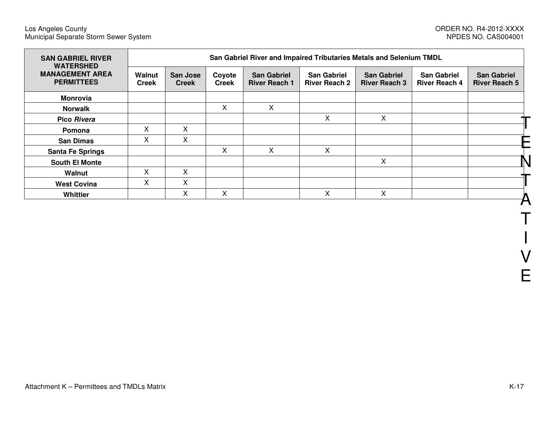| <b>SAN GABRIEL RIVER</b><br><b>WATERSHED</b><br><b>MANAGEMENT AREA</b><br><b>PERMITTEES</b> | San Gabriel River and Impaired Tributaries Metals and Selenium TMDL |                          |                        |                                            |                                            |                                            |                                            |                                            |
|---------------------------------------------------------------------------------------------|---------------------------------------------------------------------|--------------------------|------------------------|--------------------------------------------|--------------------------------------------|--------------------------------------------|--------------------------------------------|--------------------------------------------|
|                                                                                             | Walnut<br><b>Creek</b>                                              | San Jose<br><b>Creek</b> | Coyote<br><b>Creek</b> | <b>San Gabriel</b><br><b>River Reach 1</b> | <b>San Gabriel</b><br><b>River Reach 2</b> | <b>San Gabriel</b><br><b>River Reach 3</b> | <b>San Gabriel</b><br><b>River Reach 4</b> | <b>San Gabriel</b><br><b>River Reach 5</b> |
| <b>Monrovia</b>                                                                             |                                                                     |                          |                        |                                            |                                            |                                            |                                            |                                            |
| <b>Norwalk</b>                                                                              |                                                                     |                          | X                      | X                                          |                                            |                                            |                                            |                                            |
| Pico Rivera                                                                                 |                                                                     |                          |                        |                                            | X                                          | X                                          |                                            |                                            |
| Pomona                                                                                      | X                                                                   | X                        |                        |                                            |                                            |                                            |                                            |                                            |
| <b>San Dimas</b>                                                                            | Χ                                                                   | X                        |                        |                                            |                                            |                                            |                                            |                                            |
| <b>Santa Fe Springs</b>                                                                     |                                                                     |                          | X                      | X                                          | X                                          |                                            |                                            |                                            |
| <b>South El Monte</b>                                                                       |                                                                     |                          |                        |                                            |                                            | X                                          |                                            |                                            |
| Walnut                                                                                      | X                                                                   | X                        |                        |                                            |                                            |                                            |                                            |                                            |
| <b>West Covina</b>                                                                          | X                                                                   | X                        |                        |                                            |                                            |                                            |                                            |                                            |
| Whittier                                                                                    |                                                                     | X                        | X                      |                                            | X                                          | X                                          |                                            |                                            |

T

I

V

E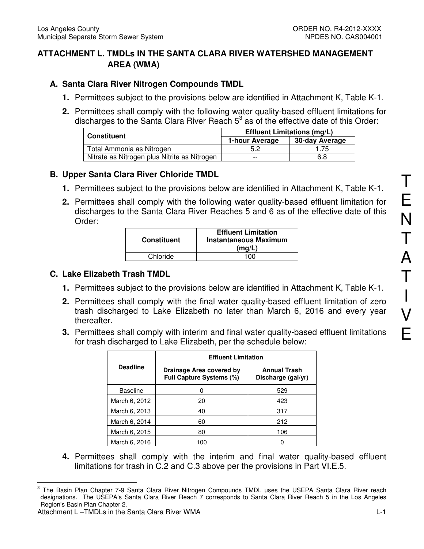# **ATTACHMENT L. TMDLs IN THE SANTA CLARA RIVER WATERSHED MANAGEMENT AREA (WMA)**

# **A. Santa Clara River Nitrogen Compounds TMDL**

- **1.** Permittees subject to the provisions below are identified in Attachment K, Table K-1.
- **2.** Permittees shall comply with the following water quality-based effluent limitations for discharges to the Santa Clara River Reach  $5<sup>3</sup>$  as of the effective date of this Order:

| <b>Constituent</b>                           | <b>Effluent Limitations (mg/L)</b> |                |  |  |
|----------------------------------------------|------------------------------------|----------------|--|--|
|                                              | 1-hour Average                     | 30-day Average |  |  |
| Total Ammonia as Nitrogen                    | 5.2                                | .75            |  |  |
| Nitrate as Nitrogen plus Nitrite as Nitrogen | $- -$                              | 6.8            |  |  |

# **B. Upper Santa Clara River Chloride TMDL**

- **1.** Permittees subject to the provisions below are identified in Attachment K, Table K-1.
- **2.** Permittees shall comply with the following water quality-based effluent limitation for discharges to the Santa Clara River Reaches 5 and 6 as of the effective date of this Order:

| <b>Constituent</b> | <b>Effluent Limitation</b><br><b>Instantaneous Maximum</b><br>(mq/L) |
|--------------------|----------------------------------------------------------------------|
| Chloride           | 100                                                                  |

# **C. Lake Elizabeth Trash TMDL**

- **1.** Permittees subject to the provisions below are identified in Attachment K, Table K-1.
- **2.** Permittees shall comply with the final water quality-based effluent limitation of zero trash discharged to Lake Elizabeth no later than March 6, 2016 and every year thereafter.
- **3.** Permittees shall comply with interim and final water quality-based effluent limitations for trash discharged to Lake Elizabeth, per the schedule below:

|                 | <b>Effluent Limitation</b>                                  |                                           |  |  |  |
|-----------------|-------------------------------------------------------------|-------------------------------------------|--|--|--|
| <b>Deadline</b> | Drainage Area covered by<br><b>Full Capture Systems (%)</b> | <b>Annual Trash</b><br>Discharge (gal/yr) |  |  |  |
| <b>Baseline</b> |                                                             | 529                                       |  |  |  |
| March 6, 2012   | 20                                                          | 423                                       |  |  |  |
| March 6, 2013   | 40                                                          | 317                                       |  |  |  |
| March 6, 2014   | 60                                                          | 212                                       |  |  |  |
| March 6, 2015   | 80                                                          | 106                                       |  |  |  |
| March 6, 2016   | 100                                                         |                                           |  |  |  |

**4.** Permittees shall comply with the interim and final water quality-based effluent limitations for trash in C.2 and C.3 above per the provisions in Part VI.E.5.

<sup>-&</sup>lt;br>3 The Basin Plan Chapter 7-9 Santa Clara River Nitrogen Compounds TMDL uses the USEPA Santa Clara River reach designations. The USEPA's Santa Clara River Reach 7 corresponds to Santa Clara River Reach 5 in the Los Angeles Region's Basin Plan Chapter 2.

Attachment L-TMDLs in the Santa Clara River WMA **Let us a state of the Contract Contract C-1**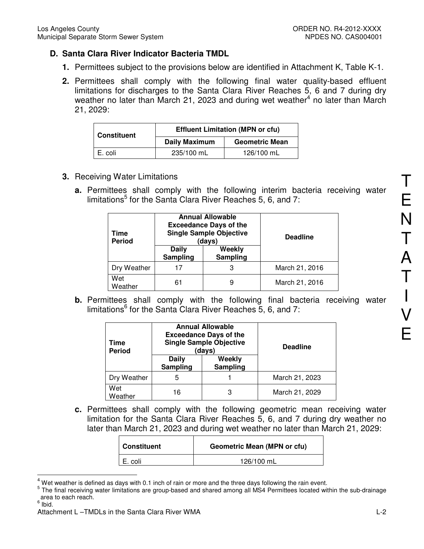# **D. Santa Clara River Indicator Bacteria TMDL**

- **1.** Permittees subject to the provisions below are identified in Attachment K, Table K-1.
- **2.** Permittees shall comply with the following final water quality-based effluent limitations for discharges to the Santa Clara River Reaches 5, 6 and 7 during dry weather no later than March 21, 2023 and during wet weather<sup>4</sup> no later than March 21, 2029:

| <b>Constituent</b> | <b>Effluent Limitation (MPN or cfu)</b> |                       |  |  |
|--------------------|-----------------------------------------|-----------------------|--|--|
|                    | <b>Daily Maximum</b>                    | <b>Geometric Mean</b> |  |  |
| E. coli            | 235/100 mL                              | 126/100 mL            |  |  |

- **3.** Receiving Water Limitations
	- **a.** Permittees shall comply with the following interim bacteria receiving water limitations<sup>5</sup> for the Santa Clara River Reaches 5, 6, and 7:

| Time<br><b>Period</b> |                   | <b>Annual Allowable</b><br><b>Exceedance Days of the</b><br><b>Single Sample Objective</b><br>(days) | <b>Deadline</b> |  |
|-----------------------|-------------------|------------------------------------------------------------------------------------------------------|-----------------|--|
|                       | Daily<br>Sampling | Weekly<br>Sampling                                                                                   |                 |  |
| Dry Weather           |                   | 3                                                                                                    | March 21, 2016  |  |
| Wet<br>Weather        | 61                | 9                                                                                                    | March 21, 2016  |  |

**b.** Permittees shall comply with the following final bacteria receiving water limitations<sup>6</sup> for the Santa Clara River Reaches 5, 6, and 7:

| Time<br><b>Period</b> |                   | <b>Annual Allowable</b><br><b>Exceedance Days of the</b><br><b>Single Sample Objective</b><br>(days) | <b>Deadline</b> |  |
|-----------------------|-------------------|------------------------------------------------------------------------------------------------------|-----------------|--|
|                       | Daily<br>Sampling | Weekly<br>Sampling                                                                                   |                 |  |
| Dry Weather           | 5                 |                                                                                                      | March 21, 2023  |  |
| Wet<br>Weather        | 16                | 3                                                                                                    | March 21, 2029  |  |

**c.** Permittees shall comply with the following geometric mean receiving water limitation for the Santa Clara River Reaches 5, 6, and 7 during dry weather no later than March 21, 2023 and during wet weather no later than March 21, 2029:

| <b>Constituent</b> | <b>Geometric Mean (MPN or cfu)</b> |
|--------------------|------------------------------------|
| E. coli            | 126/100 mL                         |

<sup>4</sup> Wet weather is defined as days with 0.1 inch of rain or more and the three days following the rain event.

 $\overline{\phantom{a}}$ 

<sup>&</sup>lt;sup>5</sup> The final receiving water limitations are group-based and shared among all MS4 Permittees located within the sub-drainage area to each reach.

<sup>&</sup>lt;sup>6</sup> Ibid.

Attachment L-TMDLs in the Santa Clara River WMA **L-2** and the Santa Clara River WMA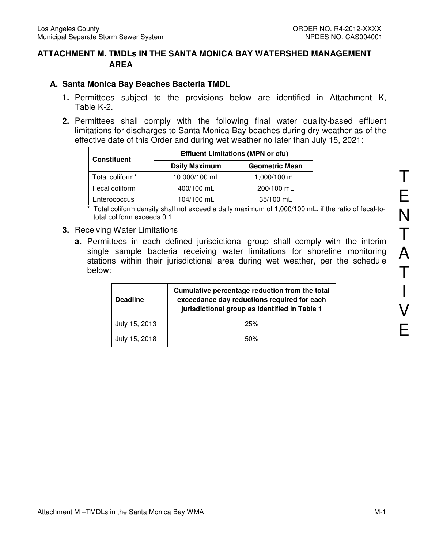## **ATTACHMENT M. TMDLs IN THE SANTA MONICA BAY WATERSHED MANAGEMENT AREA**

#### **A. Santa Monica Bay Beaches Bacteria TMDL**

- **1.** Permittees subject to the provisions below are identified in Attachment K, Table K-2.
- **2.** Permittees shall comply with the following final water quality-based effluent limitations for discharges to Santa Monica Bay beaches during dry weather as of the effective date of this Order and during wet weather no later than July 15, 2021:

| <b>Constituent</b> | <b>Effluent Limitations (MPN or cfu)</b> |                       |  |  |
|--------------------|------------------------------------------|-----------------------|--|--|
|                    | <b>Daily Maximum</b>                     | <b>Geometric Mean</b> |  |  |
| Total coliform*    | 10,000/100 mL                            | 1,000/100 mL          |  |  |
| Fecal coliform     | 400/100 mL                               | 200/100 mL            |  |  |
| Enterococcus       | 104/100 mL                               | 35/100 mL             |  |  |

\* Total coliform density shall not exceed a daily maximum of 1,000/100 mL, if the ratio of fecal-tototal coliform exceeds 0.1.

- **3.** Receiving Water Limitations
	- **a.** Permittees in each defined jurisdictional group shall comply with the interim single sample bacteria receiving water limitations for shoreline monitoring stations within their jurisdictional area during wet weather, per the schedule below:

| <b>Deadline</b> | Cumulative percentage reduction from the total<br>exceedance day reductions required for each<br>jurisdictional group as identified in Table 1 |
|-----------------|------------------------------------------------------------------------------------------------------------------------------------------------|
| July 15, 2013   | 25%                                                                                                                                            |
| July 15, 2018   | 50%                                                                                                                                            |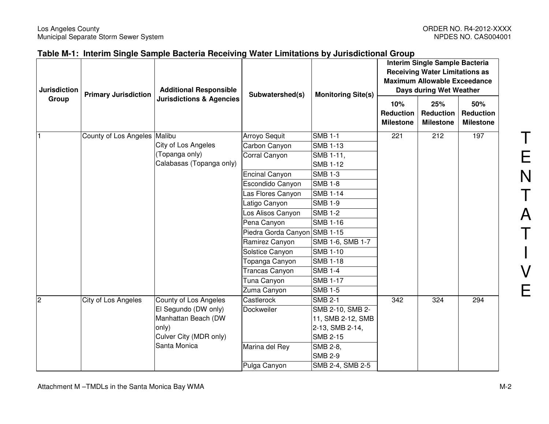| <b>Jurisdiction</b> | <b>Primary Jurisdiction</b> | <b>Additional Responsible</b><br><b>Jurisdictions &amp; Agencies</b> | Subwatershed(s)       | <b>Monitoring Site(s)</b> | Interim Single Sample Bacteria<br><b>Receiving Water Limitations as</b><br><b>Maximum Allowable Exceedance</b><br>Days during Wet Weather |                                      |                                             |
|---------------------|-----------------------------|----------------------------------------------------------------------|-----------------------|---------------------------|-------------------------------------------------------------------------------------------------------------------------------------------|--------------------------------------|---------------------------------------------|
| Group               |                             |                                                                      |                       |                           | 10%<br><b>Reduction</b><br><b>Milestone</b>                                                                                               | 25%<br>Reduction<br><b>Milestone</b> | 50%<br><b>Reduction</b><br><b>Milestone</b> |
|                     | County of Los Angeles       | Malibu                                                               | Arroyo Sequit         | <b>SMB 1-1</b>            | 221                                                                                                                                       | 212                                  | 197                                         |
|                     |                             | City of Los Angeles                                                  | Carbon Canyon         | <b>SMB 1-13</b>           |                                                                                                                                           |                                      |                                             |
|                     |                             | (Topanga only)                                                       | Corral Canyon         | SMB 1-11,                 |                                                                                                                                           |                                      |                                             |
|                     |                             | Calabasas (Topanga only)                                             |                       | <b>SMB 1-12</b>           |                                                                                                                                           |                                      |                                             |
|                     |                             |                                                                      | <b>Encinal Canyon</b> | <b>SMB 1-3</b>            |                                                                                                                                           |                                      |                                             |
|                     |                             |                                                                      | Escondido Canyon      | <b>SMB 1-8</b>            |                                                                                                                                           |                                      |                                             |
|                     |                             |                                                                      | Las Flores Canyon     | <b>SMB 1-14</b>           |                                                                                                                                           |                                      |                                             |
|                     |                             |                                                                      | atigo Canyon          | <b>SMB 1-9</b>            |                                                                                                                                           |                                      |                                             |
|                     |                             |                                                                      | Los Alisos Canyon     | <b>SMB 1-2</b>            |                                                                                                                                           |                                      |                                             |
|                     |                             |                                                                      | Pena Canyon           | <b>SMB 1-16</b>           |                                                                                                                                           |                                      |                                             |
|                     |                             |                                                                      | Piedra Gorda Canyon   | <b>SMB 1-15</b>           |                                                                                                                                           |                                      |                                             |
|                     |                             |                                                                      | Ramirez Canyon        | SMB 1-6, SMB 1-7          |                                                                                                                                           |                                      |                                             |
|                     |                             |                                                                      | Solstice Canyon       | <b>SMB 1-10</b>           |                                                                                                                                           |                                      |                                             |
|                     |                             |                                                                      | Topanga Canyon        | <b>SMB 1-18</b>           |                                                                                                                                           |                                      |                                             |
|                     |                             |                                                                      | <b>Trancas Canyon</b> | <b>SMB 1-4</b>            |                                                                                                                                           |                                      |                                             |
|                     |                             |                                                                      | Tuna Canyon           | <b>SMB 1-17</b>           |                                                                                                                                           |                                      |                                             |
|                     |                             |                                                                      | Zuma Canyon           | <b>SMB 1-5</b>            |                                                                                                                                           |                                      |                                             |
| $\overline{2}$      | City of Los Angeles         | County of Los Angeles                                                | Castlerock            | <b>SMB 2-1</b>            | 342                                                                                                                                       | 324                                  | 294                                         |
|                     |                             | El Segundo (DW only)                                                 | Dockweiler            | SMB 2-10, SMB 2-          |                                                                                                                                           |                                      |                                             |
|                     |                             | Manhattan Beach (DW                                                  |                       | 11, SMB 2-12, SMB         |                                                                                                                                           |                                      |                                             |
|                     |                             | only)                                                                |                       | 2-13, SMB 2-14,           |                                                                                                                                           |                                      |                                             |
|                     |                             | Culver City (MDR only)                                               |                       | <b>SMB 2-15</b>           |                                                                                                                                           |                                      |                                             |
|                     |                             | Santa Monica                                                         | Marina del Rey        | SMB 2-8,                  |                                                                                                                                           |                                      |                                             |
|                     |                             |                                                                      |                       | <b>SMB 2-9</b>            |                                                                                                                                           |                                      |                                             |
|                     |                             |                                                                      | Pulga Canyon          | SMB 2-4, SMB 2-5          |                                                                                                                                           |                                      |                                             |

T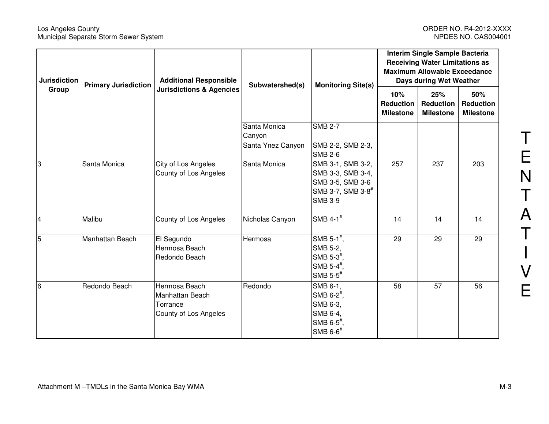#### Los Angeles County ORDER NO. R4-2012-XXXX Municipal Separate Storm Sewer System NPDES NO. CAS004001

| <b>Jurisdiction</b>     | <b>Primary Jurisdiction</b> | <b>Additional Responsible</b>       | Subwatershed(s)   | <b>Monitoring Site(s)</b>     | Interim Single Sample Bacteria<br><b>Receiving Water Limitations as</b><br><b>Maximum Allowable Exceedance</b><br>Days during Wet Weather |                                      |                                             |
|-------------------------|-----------------------------|-------------------------------------|-------------------|-------------------------------|-------------------------------------------------------------------------------------------------------------------------------------------|--------------------------------------|---------------------------------------------|
| Group                   |                             | <b>Jurisdictions &amp; Agencies</b> |                   |                               | 10%<br><b>Reduction</b><br><b>Milestone</b>                                                                                               | 25%<br>Reduction<br><b>Milestone</b> | 50%<br><b>Reduction</b><br><b>Milestone</b> |
|                         |                             |                                     | Santa Monica      | <b>SMB 2-7</b>                |                                                                                                                                           |                                      |                                             |
|                         |                             |                                     | Canyon            |                               |                                                                                                                                           |                                      |                                             |
|                         |                             |                                     | Santa Ynez Canyon | SMB 2-2, SMB 2-3,             |                                                                                                                                           |                                      |                                             |
|                         |                             |                                     |                   | <b>SMB 2-6</b>                |                                                                                                                                           |                                      |                                             |
| 3                       | Santa Monica                | City of Los Angeles                 | Santa Monica      | SMB 3-1, SMB 3-2,             | 257                                                                                                                                       | 237                                  | 203                                         |
|                         |                             | County of Los Angeles               |                   | SMB 3-3, SMB 3-4,             |                                                                                                                                           |                                      |                                             |
|                         |                             |                                     |                   | SMB 3-5, SMB 3-6              |                                                                                                                                           |                                      |                                             |
|                         |                             |                                     |                   | SMB 3-7, SMB 3-8 <sup>#</sup> |                                                                                                                                           |                                      |                                             |
|                         |                             |                                     |                   | <b>SMB 3-9</b>                |                                                                                                                                           |                                      |                                             |
| $\overline{\mathbf{4}}$ | Malibu                      | County of Los Angeles               | Nicholas Canyon   | SMB $4-1$ <sup>#</sup>        | 14                                                                                                                                        | 14                                   | 14                                          |
| $\overline{5}$          | Manhattan Beach             | El Segundo                          | Hermosa           | SMB 5-1 $^{\#}$ ,             | 29                                                                                                                                        | 29                                   | 29                                          |
|                         |                             | Hermosa Beach                       |                   | SMB 5-2,                      |                                                                                                                                           |                                      |                                             |
|                         |                             | Redondo Beach                       |                   | SMB $5-3^{\#}$ ,              |                                                                                                                                           |                                      |                                             |
|                         |                             |                                     |                   | SMB $5-4^{\frac{4}{3}}$ ,     |                                                                                                                                           |                                      |                                             |
|                         |                             |                                     |                   | SMB $5-5$ <sup>#</sup>        |                                                                                                                                           |                                      |                                             |
| 6                       | Redondo Beach               | Hermosa Beach                       | Redondo           | SMB 6-1,                      | 58                                                                                                                                        | 57                                   | 56                                          |
|                         |                             | Manhattan Beach                     |                   | SMB $6-2^{\frac{\pi}{2}}$ ,   |                                                                                                                                           |                                      |                                             |
|                         |                             | Torrance                            |                   | SMB 6-3,                      |                                                                                                                                           |                                      |                                             |
|                         |                             | County of Los Angeles               |                   | SMB 6-4,                      |                                                                                                                                           |                                      |                                             |
|                         |                             |                                     |                   | SMB $6-5^{\frac{\pi}{2}}$     |                                                                                                                                           |                                      |                                             |
|                         |                             |                                     |                   | SMB 6-6#                      |                                                                                                                                           |                                      |                                             |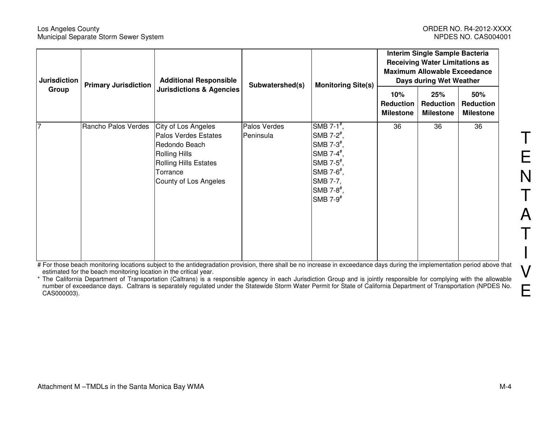#### Los Angeles County ORDER NO. R4-2012-XXXX Municipal Separate Storm Sewer System

| <b>Jurisdiction</b> | <b>Additional Responsible</b><br><b>Primary Jurisdiction</b> | Subwatershed(s)<br><b>Monitoring Site(s)</b>                                                                                                       | Interim Single Sample Bacteria<br><b>Receiving Water Limitations as</b><br><b>Maximum Allowable Exceedance</b><br>Days during Wet Weather |                                                                                                                                                                                                                                                                               |                                             |                                             |                                             |
|---------------------|--------------------------------------------------------------|----------------------------------------------------------------------------------------------------------------------------------------------------|-------------------------------------------------------------------------------------------------------------------------------------------|-------------------------------------------------------------------------------------------------------------------------------------------------------------------------------------------------------------------------------------------------------------------------------|---------------------------------------------|---------------------------------------------|---------------------------------------------|
| Group               |                                                              | <b>Jurisdictions &amp; Agencies</b>                                                                                                                |                                                                                                                                           |                                                                                                                                                                                                                                                                               | 10%<br><b>Reduction</b><br><b>Milestone</b> | 25%<br><b>Reduction</b><br><b>Milestone</b> | 50%<br><b>Reduction</b><br><b>Milestone</b> |
| 7                   | Rancho Palos Verdes                                          | City of Los Angeles<br>Palos Verdes Estates<br>Redondo Beach<br><b>Rolling Hills</b><br>Rolling Hills Estates<br>Torrance<br>County of Los Angeles | Palos Verdes<br>Peninsula                                                                                                                 | SMB 7-1 $#$ ,<br>SMB 7-2 $^{\#}$ ,<br>$\mathsf{SMB}$ 7-3 <sup>#</sup> ,<br>$\mathsf{SMB}$ 7-4 <sup>#</sup> ,<br>$\mathsf{SMB}$ 7-5 <sup>#</sup> ,<br>SMB 7- $6*$ ,<br>SMB 7-7,<br>$\mathsf{SMB}\mathsf{7}\text{-}\mathsf{8}^{\boldsymbol{\#}},$<br>$\mathsf{SMB}$ 7-9 $^{\#}$ | 36                                          | 36                                          | 36                                          |

# For those beach monitoring locations subject to the antidegradation provision, there shall be no increase in exceedance days during the implementation period above that estimated for the beach monitoring location in the critical year.

\* The California Department of Transportation (Caltrans) is a responsible agency in each Jurisdiction Group and is jointly responsible for complying with the allowable<br>number of exceedance days. Caltrans is separately regu CAS000003).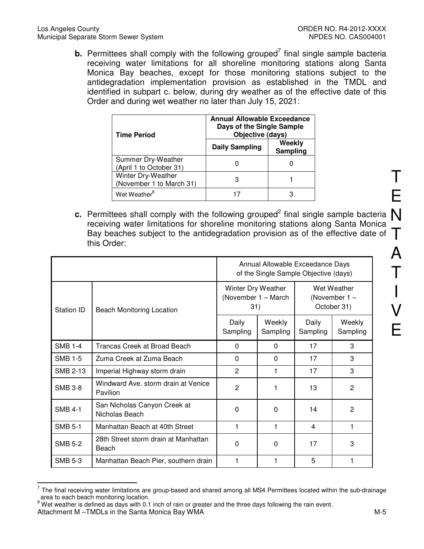**b.** Permittees shall comply with the following grouped<sup>7</sup> final single sample bacteria receiving water limitations for all shoreline monitoring stations along Santa Monica Bay beaches, except for those monitoring stations subject to the antidegradation implementation provision as established in the TMDL and identified in subpart c. below, during dry weather as of the effective date of this Order and during wet weather no later than July 15, 2021:

| <b>Time Period</b>                             | <b>Annual Allowable Exceedance</b><br>Days of the Single Sample<br>Objective (days) |                    |  |
|------------------------------------------------|-------------------------------------------------------------------------------------|--------------------|--|
|                                                | <b>Daily Sampling</b>                                                               | Weekly<br>Sampling |  |
| Summer Dry-Weather<br>(April 1 to October 31)  |                                                                                     |                    |  |
| Winter Dry-Weather<br>(November 1 to March 31) | з                                                                                   |                    |  |
| Wet Weather <sup>8</sup>                       |                                                                                     |                    |  |

**c.** Permittees shall comply with the following grouped<sup>2</sup> final single sample bacteria  $\bigwedge$ <br>receiving water limitations for shoreline monitoring stations along Santa Monica Bay beaches subject to the antidegradation provision as of the effective date of  $\top$ receiving water limitations for shoreline monitoring stations along Santa Monica this Order:

|                |                                                 |                                                  | Annual Allowable Exceedance Days<br>of the Single Sample Objective (days) |                                               |                    |
|----------------|-------------------------------------------------|--------------------------------------------------|---------------------------------------------------------------------------|-----------------------------------------------|--------------------|
| Station ID     | Beach Monitoring Location                       | Winter Dry Weather<br>(November 1 - March<br>31) |                                                                           | Wet Weather<br>(November $1 -$<br>October 31) |                    |
|                |                                                 | Daily<br>Sampling                                | Weekly<br>Sampling                                                        | Daily<br>Sampling                             | Weekly<br>Sampling |
| <b>SMB 1-4</b> | <b>Trancas Creek at Broad Beach</b>             | $\Omega$                                         | $\Omega$                                                                  | 17                                            | 3                  |
| <b>SMB 1-5</b> | Zuma Creek at Zuma Beach                        | $\Omega$                                         | $\Omega$                                                                  | 17                                            | 3                  |
| SMB 2-13       | Imperial Highway storm drain                    | $\overline{2}$                                   |                                                                           | 17                                            | 3                  |
| <b>SMB 3-8</b> | Windward Ave. storm drain at Venice<br>Pavilion | $\overline{2}$                                   |                                                                           | 13                                            | 2                  |
| <b>SMB 4-1</b> | San Nicholas Canyon Creek at<br>Nicholas Beach  | $\Omega$                                         | $\Omega$                                                                  | 14                                            | $\overline{2}$     |
| <b>SMB 5-1</b> | Manhattan Beach at 40th Street                  | 1                                                | 1                                                                         | 4                                             | 1                  |
| <b>SMB 5-2</b> | 28th Street storm drain at Manhattan<br>Beach   | $\Omega$                                         | 0                                                                         | 17                                            | 3                  |
| <b>SMB 5-3</b> | Manhattan Beach Pier, southern drain            |                                                  |                                                                           | 5                                             |                    |

The final receiving water limitations are group-based and shared among all MS4 Permittees located within the sub-drainage<br><sup>7</sup> The final receiving water limitations are group-based and shared among all MS4 Permittees locate area to each beach monitoring location.

Attachment M –TMDLs in the Santa Monica Bay WMA  $M-5$  $8$  Wet weather is defined as days with 0.1 inch of rain or greater and the three days following the rain event.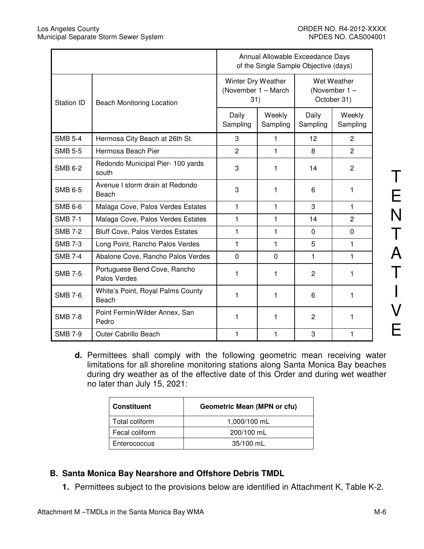ц,

|                |                                              | Annual Allowable Exceedance Days<br>of the Single Sample Objective (days) |                    |                                               |                    |  |
|----------------|----------------------------------------------|---------------------------------------------------------------------------|--------------------|-----------------------------------------------|--------------------|--|
| Station ID     | <b>Beach Monitoring Location</b>             | Winter Dry Weather<br>(November 1 - March<br>31)                          |                    | Wet Weather<br>(November $1 -$<br>October 31) |                    |  |
|                |                                              | Daily<br>Sampling                                                         | Weekly<br>Sampling | Daily<br>Sampling                             | Weekly<br>Sampling |  |
| <b>SMB 5-4</b> | Hermosa City Beach at 26th St.               | 3                                                                         | 1                  | 12 <sup>2</sup>                               | $\overline{2}$     |  |
| <b>SMB 5-5</b> | Hermosa Beach Pier                           | $\overline{2}$                                                            | 1                  | 8                                             | $\overline{2}$     |  |
| <b>SMB 6-2</b> | Redondo Municipal Pier- 100 yards<br>south   | 3                                                                         | 1                  | 14                                            | 2                  |  |
| <b>SMB 6-5</b> | Avenue I storm drain at Redondo<br>Beach     | 3                                                                         | 1                  | 6                                             | 1                  |  |
| <b>SMB 6-6</b> | Malaga Cove, Palos Verdes Estates            | $\mathbf{1}$                                                              | $\mathbf{1}$       | 3                                             | 1                  |  |
| <b>SMB 7-1</b> | Malaga Cove, Palos Verdes Estates            | 1                                                                         | 1                  | 14                                            | $\overline{2}$     |  |
| <b>SMB 7-2</b> | <b>Bluff Cove, Palos Verdes Estates</b>      | 1                                                                         | 1                  | $\Omega$                                      | $\Omega$           |  |
| <b>SMB 7-3</b> | Long Point, Rancho Palos Verdes              | 1                                                                         | 1                  | 5                                             | 1                  |  |
| <b>SMB 7-4</b> | Abalone Cove, Rancho Palos Verdes            | $\Omega$                                                                  | $\Omega$           | 1                                             | 1                  |  |
| <b>SMB 7-5</b> | Portuguese Bend Cove, Rancho<br>Palos Verdes | 1                                                                         | 1                  | 2                                             | 1                  |  |
| <b>SMB 7-6</b> | White's Point, Royal Palms County<br>Beach   | 1                                                                         | 1                  | 6                                             | 1                  |  |
| <b>SMB 7-8</b> | Point Fermin/Wilder Annex, San<br>Pedro      | 1                                                                         | 1                  | $\overline{c}$                                | 1                  |  |
| <b>SMB 7-9</b> | <b>Outer Cabrillo Beach</b>                  | 1                                                                         | 1                  | 3                                             | 1                  |  |

N T A T I V E

T

E

**d.** Permittees shall comply with the following geometric mean receiving water limitations for all shoreline monitoring stations along Santa Monica Bay beaches during dry weather as of the effective date of this Order and during wet weather no later than July 15, 2021:

| <b>Constituent</b> | <b>Geometric Mean (MPN or cfu)</b> |
|--------------------|------------------------------------|
| Total coliform     | 1,000/100 mL                       |
| Fecal coliform     | 200/100 mL                         |
| Enterococcus       | 35/100 mL                          |

# **B. Santa Monica Bay Nearshore and Offshore Debris TMDL**

**1.** Permittees subject to the provisions below are identified in Attachment K, Table K-2.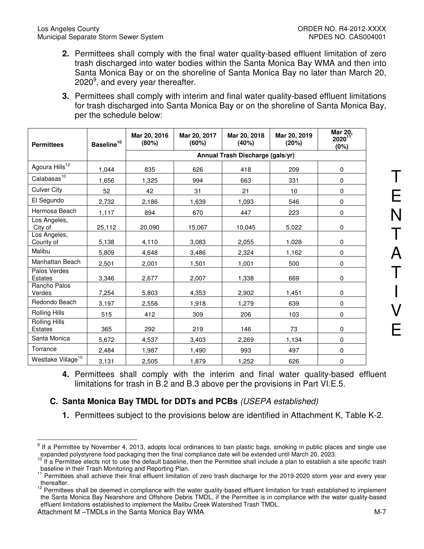- **2.** Permittees shall comply with the final water quality-based effluent limitation of zero trash discharged into water bodies within the Santa Monica Bay WMA and then into Santa Monica Bay or on the shoreline of Santa Monica Bay no later than March 20, 2020 $^9$ , and every year thereafter.
- **3.** Permittees shall comply with interim and final water quality-based effluent limitations for trash discharged into Santa Monica Bay or on the shoreline of Santa Monica Bay, per the schedule below:

| <b>Permittees</b>               | Baseline <sup>10</sup> | Mar 20, 2016<br>(80%) | Mar 20, 2017<br>(60%) | Mar 20, 2018<br>(40%)            | Mar 20, 2019<br>(20%) | <b>Mar 20,</b><br>$2020^{11}$<br>(0%) |
|---------------------------------|------------------------|-----------------------|-----------------------|----------------------------------|-----------------------|---------------------------------------|
|                                 |                        |                       |                       | Annual Trash Discharge (gals/yr) |                       |                                       |
| Agoura Hills <sup>12</sup>      | 1,044                  | 835                   | 626                   | 418                              | 209                   | $\mathbf 0$                           |
| Calabasas <sup>10</sup>         | 1,656                  | 1,325                 | 994                   | 663                              | 331                   | $\mathbf 0$                           |
| <b>Culver City</b>              | 52                     | 42                    | 31                    | 21                               | 10                    | $\mathbf 0$                           |
| El Segundo                      | 2,732                  | 2,186                 | 1,639                 | 1,093                            | 546                   | $\mathbf 0$                           |
| Hermosa Beach                   | 1,117                  | 894                   | 670                   | 447                              | 223                   | $\mathbf 0$                           |
| Los Angeles,<br>City of         | 25,112                 | 20,090                | 15,067                | 10,045                           | 5,022                 | $\mathbf 0$                           |
| Los Angeles,<br>County of       | 5,138                  | 4,110                 | 3,083                 | 2,055                            | 1,028                 | $\mathbf 0$                           |
| Malibu                          | 5,809                  | 4,648                 | 3,486                 | 2,324                            | 1,162                 | $\Omega$                              |
| Manhattan Beach                 | 2,501                  | 2,001                 | 1,501                 | 1,001                            | 500                   | $\Omega$                              |
| Palos Verdes<br><b>Estates</b>  | 3,346                  | 2,677                 | 2,007                 | 1,338                            | 669                   | $\mathbf 0$                           |
| Rancho Palos<br>Verdes          | 7,254                  | 5,803                 | 4,353                 | 2,902                            | 1,451                 | $\mathbf 0$                           |
| Redondo Beach                   | 3,197                  | 2,558                 | 1,918                 | 1,279                            | 639                   | $\mathbf 0$                           |
| Rolling Hills                   | 515                    | 412                   | 309                   | 206                              | 103                   | $\mathbf 0$                           |
| Rolling Hills<br><b>Estates</b> | 365                    | 292                   | 219                   | 146                              | 73                    | $\mathbf 0$                           |
| Santa Monica                    | 5,672                  | 4,537                 | 3,403                 | 2,269                            | 1,134                 | $\mathbf 0$                           |
| Torrance                        | 2,484                  | 1,987                 | 1,490                 | 993                              | 497                   | $\mathbf 0$                           |
| Westlake Village <sup>10</sup>  | 3,131                  | 2,505                 | 1,879                 | 1,252                            | 626                   | $\mathbf 0$                           |

**4.** Permittees shall comply with the interim and final water quality-based effluent limitations for trash in B.2 and B.3 above per the provisions in Part VI.E.5.

# **C. Santa Monica Bay TMDL for DDTs and PCBs** (USEPA established)

**1.** Permittees subject to the provisions below are identified in Attachment K, Table K-2.

 9 If a Permittee by November 4, 2013, adopts local ordinances to ban plastic bags, smoking in public places and single use expanded polystyrene food packaging then the final compliance date will be extended until March 20, 2023.

If a Permittee elects not to use the default baseline, then the Permittee shall include a plan to establish a site specific trash baseline in their Trash Monitoring and Reporting Plan.

Permittees shall achieve their final effluent limitation of zero trash discharge for the 2019-2020 storm year and every year thereafter.

<sup>&</sup>lt;sup>12</sup> Permittees shall be deemed in compliance with the water quality-based effluent limitation for trash established to implement the Santa Monica Bay Nearshore and Offshore Debris TMDL, if the Permittee is in compliance with the water quality-based effluent limitations established to implement the Malibu Creek Watershed Trash TMDL.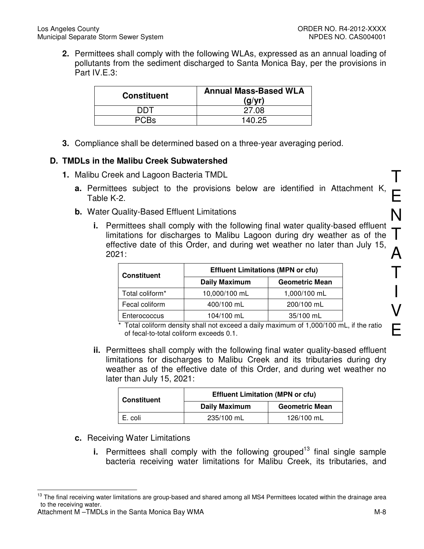**2.** Permittees shall comply with the following WLAs, expressed as an annual loading of pollutants from the sediment discharged to Santa Monica Bay, per the provisions in Part IV.E.3:

| <b>Constituent</b> | <b>Annual Mass-Based WLA</b><br>(q/yr) |
|--------------------|----------------------------------------|
| דחח                | 27.08                                  |
| PC.Bs              | 140.25                                 |

**3.** Compliance shall be determined based on a three-year averaging period.

## **D. TMDLs in the Malibu Creek Subwatershed**

- **1.** Malibu Creek and Lagoon Bacteria TMDL
	- **a.** Permittees subject to the provisions below are identified in Attachment K, Table K-2.
	- **b.** Water Quality-Based Effluent Limitations
		- **i.** Permittees shall comply with the following final water quality-based effluent limitations for discharges to Malibu Lagoon during dry weather as of the effective date of this Order, and during wet weather no later than July 15, 2021:

| <b>Constituent</b> | <b>Effluent Limitations (MPN or cfu)</b> |                       |  |  |
|--------------------|------------------------------------------|-----------------------|--|--|
|                    | <b>Daily Maximum</b>                     | <b>Geometric Mean</b> |  |  |
| Total coliform*    | 10,000/100 mL                            | 1,000/100 mL          |  |  |
| Fecal coliform     | 400/100 mL                               | 200/100 mL            |  |  |
| Enterococcus       | 104/100 mL                               | 35/100 mL             |  |  |

\* Total coliform density shall not exceed a daily maximum of 1,000/100 mL, if the ratio of fecal-to-total coliform exceeds 0.1.

**ii.** Permittees shall comply with the following final water quality-based effluent limitations for discharges to Malibu Creek and its tributaries during dry weather as of the effective date of this Order, and during wet weather no later than July 15, 2021:

| <b>Constituent</b> | <b>Effluent Limitation (MPN or cfu)</b> |                       |  |  |
|--------------------|-----------------------------------------|-----------------------|--|--|
|                    | <b>Daily Maximum</b>                    | <b>Geometric Mean</b> |  |  |
| E. coli            | 235/100 mL                              | 126/100 mL            |  |  |

- **c.** Receiving Water Limitations
	- **i.** Permittees shall comply with the following grouped<sup>13</sup> final single sample bacteria receiving water limitations for Malibu Creek, its tributaries, and

T

E

N

T

 $\boldsymbol{\mathsf{A}}$ 

T

I

V

E

<sup>13</sup> The final receiving water limitations are group-based and shared among all MS4 Permittees located within the drainage area to the receiving water.

Attachment M –TMDLs in the Santa Monica Bay WMA  $\blacksquare$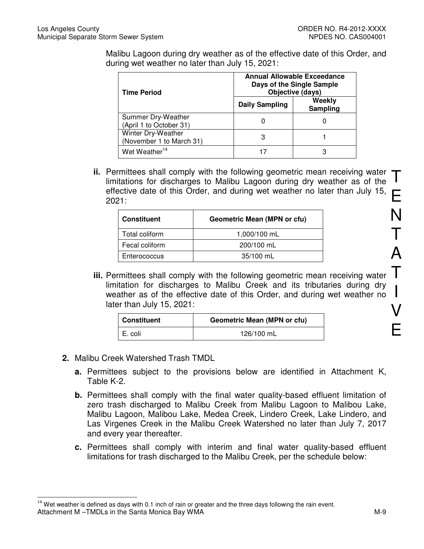Malibu Lagoon during dry weather as of the effective date of this Order, and during wet weather no later than July 15, 2021:

| <b>Time Period</b>                             | <b>Annual Allowable Exceedance</b><br>Days of the Single Sample<br>Objective (days) |                    |  |  |
|------------------------------------------------|-------------------------------------------------------------------------------------|--------------------|--|--|
| <b>Daily Sampling</b>                          |                                                                                     | Weekly<br>Sampling |  |  |
| Summer Dry-Weather<br>(April 1 to October 31)  |                                                                                     |                    |  |  |
| Winter Dry-Weather<br>(November 1 to March 31) | З                                                                                   |                    |  |  |
| Wet Weather <sup>14</sup>                      |                                                                                     |                    |  |  |

T **ii.** Permittees shall comply with the following geometric mean receiving water limitations for discharges to Malibu Lagoon during dry weather as of the effective date of this Order, and during wet weather no later than July 15, 2021:

| <b>Constituent</b> | <b>Geometric Mean (MPN or cfu)</b> |
|--------------------|------------------------------------|
| Total coliform     | 1,000/100 mL                       |
| Fecal coliform     | 200/100 mL                         |
| Enterococcus       | 35/100 mL                          |

**iii.** Permittees shall comply with the following geometric mean receiving water limitation for discharges to Malibu Creek and its tributaries during dry weather as of the effective date of this Order, and during wet weather no later than July 15, 2021:

| Constituent | <b>Geometric Mean (MPN or cfu)</b> |
|-------------|------------------------------------|
| I E. coli   | 126/100 mL                         |

**2.** Malibu Creek Watershed Trash TMDL

 $\overline{a}$ 

- **a.** Permittees subject to the provisions below are identified in Attachment K, Table K-2.
- **b.** Permittees shall comply with the final water quality-based effluent limitation of zero trash discharged to Malibu Creek from Malibu Lagoon to Malibou Lake, Malibu Lagoon, Malibou Lake, Medea Creek, Lindero Creek, Lake Lindero, and Las Virgenes Creek in the Malibu Creek Watershed no later than July 7, 2017 and every year thereafter.
- **c.** Permittees shall comply with interim and final water quality-based effluent limitations for trash discharged to the Malibu Creek, per the schedule below:

Attachment M –TMDLs in the Santa Monica Bay WMA  $\blacksquare$  $14$  Wet weather is defined as days with 0.1 inch of rain or greater and the three days following the rain event.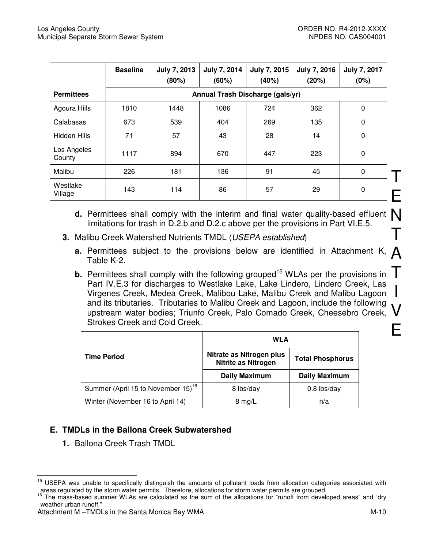T

E

I

|                       | <b>Baseline</b> | <b>July 7, 2013</b><br>(80%) | July 7, 2014<br>(60%)            | July 7, 2015<br>(40%) | <b>July 7, 2016</b><br>(20%) | <b>July 7, 2017</b><br>(0%) |
|-----------------------|-----------------|------------------------------|----------------------------------|-----------------------|------------------------------|-----------------------------|
| <b>Permittees</b>     |                 |                              | Annual Trash Discharge (gals/yr) |                       |                              |                             |
| Agoura Hills          | 1810            | 1448                         | 1086                             | 724                   | 362                          | 0                           |
| Calabasas             | 673             | 539                          | 404                              | 269                   | 135                          | 0                           |
| Hidden Hills          | 71              | 57                           | 43                               | 28                    | 14                           | $\mathbf 0$                 |
| Los Angeles<br>County | 1117            | 894                          | 670                              | 447                   | 223                          | 0                           |
| Malibu                | 226             | 181                          | 136                              | 91                    | 45                           | 0                           |
| Westlake<br>Village   | 143             | 114                          | 86                               | 57                    | 29                           | 0                           |

- **d.** Permittees shall comply with the interim and final water quality-based effluent  $\bigwedge$  limitations for trash in D 2 b and D 2 c above per the provisions in Part VI E 5 T limitations for trash in D.2.b and D.2.c above per the provisions in Part VI.E.5.
- **3.** Malibu Creek Watershed Nutrients TMDL (USEPA established)
	- **a.** Permittees subject to the provisions below are identified in Attachment K,  $\bigwedge$  Table K-2. Table K-2.
	- T V E **b.** Permittees shall comply with the following grouped<sup>15</sup> WLAs per the provisions in Part IV.E.3 for discharges to Westlake Lake, Lake Lindero, Lindero Creek, Las Virgenes Creek, Medea Creek, Malibou Lake, Malibu Creek and Malibu Lagoon and its tributaries. Tributaries to Malibu Creek and Lagoon, include the following upstream water bodies; Triunfo Creek, Palo Comado Creek, Cheesebro Creek, Strokes Creek and Cold Creek.

|                                                | <b>WLA</b>                                             |                         |  |
|------------------------------------------------|--------------------------------------------------------|-------------------------|--|
| <b>Time Period</b>                             | Nitrate as Nitrogen plus<br><b>Nitrite as Nitrogen</b> | <b>Total Phosphorus</b> |  |
|                                                | <b>Daily Maximum</b>                                   | <b>Daily Maximum</b>    |  |
| Summer (April 15 to November 15) <sup>16</sup> | 8 lbs/day                                              | $0.8$ lbs/day           |  |
| Winter (November 16 to April 14)               | $8 \text{ mg/L}$                                       | n/a                     |  |

# **E. TMDLs in the Ballona Creek Subwatershed**

**1.** Ballona Creek Trash TMDL

<sup>15</sup> <sup>15</sup> USEPA was unable to specifically distinguish the amounts of pollutant loads from allocation categories associated with areas regulated by the storm water permits. Therefore, allocations for storm water permits are grouped.

The mass-based summer WLAs are calculated as the sum of the allocations for "runoff from developed areas" and "dry weather urban runoff."

Attachment M –TMDLs in the Santa Monica Bay WMA M-10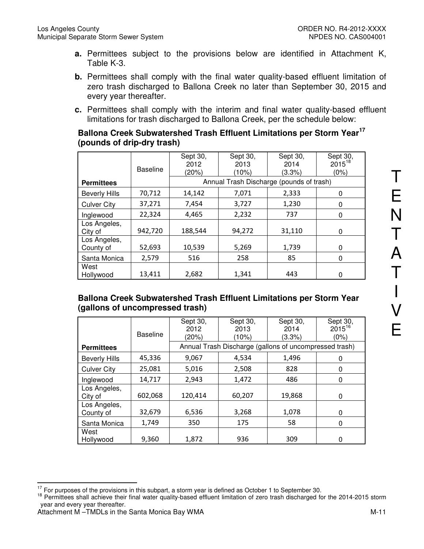- **a.** Permittees subject to the provisions below are identified in Attachment K, Table K-3.
- **b.** Permittees shall comply with the final water quality-based effluent limitation of zero trash discharged to Ballona Creek no later than September 30, 2015 and every year thereafter.
- **c.** Permittees shall comply with the interim and final water quality-based effluent limitations for trash discharged to Ballona Creek, per the schedule below:

## **Ballona Creek Subwatershed Trash Effluent Limitations per Storm Year<sup>17</sup> (pounds of drip-dry trash)**

|                           | <b>Baseline</b> | Sept 30,<br>2012<br>(20%) | Sept 30,<br>2013<br>(10%)                | Sept 30,<br>2014<br>(3.3%) | Sept 30,<br>$2015^{18}$<br>(0%) |
|---------------------------|-----------------|---------------------------|------------------------------------------|----------------------------|---------------------------------|
| <b>Permittees</b>         |                 |                           | Annual Trash Discharge (pounds of trash) |                            |                                 |
| <b>Beverly Hills</b>      | 70,712          | 14,142                    | 7,071                                    | 2,333                      | 0                               |
| <b>Culver City</b>        | 37,271          | 7,454                     | 3,727                                    | 1,230                      | 0                               |
| Inglewood                 | 22,324          | 4,465                     | 2,232                                    | 737                        | 0                               |
| Los Angeles,<br>City of   | 942,720         | 188,544                   | 94,272                                   | 31,110                     | 0                               |
| Los Angeles,<br>County of | 52,693          | 10,539                    | 5,269                                    | 1,739                      | $\Omega$                        |
| Santa Monica              | 2,579           | 516                       | 258                                      | 85                         | 0                               |
| West<br>Hollywood         | 13,411          | 2,682                     | 1,341                                    | 443                        | 0                               |

## **Ballona Creek Subwatershed Trash Effluent Limitations per Storm Year (gallons of uncompressed trash)**

|                           | <b>Baseline</b> | Sept 30,<br>2012<br>(20%) | Sept 30,<br>2013<br>(10%)                              | Sept 30,<br>2014<br>(3.3%) | Sept 30,<br>$2015^{16}$<br>(0%) |
|---------------------------|-----------------|---------------------------|--------------------------------------------------------|----------------------------|---------------------------------|
| <b>Permittees</b>         |                 |                           | Annual Trash Discharge (gallons of uncompressed trash) |                            |                                 |
| <b>Beverly Hills</b>      | 45,336          | 9,067                     | 4,534                                                  | 1,496                      | 0                               |
| <b>Culver City</b>        | 25,081          | 5,016                     | 2,508                                                  | 828                        | 0                               |
| Inglewood                 | 14,717          | 2,943                     | 1,472                                                  | 486                        | 0                               |
| Los Angeles,<br>City of   | 602,068         | 120,414                   | 60,207                                                 | 19,868                     | 0                               |
| Los Angeles,<br>County of | 32,679          | 6,536                     | 3,268                                                  | 1,078                      | 0                               |
| Santa Monica              | 1,749           | 350                       | 175                                                    | 58                         | 0                               |
| West<br>Hollywood         | 9,360           | 1,872                     | 936                                                    | 309                        | 0                               |

 $\overline{a}$  $17$  For purposes of the provisions in this subpart, a storm year is defined as October 1 to September 30.

<sup>&</sup>lt;sup>18</sup> Permittees shall achieve their final water quality-based effluent limitation of zero trash discharged for the 2014-2015 storm year and every year thereafter.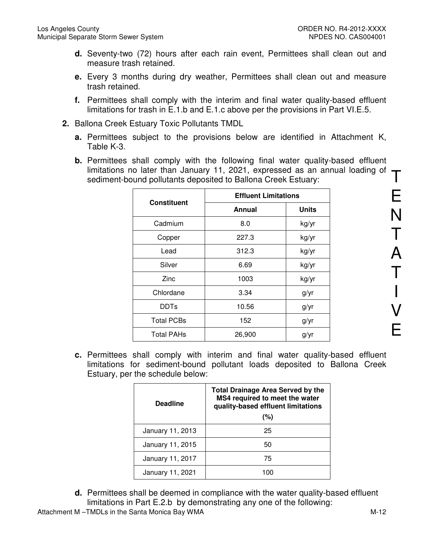- **d.** Seventy-two (72) hours after each rain event, Permittees shall clean out and measure trash retained.
- **e.** Every 3 months during dry weather, Permittees shall clean out and measure trash retained.
- **f.** Permittees shall comply with the interim and final water quality-based effluent limitations for trash in E.1.b and E.1.c above per the provisions in Part VI.E.5.
- **2.** Ballona Creek Estuary Toxic Pollutants TMDL
	- **a.** Permittees subject to the provisions below are identified in Attachment K, Table K-3.
	- limitations no later than January 11, 2021, expressed as an annual loading of  $\top$ **b.** Permittees shall comply with the following final water quality-based effluent sediment-bound pollutants deposited to Ballona Creek Estuary:

|                    | <b>Effluent Limitations</b> |              |  |
|--------------------|-----------------------------|--------------|--|
| <b>Constituent</b> | Annual                      | <b>Units</b> |  |
| Cadmium            | 8.0                         | kg/yr        |  |
| Copper             | 227.3                       | kg/yr        |  |
| Lead               | 312.3                       | kg/yr        |  |
| Silver             | 6.69                        | kg/yr        |  |
| Zinc               | 1003                        | kg/yr        |  |
| Chlordane          | 3.34                        | g/yr         |  |
| <b>DDTs</b>        | 10.56                       | g/yr         |  |
| <b>Total PCBs</b>  | 152                         | g/yr         |  |
| <b>Total PAHs</b>  | 26,900                      | g/yr         |  |

**c.** Permittees shall comply with interim and final water quality-based effluent limitations for sediment-bound pollutant loads deposited to Ballona Creek Estuary, per the schedule below:

| <b>Deadline</b>  | <b>Total Drainage Area Served by the</b><br>MS4 required to meet the water<br>quality-based effluent limitations<br>(%) |
|------------------|-------------------------------------------------------------------------------------------------------------------------|
| January 11, 2013 | 25                                                                                                                      |
| January 11, 2015 | 50                                                                                                                      |
| January 11, 2017 | 75                                                                                                                      |
| January 11, 2021 | 100                                                                                                                     |

**d.** Permittees shall be deemed in compliance with the water quality-based effluent limitations in Part E.2.b by demonstrating any one of the following:

Attachment M –TMDLs in the Santa Monica Bay WMA M-12

E

N

T

A

T

I

V

E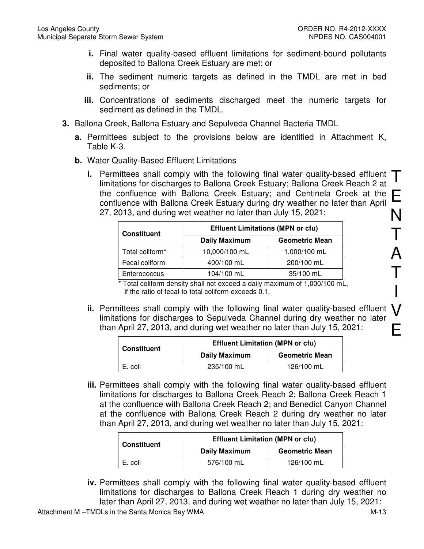- **i.** Final water quality-based effluent limitations for sediment-bound pollutants deposited to Ballona Creek Estuary are met; or
- **ii.** The sediment numeric targets as defined in the TMDL are met in bed sediments; or
- **iii.** Concentrations of sediments discharged meet the numeric targets for sediment as defined in the TMDL.
- **3.** Ballona Creek, Ballona Estuary and Sepulveda Channel Bacteria TMDL
	- **a.** Permittees subject to the provisions below are identified in Attachment K, Table K-3.
	- **b.** Water Quality-Based Effluent Limitations
		- **i.** Permittees shall comply with the following final water quality-based effluent  $\top$ <br>limitations for discharges to Ballona Creek Estuary: Ballona Creek Reach 2 at E N limitations for discharges to Ballona Creek Estuary; Ballona Creek Reach 2 at the confluence with Ballona Creek Estuary; and Centinela Creek at the confluence with Ballona Creek Estuary during dry weather no later than April 27, 2013, and during wet weather no later than July 15, 2021:

| <b>Constituent</b> | <b>Effluent Limitations (MPN or cfu)</b> |                       |  |
|--------------------|------------------------------------------|-----------------------|--|
|                    | <b>Daily Maximum</b>                     | <b>Geometric Mean</b> |  |
| Total coliform*    | 10,000/100 mL                            | 1,000/100 mL          |  |
| Fecal coliform     | 400/100 mL                               | 200/100 mL            |  |
| Enterococcus       | 104/100 mL                               | 35/100 mL             |  |

 $*$  Total coliform density shall not exceed a daily maximum of 1,000/100 mL, if the ratio of fecal-to-total coliform exceeds 0.1.

**ii.** Permittees shall comply with the following final water quality-based effluent  $\bigvee$  limitations for discharges to Sepulveda Channel during dry weather no later E limitations for discharges to Sepulveda Channel during dry weather no later than April 27, 2013, and during wet weather no later than July 15, 2021:

| <b>Constituent</b> | <b>Effluent Limitation (MPN or cfu)</b> |                       |  |
|--------------------|-----------------------------------------|-----------------------|--|
|                    | <b>Daily Maximum</b>                    | <b>Geometric Mean</b> |  |
| E. coli            | 235/100 mL                              | 126/100 mL            |  |

**iii.** Permittees shall comply with the following final water quality-based effluent limitations for discharges to Ballona Creek Reach 2; Ballona Creek Reach 1 at the confluence with Ballona Creek Reach 2; and Benedict Canyon Channel at the confluence with Ballona Creek Reach 2 during dry weather no later than April 27, 2013, and during wet weather no later than July 15, 2021:

| <b>Constituent</b> | <b>Effluent Limitation (MPN or cfu)</b> |                       |  |
|--------------------|-----------------------------------------|-----------------------|--|
|                    | <b>Daily Maximum</b>                    | <b>Geometric Mean</b> |  |
| E. coli            | 576/100 mL                              | 126/100 mL            |  |

**iv.** Permittees shall comply with the following final water quality-based effluent limitations for discharges to Ballona Creek Reach 1 during dry weather no later than April 27, 2013, and during wet weather no later than July 15, 2021:

T

A

T

I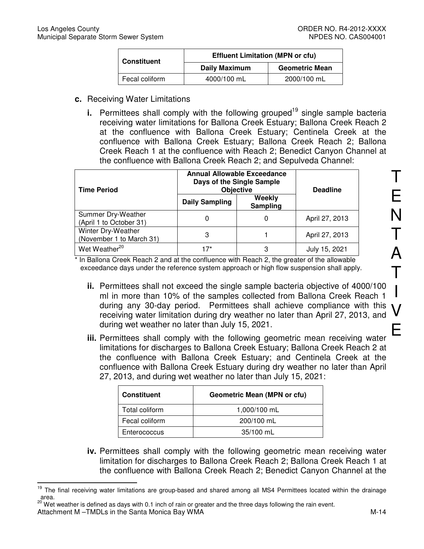| <b>Constituent</b> | <b>Effluent Limitation (MPN or cfu)</b> |                       |  |
|--------------------|-----------------------------------------|-----------------------|--|
|                    | <b>Daily Maximum</b>                    | <b>Geometric Mean</b> |  |
| Fecal coliform     | 4000/100 mL                             | 2000/100 mL           |  |

- **c.** Receiving Water Limitations
	- **i.** Permittees shall comply with the following grouped<sup>19</sup> single sample bacteria receiving water limitations for Ballona Creek Estuary; Ballona Creek Reach 2 at the confluence with Ballona Creek Estuary; Centinela Creek at the confluence with Ballona Creek Estuary; Ballona Creek Reach 2; Ballona Creek Reach 1 at the confluence with Reach 2; Benedict Canyon Channel at the confluence with Ballona Creek Reach 2; and Sepulveda Channel:

| <b>Time Period</b>                             | <b>Annual Allowable Exceedance</b><br>Days of the Single Sample<br><b>Objective</b> | <b>Deadline</b>    |                |
|------------------------------------------------|-------------------------------------------------------------------------------------|--------------------|----------------|
|                                                | <b>Daily Sampling</b>                                                               | Weekly<br>Sampling |                |
| Summer Dry-Weather<br>(April 1 to October 31)  |                                                                                     | 0                  | April 27, 2013 |
| Winter Dry-Weather<br>(November 1 to March 31) | 3                                                                                   |                    | April 27, 2013 |
| Wet Weather <sup>20</sup>                      | 17*                                                                                 | 3                  | 15, 2021       |

\* In Ballona Creek Reach 2 and at the confluence with Reach 2, the greater of the allowable exceedance days under the reference system approach or high flow suspension shall apply.

- **ii.** Permittees shall not exceed the single sample bacteria objective of 4000/100 ml in more than 10% of the samples collected from Ballona Creek Reach 1 during any 30-day period. Permittees shall achieve compliance with this receiving water limitation during dry weather no later than April 27, 2013, and during wet weather no later than July 15, 2021.
- **iii.** Permittees shall comply with the following geometric mean receiving water limitations for discharges to Ballona Creek Estuary; Ballona Creek Reach 2 at the confluence with Ballona Creek Estuary; and Centinela Creek at the confluence with Ballona Creek Estuary during dry weather no later than April 27, 2013, and during wet weather no later than July 15, 2021:

| <b>Constituent</b> | <b>Geometric Mean (MPN or cfu)</b> |  |
|--------------------|------------------------------------|--|
| Total coliform     | 1,000/100 mL                       |  |
| Fecal coliform     | 200/100 mL                         |  |
| Enterococcus       | 35/100 mL                          |  |

**iv.** Permittees shall comply with the following geometric mean receiving water limitation for discharges to Ballona Creek Reach 2; Ballona Creek Reach 1 at the confluence with Ballona Creek Reach 2; Benedict Canyon Channel at the

<sup>19</sup> The final receiving water limitations are group-based and shared among all MS4 Permittees located within the drainage area.

Attachment M –TMDLs in the Santa Monica Bay WMA M-14 <sup>20</sup> Wet weather is defined as days with 0.1 inch of rain or greater and the three days following the rain event.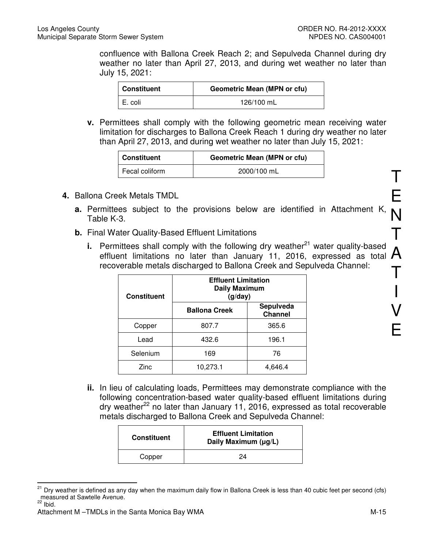confluence with Ballona Creek Reach 2; and Sepulveda Channel during dry weather no later than April 27, 2013, and during wet weather no later than July 15, 2021:

| <b>Constituent</b> | <b>Geometric Mean (MPN or cfu)</b> |  |
|--------------------|------------------------------------|--|
| E. coli            | 126/100 mL                         |  |

**v.** Permittees shall comply with the following geometric mean receiving water limitation for discharges to Ballona Creek Reach 1 during dry weather no later than April 27, 2013, and during wet weather no later than July 15, 2021:

| <b>Constituent</b> | <b>Geometric Mean (MPN or cfu)</b> |
|--------------------|------------------------------------|
| Fecal coliform     | 2000/100 mL                        |

- **4.** Ballona Creek Metals TMDL
	- N **a.** Permittees subject to the provisions below are identified in Attachment K, Table K-3.
	- **b.** Final Water Quality-Based Effluent Limitations
- T A T **i.** Permittees shall comply with the following dry weather<sup>21</sup> water quality-based effluent limitations no later than January 11, 2016, expressed as total recoverable metals discharged to Ballona Creek and Sepulveda Channel:

| <b>Constituent</b> | <b>Effluent Limitation</b><br><b>Daily Maximum</b><br>(g/day) |                             |
|--------------------|---------------------------------------------------------------|-----------------------------|
|                    | <b>Ballona Creek</b>                                          | Sepulveda<br><b>Channel</b> |
| Copper             | 807.7                                                         | 365.6                       |
| Lead               | 432.6                                                         | 196.1                       |
| Selenium           | 169                                                           | 76                          |
| Zinc               | 10,273.1                                                      | 4,646.4                     |

**ii.** In lieu of calculating loads, Permittees may demonstrate compliance with the following concentration-based water quality-based effluent limitations during dry weather<sup>22</sup> no later than January 11, 2016, expressed as total recoverable metals discharged to Ballona Creek and Sepulveda Channel:

| <b>Constituent</b> | <b>Effluent Limitation</b><br>Daily Maximum (µg/L) |  |
|--------------------|----------------------------------------------------|--|
| Copper             | 24                                                 |  |

 $\overline{a}$ <sup>21</sup> Dry weather is defined as any day when the maximum daily flow in Ballona Creek is less than 40 cubic feet per second (cfs) measured at Sawtelle Avenue.

T

E

I

V

E

Attachment M –TMDLs in the Santa Monica Bay WMA M-15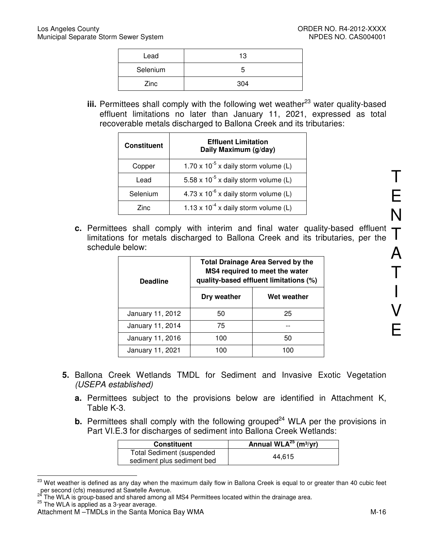| Lead     | 13  |
|----------|-----|
| Selenium | G   |
| Zinc     | 304 |

**iii.** Permittees shall comply with the following wet weather<sup>23</sup> water quality-based effluent limitations no later than January 11, 2021, expressed as total recoverable metals discharged to Ballona Creek and its tributaries:

| <b>Constituent</b> | <b>Effluent Limitation</b><br>Daily Maximum (g/day) |  |
|--------------------|-----------------------------------------------------|--|
| Copper             | 1.70 x $10^{-5}$ x daily storm volume (L)           |  |
| Lead               | 5.58 x $10^{-5}$ x daily storm volume (L)           |  |
| Selenium           | $4.73 \times 10^{-6}$ x daily storm volume (L)      |  |
| Zinc.              | 1.13 x $10^{-4}$ x daily storm volume (L)           |  |

**c.** Permittees shall comply with interim and final water quality-based effluent  $\top$  limitations for metals discharged to Ballona Creek and its tributaries, per the limitations for metals discharged to Ballona Creek and its tributaries, per the schedule below:

| <b>Deadline</b>  | <b>Total Drainage Area Served by the</b><br>MS4 required to meet the water<br>quality-based effluent limitations (%) |             |
|------------------|----------------------------------------------------------------------------------------------------------------------|-------------|
|                  | Dry weather                                                                                                          | Wet weather |
| January 11, 2012 | 50                                                                                                                   | 25          |
| January 11, 2014 | 75                                                                                                                   |             |
| January 11, 2016 | 100                                                                                                                  | 50          |
| January 11, 2021 | 100                                                                                                                  | 100         |

- **5.** Ballona Creek Wetlands TMDL for Sediment and Invasive Exotic Vegetation (USEPA established)
	- **a.** Permittees subject to the provisions below are identified in Attachment K, Table K-3.
	- **b.** Permittees shall comply with the following grouped<sup>24</sup> WLA per the provisions in Part VI.E.3 for discharges of sediment into Ballona Creek Wetlands:

| <b>Constituent</b>                                             | Annual WLA $^{25}$ (m <sup>3</sup> /yr) |
|----------------------------------------------------------------|-----------------------------------------|
| <b>Total Sediment (suspended</b><br>sediment plus sediment bed | 44.615                                  |

 $\overline{a}$ <sup>23</sup> Wet weather is defined as any day when the maximum daily flow in Ballona Creek is equal to or greater than 40 cubic feet per second (cfs) measured at Sawtelle Avenue.<br><sup>24</sup> The W<sup>1</sup> A<sup>1</sup>

The WLA is group-based and shared among all MS4 Permittees located within the drainage area.

 $25$  The WLA is applied as a 3-year average.

Attachment M –TMDLs in the Santa Monica Bay WMA M-16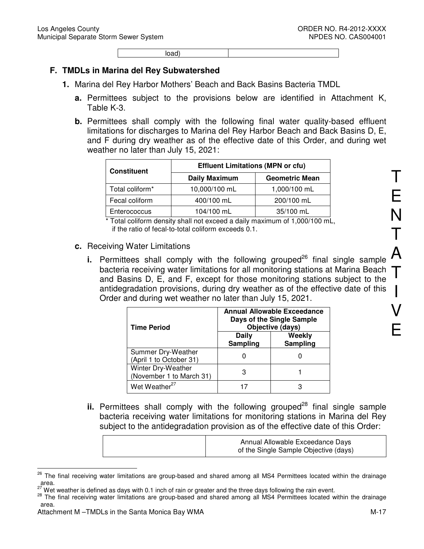load)

#### **F. TMDLs in Marina del Rey Subwatershed**

- **1.** Marina del Rey Harbor Mothers' Beach and Back Basins Bacteria TMDL
	- **a.** Permittees subject to the provisions below are identified in Attachment K, Table K-3.
	- **b.** Permittees shall comply with the following final water quality-based effluent limitations for discharges to Marina del Rey Harbor Beach and Back Basins D, E, and F during dry weather as of the effective date of this Order, and during wet weather no later than July 15, 2021:

| <b>Constituent</b>          | <b>Effluent Limitations (MPN or cfu)</b> |                       |
|-----------------------------|------------------------------------------|-----------------------|
|                             | <b>Daily Maximum</b>                     | <b>Geometric Mean</b> |
| Total coliform <sup>*</sup> | 10,000/100 mL                            | 1,000/100 mL          |
| Fecal coliform              | 400/100 mL                               | 200/100 mL            |
| Enterococcus                | 104/100 mL                               | 35/100 mL             |

\* Total coliform density shall not exceed a daily maximum of 1,000/100 mL, if the ratio of fecal-to-total coliform exceeds 0.1.

#### **c.** Receiving Water Limitations

bacteria receiving water limitations for all monitoring stations at Marina Beach  $\, \mathsf{T} \,$  and Basins D. E. and F. except for those monitoring stations subiect to the **i.** Permittees shall comply with the following grouped<sup>26</sup> final single sample and Basins D, E, and F, except for those monitoring stations subject to the antidegradation provisions, during dry weather as of the effective date of this Order and during wet weather no later than July 15, 2021.

| <b>Time Period</b>                             | Annual Allowable Exceedance<br>Days of the Single Sample<br>Objective (days) |                    |
|------------------------------------------------|------------------------------------------------------------------------------|--------------------|
|                                                | <b>Daily</b><br>Sampling                                                     | Weekly<br>Sampling |
| Summer Dry-Weather<br>(April 1 to October 31)  |                                                                              |                    |
| Winter Dry-Weather<br>(November 1 to March 31) | З                                                                            |                    |
| Wet Weather <sup>27</sup>                      |                                                                              |                    |

 $\mathbf{ii}$ . Permittees shall comply with the following grouped<sup>28</sup> final single sample bacteria receiving water limitations for monitoring stations in Marina del Rey subject to the antidegradation provision as of the effective date of this Order:

| Annual Allowable Exceedance Days<br>of the Single Sample Objective (days) |  |
|---------------------------------------------------------------------------|--|
|---------------------------------------------------------------------------|--|

<sup>26</sup> <sup>26</sup> The final receiving water limitations are group-based and shared among all MS4 Permittees located within the drainage  $area.$ 

Wet weather is defined as days with 0.1 inch of rain or greater and the three days following the rain event.

<sup>&</sup>lt;sup>28</sup> The final receiving water limitations are group-based and shared among all MS4 Permittees located within the drainage area.

Attachment M –TMDLs in the Santa Monica Bay WMA M-17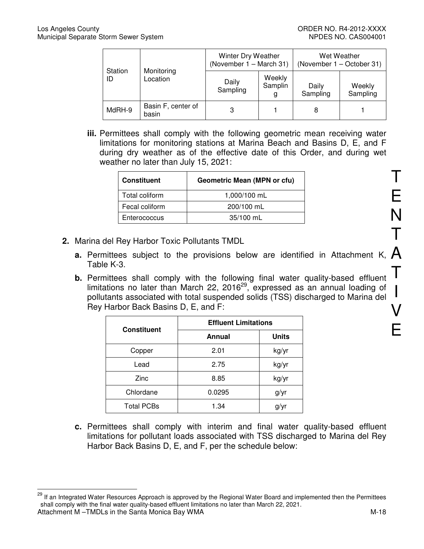$\overline{a}$ 

| Station<br>ID | Monitoring<br>Location      | Winter Dry Weather<br>(November 1 - March 31) |                        | Wet Weather<br>(November 1 – October 31) |                    |
|---------------|-----------------------------|-----------------------------------------------|------------------------|------------------------------------------|--------------------|
|               |                             | Daily<br>Sampling                             | Weekly<br>Samplin<br>g | Daily<br>Sampling                        | Weekly<br>Sampling |
| MdRH-9        | Basin F, center of<br>basin |                                               |                        | 8                                        |                    |

**iii.** Permittees shall comply with the following geometric mean receiving water limitations for monitoring stations at Marina Beach and Basins D, E, and F during dry weather as of the effective date of this Order, and during wet weather no later than July 15, 2021:

| <b>Constituent</b> | <b>Geometric Mean (MPN or cfu)</b> |
|--------------------|------------------------------------|
| Total coliform     | 1,000/100 mL                       |
| Fecal coliform     | 200/100 mL                         |
| Enterococcus       | 35/100 mL                          |

- **2.** Marina del Rey Harbor Toxic Pollutants TMDL
	- **a.** Permittees subject to the provisions below are identified in Attachment K,  $\bigwedge$ Table K-3.
	- **b.** Permittees shall comply with the following final water quality-based effluent limitations no later than March 22, 2016<sup>29</sup>, expressed as an annual loading of pollutants associated with total suspended solids (TSS) discharged to Marina del Rey Harbor Back Basins D, E, and F:

| <b>Constituent</b> | <b>Effluent Limitations</b> |              |  |  |
|--------------------|-----------------------------|--------------|--|--|
|                    | Annual                      | <b>Units</b> |  |  |
| Copper             | 2.01                        | kg/yr        |  |  |
| Lead               | 2.75                        | kg/yr        |  |  |
| Zinc               | 8.85                        | kg/yr        |  |  |
| Chlordane          | 0.0295                      | g/yr         |  |  |
| <b>Total PCBs</b>  | 1.34                        | g/yr         |  |  |

**c.** Permittees shall comply with interim and final water quality-based effluent limitations for pollutant loads associated with TSS discharged to Marina del Rey Harbor Back Basins D, E, and F, per the schedule below:

T

E

N

T

Attachment M –TMDLs in the Santa Monica Bay WMA M-18 <sup>29</sup> If an Integrated Water Resources Approach is approved by the Regional Water Board and implemented then the Permittees shall comply with the final water quality-based effluent limitations no later than March 22, 2021.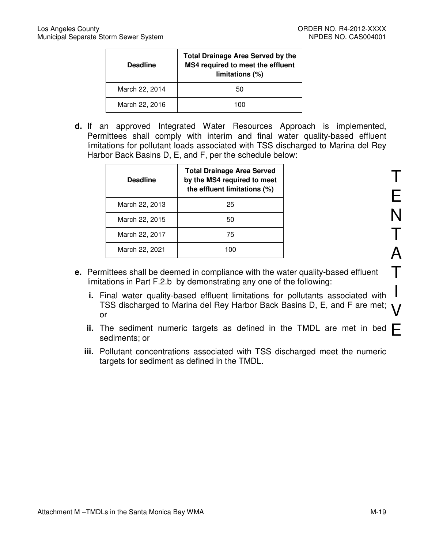| <b>Deadline</b> | <b>Total Drainage Area Served by the</b><br>MS4 required to meet the effluent<br>limitations (%) |
|-----------------|--------------------------------------------------------------------------------------------------|
| March 22, 2014  | 50                                                                                               |
| March 22, 2016  | 100                                                                                              |

**d.** If an approved Integrated Water Resources Approach is implemented, Permittees shall comply with interim and final water quality-based effluent limitations for pollutant loads associated with TSS discharged to Marina del Rey Harbor Back Basins D, E, and F, per the schedule below:

| <b>Deadline</b> | <b>Total Drainage Area Served</b><br>by the MS4 required to meet<br>the effluent limitations (%) |
|-----------------|--------------------------------------------------------------------------------------------------|
| March 22, 2013  | 25                                                                                               |
| March 22, 2015  | 50                                                                                               |
| March 22, 2017  | 75                                                                                               |
| March 22, 2021  | 100                                                                                              |

- **e.** Permittees shall be deemed in compliance with the water quality-based effluent limitations in Part F.2.b by demonstrating any one of the following:
	- **i.** Final water quality-based effluent limitations for pollutants associated with TSS discharged to Marina del Rey Harbor Back Basins D, E, and F are met; or
	- ii. The sediment numeric targets as defined in the TMDL are met in bed  $\mathsf{E}$ sediments; or
	- **iii.** Pollutant concentrations associated with TSS discharged meet the numeric targets for sediment as defined in the TMDL.

T E N T A  $\boldsymbol{\mathsf T}$ I V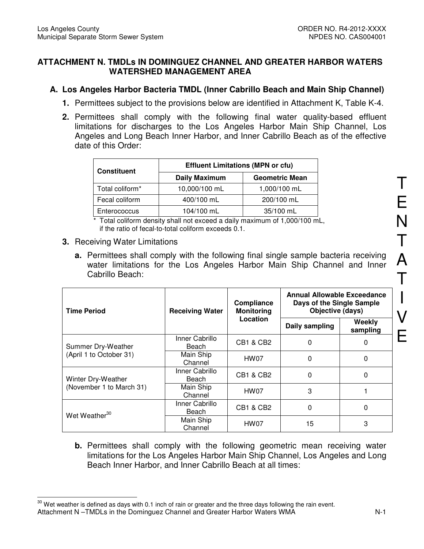## **ATTACHMENT N. TMDLs IN DOMINGUEZ CHANNEL AND GREATER HARBOR WATERS WATERSHED MANAGEMENT AREA**

# **A. Los Angeles Harbor Bacteria TMDL (Inner Cabrillo Beach and Main Ship Channel)**

- **1.** Permittees subject to the provisions below are identified in Attachment K, Table K-4.
- **2.** Permittees shall comply with the following final water quality-based effluent limitations for discharges to the Los Angeles Harbor Main Ship Channel, Los Angeles and Long Beach Inner Harbor, and Inner Cabrillo Beach as of the effective date of this Order:

| <b>Constituent</b>          | <b>Effluent Limitations (MPN or cfu)</b> |                       |  |  |
|-----------------------------|------------------------------------------|-----------------------|--|--|
|                             | <b>Daily Maximum</b>                     | <b>Geometric Mean</b> |  |  |
| Total coliform <sup>*</sup> | 10,000/100 mL                            | 1,000/100 mL          |  |  |
| Fecal coliform              | 400/100 mL                               | 200/100 mL            |  |  |
| Enterococcus                | 104/100 mL                               | 35/100 mL             |  |  |

\* Total coliform density shall not exceed a daily maximum of 1,000/100 mL, if the ratio of fecal-to-total coliform exceeds 0.1.

#### **3.** Receiving Water Limitations

**a.** Permittees shall comply with the following final single sample bacteria receiving water limitations for the Los Angeles Harbor Main Ship Channel and Inner Cabrillo Beach:

| <b>Time Period</b>        | <b>Receiving Water</b>            | Compliance<br><b>Monitoring</b> | <b>Annual Allowable Exceedance</b><br>Days of the Single Sample<br>Objective (days) |                    |
|---------------------------|-----------------------------------|---------------------------------|-------------------------------------------------------------------------------------|--------------------|
|                           |                                   | Location                        | Daily sampling                                                                      | Weekly<br>sampling |
| Summer Dry-Weather        | Inner Cabrillo<br>Beach           | CB1 & CB2                       | 0                                                                                   | 0                  |
| (April 1 to October 31)   | Main Ship<br>HW07<br>0<br>Channel |                                 | 0                                                                                   |                    |
| Winter Dry-Weather        | Inner Cabrillo<br>Beach           | <b>CB1 &amp; CB2</b>            | $\Omega$                                                                            | 0                  |
| (November 1 to March 31)  | Main Ship<br>Channel              | HW07                            | 3                                                                                   |                    |
| Wet Weather <sup>30</sup> | Inner Cabrillo<br>Beach           | <b>CB1 &amp; CB2</b>            | 0                                                                                   | 0                  |
|                           | Main Ship<br>Channel              | HW07                            | 15                                                                                  | 3                  |

**b.** Permittees shall comply with the following geometric mean receiving water limitations for the Los Angeles Harbor Main Ship Channel, Los Angeles and Long Beach Inner Harbor, and Inner Cabrillo Beach at all times:

Attachment N –TMDLs in the Dominguez Channel and Greater Harbor Waters WMA N-1  $\overline{\phantom{a}}$  $30$  Wet weather is defined as days with 0.1 inch of rain or greater and the three days following the rain event.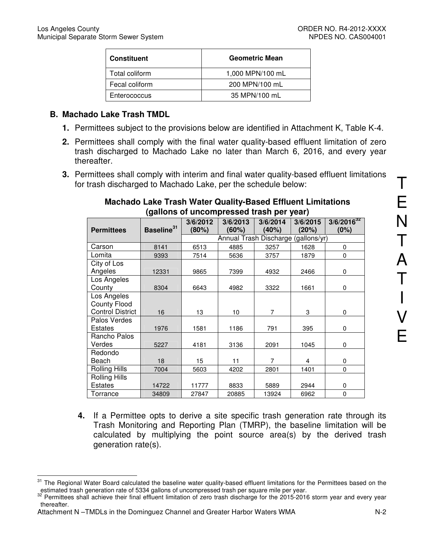| <b>Constituent</b> | <b>Geometric Mean</b> |
|--------------------|-----------------------|
| Total coliform     | 1,000 MPN/100 mL      |
| Fecal coliform     | 200 MPN/100 mL        |
| Enterococcus       | 35 MPN/100 mL         |

## **B. Machado Lake Trash TMDL**

- **1.** Permittees subject to the provisions below are identified in Attachment K, Table K-4.
- **2.** Permittees shall comply with the final water quality-based effluent limitation of zero trash discharged to Machado Lake no later than March 6, 2016, and every year thereafter.
- **3.** Permittees shall comply with interim and final water quality-based effluent limitations for trash discharged to Machado Lake, per the schedule below:

# **Machado Lake Trash Water Quality-Based Effluent Limitations (gallons of uncompressed trash per year)**

|                         |                        | 3/6/2012                            | 3/6/2013 | 3/6/2014 | 3/6/2015 | $3/6/2016^{32}$ |
|-------------------------|------------------------|-------------------------------------|----------|----------|----------|-----------------|
| <b>Permittees</b>       | Baseline <sup>31</sup> | (80%)                               | (60%)    | (40%)    | (20%)    | (0%)            |
|                         |                        | Annual Trash Discharge (gallons/yr) |          |          |          |                 |
| Carson                  | 8141                   | 6513                                | 4885     | 3257     | 1628     | $\Omega$        |
| Lomita                  | 9393                   | 7514                                | 5636     | 3757     | 1879     | 0               |
| City of Los             |                        |                                     |          |          |          |                 |
| Angeles                 | 12331                  | 9865                                | 7399     | 4932     | 2466     | 0               |
| Los Angeles             |                        |                                     |          |          |          |                 |
| County                  | 8304                   | 6643                                | 4982     | 3322     | 1661     | 0               |
| Los Angeles             |                        |                                     |          |          |          |                 |
| <b>County Flood</b>     |                        |                                     |          |          |          |                 |
| <b>Control District</b> | 16                     | 13                                  | 10       | 7        | 3        | $\Omega$        |
| Palos Verdes            |                        |                                     |          |          |          |                 |
| Estates                 | 1976                   | 1581                                | 1186     | 791      | 395      | 0               |
| Rancho Palos            |                        |                                     |          |          |          |                 |
| Verdes                  | 5227                   | 4181                                | 3136     | 2091     | 1045     | $\Omega$        |
| Redondo                 |                        |                                     |          |          |          |                 |
| Beach                   | 18                     | 15                                  | 11       | 7        | 4        | 0               |
| <b>Rolling Hills</b>    | 7004                   | 5603                                | 4202     | 2801     | 1401     | 0               |
| <b>Rolling Hills</b>    |                        |                                     |          |          |          |                 |
| Estates                 | 14722                  | 11777                               | 8833     | 5889     | 2944     | 0               |
| Torrance                | 34809                  | 27847                               | 20885    | 13924    | 6962     | 0               |

**4.** If a Permittee opts to derive a site specific trash generation rate through its Trash Monitoring and Reporting Plan (TMRP), the baseline limitation will be calculated by multiplying the point source area(s) by the derived trash generation rate(s).

 $\overline{a}$ The Regional Water Board calculated the baseline water quality-based effluent limitations for the Permittees based on the estimated trash generation rate of 5334 gallons of uncompressed trash per square mile per year.

<sup>&</sup>lt;sup>32</sup> Permittees shall achieve their final effluent limitation of zero trash discharge for the 2015-2016 storm year and every year thereafter.

Attachment N –TMDLs in the Dominguez Channel and Greater Harbor Waters WMA N-2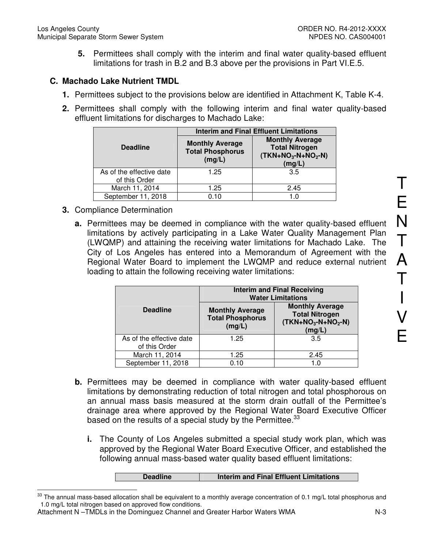**5.** Permittees shall comply with the interim and final water quality-based effluent limitations for trash in B.2 and B.3 above per the provisions in Part VI.E.5.

## **C. Machado Lake Nutrient TMDL**

- **1.** Permittees subject to the provisions below are identified in Attachment K, Table K-4.
- **2.** Permittees shall comply with the following interim and final water quality-based effluent limitations for discharges to Machado Lake:

|                                           | <b>Interim and Final Effluent Limitations</b>               |                                                                                  |  |  |
|-------------------------------------------|-------------------------------------------------------------|----------------------------------------------------------------------------------|--|--|
| <b>Deadline</b>                           | <b>Monthly Average</b><br><b>Total Phosphorus</b><br>(mg/L) | <b>Monthly Average</b><br><b>Total Nitrogen</b><br>$(TKN+NO3-N+NO2-N)$<br>(mg/L) |  |  |
| As of the effective date<br>of this Order | 1.25                                                        | 3.5                                                                              |  |  |
| March 11, 2014                            | 1.25                                                        | 2.45                                                                             |  |  |
| September 11, 2018                        | 0.10                                                        | 1.0                                                                              |  |  |

- **3.** Compliance Determination
	- **a.** Permittees may be deemed in compliance with the water quality-based effluent limitations by actively participating in a Lake Water Quality Management Plan (LWQMP) and attaining the receiving water limitations for Machado Lake. The City of Los Angeles has entered into a Memorandum of Agreement with the Regional Water Board to implement the LWQMP and reduce external nutrient loading to attain the following receiving water limitations:

|                                           | <b>Interim and Final Receiving</b><br><b>Water Limitations</b> |                                                                                  |  |
|-------------------------------------------|----------------------------------------------------------------|----------------------------------------------------------------------------------|--|
| <b>Deadline</b>                           | <b>Monthly Average</b><br><b>Total Phosphorus</b><br>(mg/L)    | <b>Monthly Average</b><br><b>Total Nitrogen</b><br>$(TKN+NO3-N+NO2-N)$<br>(mg/L) |  |
| As of the effective date<br>of this Order | 1.25                                                           | 3.5                                                                              |  |
| March 11, 2014                            | 1.25                                                           | 2.45                                                                             |  |
| September 11, 2018                        | 0.10                                                           | $\Omega$                                                                         |  |

- **b.** Permittees may be deemed in compliance with water quality-based effluent limitations by demonstrating reduction of total nitrogen and total phosphorous on an annual mass basis measured at the storm drain outfall of the Permittee's drainage area where approved by the Regional Water Board Executive Officer based on the results of a special study by the Permittee.<sup>33</sup>
	- **i.** The County of Los Angeles submitted a special study work plan, which was approved by the Regional Water Board Executive Officer, and established the following annual mass-based water quality based effluent limitations:

| <b>Deadline</b><br>Interim and Final Effluent Limitations |  |
|-----------------------------------------------------------|--|
|-----------------------------------------------------------|--|

<sup>33</sup> The annual mass-based allocation shall be equivalent to a monthly average concentration of 0.1 mg/L total phosphorus and 1.0 mg/L total nitrogen based on approved flow conditions.

Attachment N –TMDLs in the Dominguez Channel and Greater Harbor Waters WMA N-3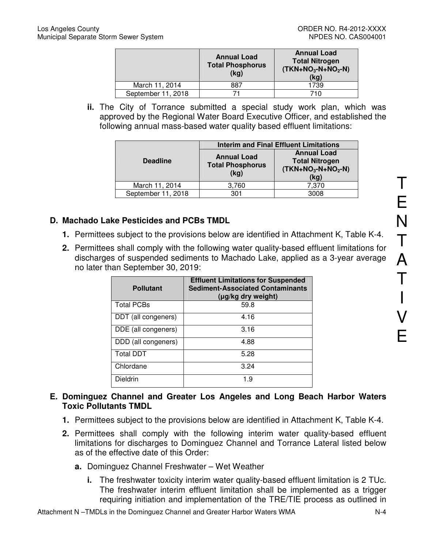|                    | <b>Annual Load</b><br><b>Total Phosphorus</b><br>(kg) | <b>Annual Load</b><br><b>Total Nitrogen</b><br>$(TKN+NO3-N+NO2-N)$<br>(kg) |
|--------------------|-------------------------------------------------------|----------------------------------------------------------------------------|
| March 11, 2014     | 887                                                   | 1739                                                                       |
| September 11, 2018 |                                                       | 710                                                                        |

**ii.** The City of Torrance submitted a special study work plan, which was approved by the Regional Water Board Executive Officer, and established the following annual mass-based water quality based effluent limitations:

|                    | <b>Interim and Final Effluent Limitations</b>         |                                                                            |  |  |
|--------------------|-------------------------------------------------------|----------------------------------------------------------------------------|--|--|
| <b>Deadline</b>    | <b>Annual Load</b><br><b>Total Phosphorus</b><br>(kg) | <b>Annual Load</b><br><b>Total Nitrogen</b><br>$(TKN+NO3-N+NO2-N)$<br>(kg) |  |  |
| March 11, 2014     | 3,760                                                 | 7,370                                                                      |  |  |
| September 11, 2018 | 301                                                   | 3008                                                                       |  |  |

# **D. Machado Lake Pesticides and PCBs TMDL**

- **1.** Permittees subject to the provisions below are identified in Attachment K, Table K-4.
- **2.** Permittees shall comply with the following water quality-based effluent limitations for discharges of suspended sediments to Machado Lake, applied as a 3-year average no later than September 30, 2019:

| <b>Pollutant</b>    | <b>Effluent Limitations for Suspended</b><br><b>Sediment-Associated Contaminants</b><br>(µg/kg dry weight) |
|---------------------|------------------------------------------------------------------------------------------------------------|
| <b>Total PCBs</b>   | 59.8                                                                                                       |
| DDT (all congeners) | 4.16                                                                                                       |
| DDE (all congeners) | 3.16                                                                                                       |
| DDD (all congeners) | 4.88                                                                                                       |
| <b>Total DDT</b>    | 5.28                                                                                                       |
| Chlordane           | 3.24                                                                                                       |
| Dieldrin            | 1.9                                                                                                        |

- **E. Dominguez Channel and Greater Los Angeles and Long Beach Harbor Waters Toxic Pollutants TMDL** 
	- **1.** Permittees subject to the provisions below are identified in Attachment K, Table K-4.
	- **2.** Permittees shall comply with the following interim water quality-based effluent limitations for discharges to Dominguez Channel and Torrance Lateral listed below as of the effective date of this Order:
		- **a.** Dominguez Channel Freshwater Wet Weather
			- **i.** The freshwater toxicity interim water quality-based effluent limitation is 2 TUc. The freshwater interim effluent limitation shall be implemented as a trigger requiring initiation and implementation of the TRE/TIE process as outlined in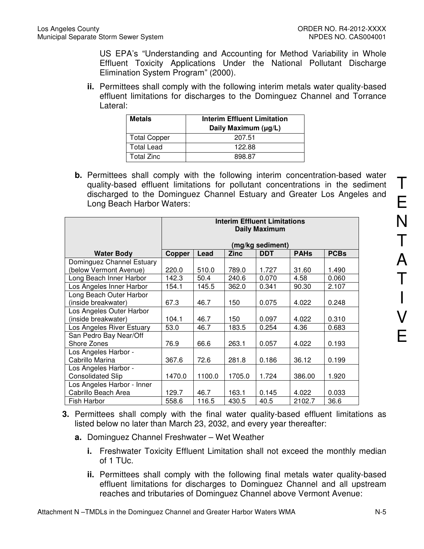US EPA's "Understanding and Accounting for Method Variability in Whole Effluent Toxicity Applications Under the National Pollutant Discharge Elimination System Program" (2000).

**ii.** Permittees shall comply with the following interim metals water quality-based effluent limitations for discharges to the Dominguez Channel and Torrance Lateral:

| <b>Metals</b>       | <b>Interim Effluent Limitation</b><br>Daily Maximum (µg/L) |
|---------------------|------------------------------------------------------------|
| <b>Total Copper</b> | 207.51                                                     |
| Total Lead          | 122.88                                                     |
| Total Zinc          | 898 87                                                     |

**b.** Permittees shall comply with the following interim concentration-based water quality-based effluent limitations for pollutant concentrations in the sediment discharged to the Dominguez Channel Estuary and Greater Los Angeles and Long Beach Harbor Waters:

|                            | <b>Interim Effluent Limitations</b><br><b>Daily Maximum</b> |        |             |                  |             |             |
|----------------------------|-------------------------------------------------------------|--------|-------------|------------------|-------------|-------------|
|                            |                                                             |        |             | (mg/kg sediment) |             |             |
| <b>Water Body</b>          | Copper                                                      | Lead   | <b>Zinc</b> | <b>DDT</b>       | <b>PAHs</b> | <b>PCBs</b> |
| Dominguez Channel Estuary  |                                                             |        |             |                  |             |             |
| (below Vermont Avenue)     | 220.0                                                       | 510.0  | 789.0       | 1.727            | 31.60       | 1.490       |
| Long Beach Inner Harbor    | 142.3                                                       | 50.4   | 240.6       | 0.070            | 4.58        | 0.060       |
| Los Angeles Inner Harbor   | 154.1                                                       | 145.5  | 362.0       | 0.341            | 90.30       | 2.107       |
| Long Beach Outer Harbor    |                                                             |        |             |                  |             |             |
| (inside breakwater)        | 67.3                                                        | 46.7   | 150         | 0.075            | 4.022       | 0.248       |
| Los Angeles Outer Harbor   |                                                             |        |             |                  |             |             |
| (inside breakwater)        | 104.1                                                       | 46.7   | 150         | 0.097            | 4.022       | 0.310       |
| Los Angeles River Estuary  | 53.0                                                        | 46.7   | 183.5       | 0.254            | 4.36        | 0.683       |
| San Pedro Bay Near/Off     |                                                             |        |             |                  |             |             |
| Shore Zones                | 76.9                                                        | 66.6   | 263.1       | 0.057            | 4.022       | 0.193       |
| Los Angeles Harbor -       |                                                             |        |             |                  |             |             |
| Cabrillo Marina            | 367.6                                                       | 72.6   | 281.8       | 0.186            | 36.12       | 0.199       |
| Los Angeles Harbor -       |                                                             |        |             |                  |             |             |
| <b>Consolidated Slip</b>   | 1470.0                                                      | 1100.0 | 1705.0      | 1.724            | 386.00      | 1.920       |
| Los Angeles Harbor - Inner |                                                             |        |             |                  |             |             |
| Cabrillo Beach Area        | 129.7                                                       | 46.7   | 163.1       | 0.145            | 4.022       | 0.033       |
| Fish Harbor                | 558.6                                                       | 116.5  | 430.5       | 40.5             | 2102.7      | 36.6        |

- **3.** Permittees shall comply with the final water quality-based effluent limitations as listed below no later than March 23, 2032, and every year thereafter:
	- **a.** Dominguez Channel Freshwater Wet Weather
		- **i.** Freshwater Toxicity Effluent Limitation shall not exceed the monthly median of 1 TUc.
		- **ii.** Permittees shall comply with the following final metals water quality-based effluent limitations for discharges to Dominguez Channel and all upstream reaches and tributaries of Dominguez Channel above Vermont Avenue: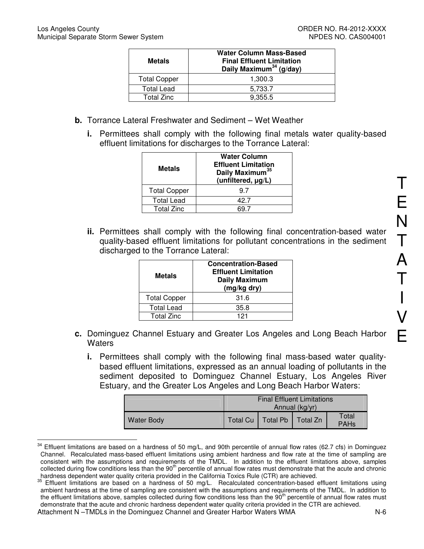| Metals              | <b>Water Column Mass-Based</b><br><b>Final Effluent Limitation</b><br>Daily Maximum <sup>34</sup> (g/day) |  |
|---------------------|-----------------------------------------------------------------------------------------------------------|--|
| <b>Total Copper</b> | 1.300.3                                                                                                   |  |
| <b>Total Lead</b>   | 5,733.7                                                                                                   |  |
| <b>Total Zinc</b>   | 9.355.5                                                                                                   |  |

- **b.** Torrance Lateral Freshwater and Sediment Wet Weather
	- **i.** Permittees shall comply with the following final metals water quality-based effluent limitations for discharges to the Torrance Lateral:

| <b>Metals</b>       | <b>Water Column</b><br><b>Effluent Limitation</b><br>Daily Maximum <sup>35</sup><br>(unfiltered, µg/L) |
|---------------------|--------------------------------------------------------------------------------------------------------|
| <b>Total Copper</b> | 97                                                                                                     |
| <b>Total Lead</b>   | 42 7                                                                                                   |
| <b>Total Zinc</b>   |                                                                                                        |

**ii.** Permittees shall comply with the following final concentration-based water quality-based effluent limitations for pollutant concentrations in the sediment discharged to the Torrance Lateral:

| <b>Metals</b>       | <b>Concentration-Based</b><br><b>Effluent Limitation</b><br><b>Daily Maximum</b><br>(mg/kg dry) |
|---------------------|-------------------------------------------------------------------------------------------------|
| <b>Total Copper</b> | 31.6                                                                                            |
| <b>Total Lead</b>   | 35.8                                                                                            |
| <b>Total Zinc</b>   | 121                                                                                             |

- **c.** Dominguez Channel Estuary and Greater Los Angeles and Long Beach Harbor **Waters** 
	- **i.** Permittees shall comply with the following final mass-based water qualitybased effluent limitations, expressed as an annual loading of pollutants in the sediment deposited to Dominguez Channel Estuary, Los Angeles River Estuary, and the Greater Los Angeles and Long Beach Harbor Waters:

|                   | <b>Final Effluent Limitations</b><br>Annual (kg/yr)    |  |  |  |  |
|-------------------|--------------------------------------------------------|--|--|--|--|
| <b>Water Body</b> | Total<br>Total Cu   Total Pb   Total Zn<br><b>PAHs</b> |  |  |  |  |

 $\overline{a}$  $34$  Effluent limitations are based on a hardness of 50 mg/L, and 90th percentile of annual flow rates (62.7 cfs) in Dominguez Channel. Recalculated mass-based effluent limitations using ambient hardness and flow rate at the time of sampling are consistent with the assumptions and requirements of the TMDL. In addition to the effluent limitations above, samples collected during flow conditions less than the 90<sup>th</sup> percentile of annual flow rates must demonstrate that the acute and chronic hardness dependent water quality criteria provided in the California Toxics Rule (CTR) are achieved.

Effluent limitations are based on a hardness of 50 mg/L. Recalculated concentration-based effluent limitations using ambient hardness at the time of sampling are consistent with the assumptions and requirements of the TMDL. In addition to the effluent limitations above, samples collected during flow conditions less than the 90<sup>th</sup> percentile of annual flow rates must demonstrate that the acute and chronic hardness dependent water quality criteria provided in the CTR are achieved.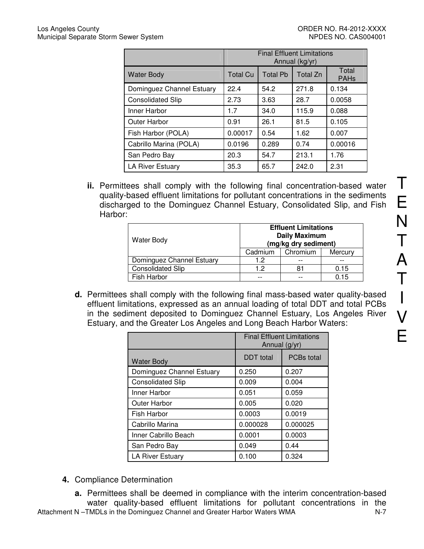|                           | <b>Final Effluent Limitations</b><br>Annual (kg/yr) |                 |          |                      |
|---------------------------|-----------------------------------------------------|-----------------|----------|----------------------|
| <b>Water Body</b>         | <b>Total Cu</b>                                     | <b>Total Pb</b> | Total Zn | Total<br><b>PAHs</b> |
| Dominguez Channel Estuary | 22.4                                                | 54.2            | 271.8    | 0.134                |
| <b>Consolidated Slip</b>  | 2.73                                                | 3.63            | 28.7     | 0.0058               |
| Inner Harbor              | 1.7                                                 | 34.0            | 115.9    | 0.088                |
| Outer Harbor              | 0.91                                                | 26.1            | 81.5     | 0.105                |
| Fish Harbor (POLA)        | 0.00017                                             | 0.54            | 1.62     | 0.007                |
| Cabrillo Marina (POLA)    | 0.0196                                              | 0.289           | 0.74     | 0.00016              |
| San Pedro Bay             | 20.3                                                | 54.7            | 213.1    | 1.76                 |
| <b>LA River Estuary</b>   | 35.3                                                | 65.7            | 242.0    | 2.31                 |

**ii.** Permittees shall comply with the following final concentration-based water quality-based effluent limitations for pollutant concentrations in the sediments discharged to the Dominguez Channel Estuary, Consolidated Slip, and Fish Harbor:

| <b>Water Body</b>         | <b>Effluent Limitations</b><br><b>Daily Maximum</b><br>(mg/kg dry sediment) |          |         |  |
|---------------------------|-----------------------------------------------------------------------------|----------|---------|--|
|                           | Cadmium                                                                     | Chromium | Mercury |  |
| Dominguez Channel Estuary | 1.2                                                                         |          |         |  |
| <b>Consolidated Slip</b>  | 12                                                                          | 81       | 0.15    |  |
| <b>Fish Harbor</b>        |                                                                             |          | 0.15    |  |

**d.** Permittees shall comply with the following final mass-based water quality-based effluent limitations, expressed as an annual loading of total DDT and total PCBs in the sediment deposited to Dominguez Channel Estuary, Los Angeles River Estuary, and the Greater Los Angeles and Long Beach Harbor Waters:

|                           | <b>Final Effluent Limitations</b><br>Annual (g/yr) |          |  |
|---------------------------|----------------------------------------------------|----------|--|
| <b>Water Body</b>         | <b>DDT</b> total<br><b>PCBs</b> total              |          |  |
| Dominguez Channel Estuary | 0.250                                              | 0.207    |  |
| <b>Consolidated Slip</b>  | 0.009                                              | 0.004    |  |
| Inner Harbor              | 0.051                                              | 0.059    |  |
| <b>Outer Harbor</b>       | 0.005                                              | 0.020    |  |
| Fish Harbor               | 0.0003                                             | 0.0019   |  |
| Cabrillo Marina           | 0.000028                                           | 0.000025 |  |
| Inner Cabrillo Beach      | 0.0001                                             | 0.0003   |  |
| San Pedro Bay             | 0.049                                              | 0.44     |  |
| <b>LA River Estuary</b>   | 0.100                                              | 0.324    |  |

- **4.** Compliance Determination
	- **a.** Permittees shall be deemed in compliance with the interim concentration-based water quality-based effluent limitations for pollutant concentrations in the

T

E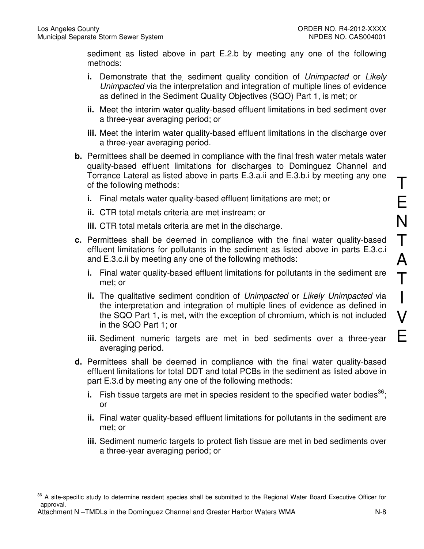sediment as listed above in part E.2.b by meeting any one of the following methods:

- **i.** Demonstrate that the sediment quality condition of Unimpacted or Likely Unimpacted via the interpretation and integration of multiple lines of evidence as defined in the Sediment Quality Objectives (SQO) Part 1, is met; or
- **ii.** Meet the interim water quality-based effluent limitations in bed sediment over a three-year averaging period; or
- **iii.** Meet the interim water quality-based effluent limitations in the discharge over a three-year averaging period.
- **b.** Permittees shall be deemed in compliance with the final fresh water metals water quality-based effluent limitations for discharges to Dominguez Channel and Torrance Lateral as listed above in parts E.3.a.ii and E.3.b.i by meeting any one of the following methods:
	- **i.** Final metals water quality-based effluent limitations are met; or
	- **ii.** CTR total metals criteria are met instream; or
	- **iii.** CTR total metals criteria are met in the discharge.
- **c.** Permittees shall be deemed in compliance with the final water quality-based effluent limitations for pollutants in the sediment as listed above in parts E.3.c.i and E.3.c.ii by meeting any one of the following methods:
	- **i.** Final water quality-based effluent limitations for pollutants in the sediment are met; or
	- **ii.** The qualitative sediment condition of Unimpacted or Likely Unimpacted via the interpretation and integration of multiple lines of evidence as defined in the SQO Part 1, is met, with the exception of chromium, which is not included in the SQO Part 1; or
	- **iii.** Sediment numeric targets are met in bed sediments over a three-year averaging period.
- **d.** Permittees shall be deemed in compliance with the final water quality-based effluent limitations for total DDT and total PCBs in the sediment as listed above in part E.3.d by meeting any one of the following methods:
	- **i.** Fish tissue targets are met in species resident to the specified water bodies<sup>36</sup>; or
	- **ii.** Final water quality-based effluent limitations for pollutants in the sediment are met; or
	- **iii.** Sediment numeric targets to protect fish tissue are met in bed sediments over a three-year averaging period; or

Attachment N –TMDLs in the Dominguez Channel and Greater Harbor Waters WMA N-8

 $\overline{a}$ <sup>36</sup> A site-specific study to determine resident species shall be submitted to the Regional Water Board Executive Officer for approval.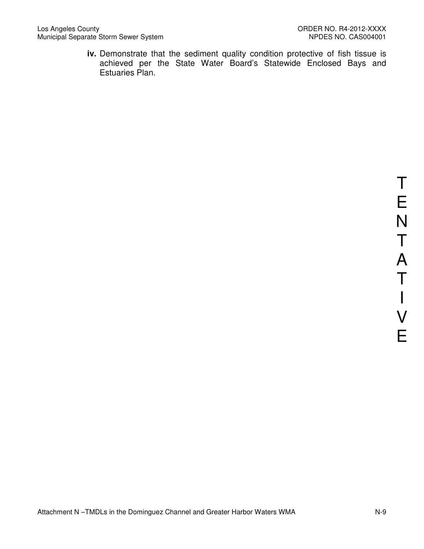iv. Demonstrate that the sediment quality condition protective of fish tissue is achieved per the State Water Board's Statewide Enclosed Bays and Estuaries Plan.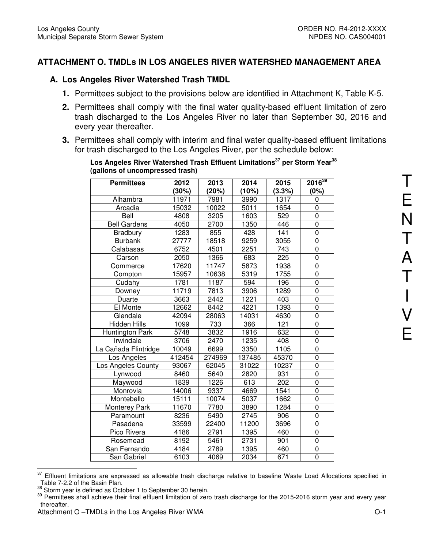## **ATTACHMENT O. TMDLs IN LOS ANGELES RIVER WATERSHED MANAGEMENT AREA**

#### **A. Los Angeles River Watershed Trash TMDL**

- **1.** Permittees subject to the provisions below are identified in Attachment K, Table K-5.
- **2.** Permittees shall comply with the final water quality-based effluent limitation of zero trash discharged to the Los Angeles River no later than September 30, 2016 and every year thereafter.
- **3.** Permittees shall comply with interim and final water quality-based effluent limitations for trash discharged to the Los Angeles River, per the schedule below:

| <b>Permittees</b>    | 2012   | 2013   | 2014   | 2015   | $2016^{39}$    |
|----------------------|--------|--------|--------|--------|----------------|
|                      | (30%)  | (20%)  | (10%)  | (3.3%) | (0%)           |
| Alhambra             | 11971  | 7981   | 3990   | 1317   | 0              |
| Arcadia              | 15032  | 10022  | 5011   | 1654   | 0              |
| Bell                 | 4808   | 3205   | 1603   | 529    | $\overline{0}$ |
| <b>Bell Gardens</b>  | 4050   | 2700   | 1350   | 446    | 0              |
| Bradbury             | 1283   | 855    | 428    | 141    | $\overline{0}$ |
| <b>Burbank</b>       | 27777  | 18518  | 9259   | 3055   | $\mathbf 0$    |
| Calabasas            | 6752   | 4501   | 2251   | 743    | $\overline{0}$ |
| Carson               | 2050   | 1366   | 683    | 225    | 0              |
| Commerce             | 17620  | 11747  | 5873   | 1938   | 0              |
| Compton              | 15957  | 10638  | 5319   | 1755   | 0              |
| Cudahy               | 1781   | 1187   | 594    | 196    | 0              |
| Downey               | 11719  | 7813   | 3906   | 1289   | $\overline{0}$ |
| Duarte               | 3663   | 2442   | 1221   | 403    | $\mathbf 0$    |
| El Monte             | 12662  | 8442   | 4221   | 1393   | $\mathbf 0$    |
| Glendale             | 42094  | 28063  | 14031  | 4630   | $\mathbf 0$    |
| <b>Hidden Hills</b>  | 1099   | 733    | 366    | 121    | $\overline{0}$ |
| Huntington Park      | 5748   | 3832   | 1916   | 632    | $\overline{0}$ |
| Irwindale            | 3706   | 2470   | 1235   | 408    | $\overline{0}$ |
| La Cañada Flintridge | 10049  | 6699   | 3350   | 1105   | $\overline{0}$ |
| Los Angeles          | 412454 | 274969 | 137485 | 45370  | 0              |
| Los Angeles County   | 93067  | 62045  | 31022  | 10237  | 0              |
| Lynwood              | 8460   | 5640   | 2820   | 931    | 0              |
| Maywood              | 1839   | 1226   | 613    | 202    | $\mathbf 0$    |
| Monrovia             | 14006  | 9337   | 4669   | 1541   | $\overline{0}$ |
| Montebello           | 15111  | 10074  | 5037   | 1662   | $\mathbf 0$    |
| <b>Monterey Park</b> | 11670  | 7780   | 3890   | 1284   | $\overline{0}$ |
| Paramount            | 8236   | 5490   | 2745   | 906    | 0              |
| Pasadena             | 33599  | 22400  | 11200  | 3696   | 0              |
| Pico Rivera          | 4186   | 2791   | 1395   | 460    | $\overline{0}$ |
| Rosemead             | 8192   | 5461   | 2731   | 901    | $\mathbf 0$    |
| San Fernando         | 4184   | 2789   | 1395   | 460    | $\overline{0}$ |
| San Gabriel          | 6103   | 4069   | 2034   | 671    | $\overline{0}$ |

**Los Angeles River Watershed Trash Effluent Limitations<sup>37</sup> per Storm Year<sup>38</sup> (gallons of uncompressed trash)** 

<sup>37</sup> Effluent limitations are expressed as allowable trash discharge relative to baseline Waste Load Allocations specified in Table 7-2.2 of the Basin Plan.

 $38$  Storm year is defined as October 1 to September 30 herein.

<sup>&</sup>lt;sup>39</sup> Permittees shall achieve their final effluent limitation of zero trash discharge for the 2015-2016 storm year and every year thereafter.

Attachment O –TMDLs in the Los Angeles River WMA  $O-1$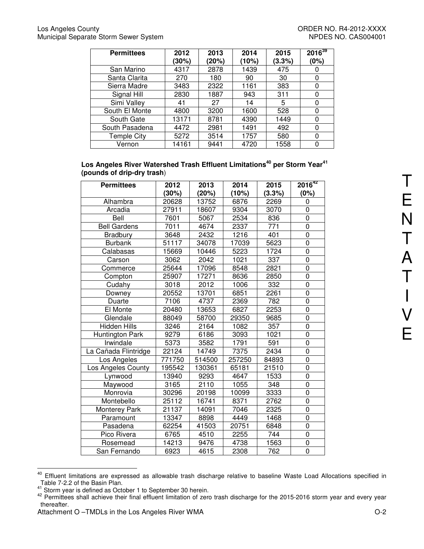| <b>Permittees</b>  | 2012<br>(30%) | 2013<br>(20%) | 2014<br>(10%) | 2015<br>(3.3%) | $2016^{39}$<br>(0%) |
|--------------------|---------------|---------------|---------------|----------------|---------------------|
| San Marino         | 4317          | 2878          | 1439          | 475            | O                   |
| Santa Clarita      | 270           | 180           | 90            | 30             | 0                   |
| Sierra Madre       | 3483          | 2322          | 1161          | 383            | 0                   |
| Signal Hill        | 2830          | 1887          | 943           | 311            | 0                   |
| Simi Valley        | 41            | 27            | 14            | 5              | 0                   |
| South El Monte     | 4800          | 3200          | 1600          | 528            | 0                   |
| South Gate         | 13171         | 8781          | 4390          | 1449           | 0                   |
| South Pasadena     | 4472          | 2981          | 1491          | 492            | 0                   |
| <b>Temple City</b> | 5272          | 3514          | 1757          | 580            | 0                   |
| Vernon             | 14161         | 9441          | 4720          | 1558           | O                   |

| Los Angeles River Watershed Trash Effluent Limitations $^{\rm 40}$ per Storm Year $^{\rm 41}$ |  |
|-----------------------------------------------------------------------------------------------|--|
| (pounds of drip-dry trash)                                                                    |  |

| <b>Permittees</b>    | 2012   | 2013   | 2014   | 2015   | $2016^{42}$    |
|----------------------|--------|--------|--------|--------|----------------|
|                      | (30%)  | (20%)  | (10%)  | (3.3%) | (0%)           |
| Alhambra             | 20628  | 13752  | 6876   | 2269   | 0              |
| Arcadia              | 27911  | 18607  | 9304   | 3070   | $\overline{0}$ |
| Bell                 | 7601   | 5067   | 2534   | 836    | 0              |
| <b>Bell Gardens</b>  | 7011   | 4674   | 2337   | 771    | $\overline{0}$ |
| <b>Bradbury</b>      | 3648   | 2432   | 1216   | 401    | $\overline{0}$ |
| <b>Burbank</b>       | 51117  | 34078  | 17039  | 5623   | $\overline{0}$ |
| Calabasas            | 15669  | 10446  | 5223   | 1724   | 0              |
| Carson               | 3062   | 2042   | 1021   | 337    | 0              |
| Commerce             | 25644  | 17096  | 8548   | 2821   | 0              |
| Compton              | 25907  | 17271  | 8636   | 2850   | $\overline{0}$ |
| Cudahy               | 3018   | 2012   | 1006   | 332    | 0              |
| Downey               | 20552  | 13701  | 6851   | 2261   | $\overline{0}$ |
| Duarte               | 7106   | 4737   | 2369   | 782    | $\overline{0}$ |
| El Monte             | 20480  | 13653  | 6827   | 2253   | $\overline{0}$ |
| Glendale             | 88049  | 58700  | 29350  | 9685   | 0              |
| <b>Hidden Hills</b>  | 3246   | 2164   | 1082   | 357    | $\overline{0}$ |
| Huntington Park      | 9279   | 6186   | 3093   | 1021   | $\overline{0}$ |
| Irwindale            | 5373   | 3582   | 1791   | 591    | $\overline{0}$ |
| La Cañada Flintridge | 22124  | 14749  | 7375   | 2434   | 0              |
| Los Angeles          | 771750 | 514500 | 257250 | 84893  | $\overline{0}$ |
| Los Angeles County   | 195542 | 130361 | 65181  | 21510  | $\overline{0}$ |
| Lynwood              | 13940  | 9293   | 4647   | 1533   | $\overline{0}$ |
| Maywood              | 3165   | 2110   | 1055   | 348    | 0              |
| Monrovia             | 30296  | 20198  | 10099  | 3333   | 0              |
| Montebello           | 25112  | 16741  | 8371   | 2762   | 0              |
| <b>Monterey Park</b> | 21137  | 14091  | 7046   | 2325   | 0              |
| Paramount            | 13347  | 8898   | 4449   | 1468   | 0              |
| Pasadena             | 62254  | 41503  | 20751  | 6848   | 0              |
| Pico Rivera          | 6765   | 4510   | 2255   | 744    | 0              |
| Rosemead             | 14213  | 9476   | 4738   | 1563   | 0              |
| San Fernando         | 6923   | 4615   | 2308   | 762    | 0              |

 $\overline{a}$ <sup>40</sup> Effluent limitations are expressed as allowable trash discharge relative to baseline Waste Load Allocations specified in Table 7-2.2 of the Basin Plan.

 $41$  Storm year is defined as October 1 to September 30 herein.

 $42$  Permittees shall achieve their final effluent limitation of zero trash discharge for the 2015-2016 storm year and every year thereafter.

Attachment O –TMDLs in the Los Angeles River WMA **C**-2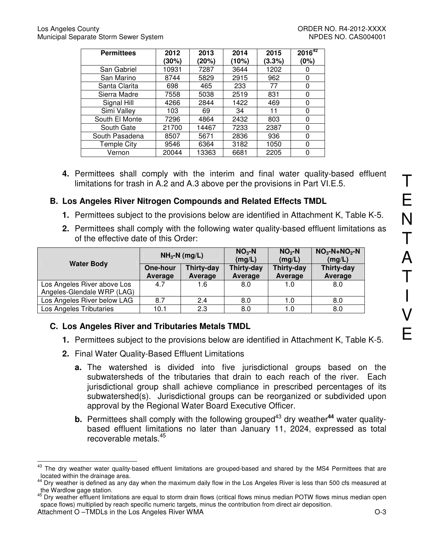| <b>Permittees</b>  | 2012<br>(30%) | 2013<br>(20%) | 2014<br>(10%) | 2015<br>(3.3%) | $2016^{42}$<br>(0%) |
|--------------------|---------------|---------------|---------------|----------------|---------------------|
| San Gabriel        | 10931         | 7287          | 3644          | 1202           | O                   |
| San Marino         | 8744          | 5829          | 2915          | 962            | 0                   |
| Santa Clarita      | 698           | 465           | 233           | 77             | 0                   |
| Sierra Madre       | 7558          | 5038          | 2519          | 831            | 0                   |
| Signal Hill        | 4266          | 2844          | 1422          | 469            | 0                   |
| Simi Valley        | 103           | 69            | 34            | 11             | 0                   |
| South El Monte     | 7296          | 4864          | 2432          | 803            | n                   |
| South Gate         | 21700         | 14467         | 7233          | 2387           | 0                   |
| South Pasadena     | 8507          | 5671          | 2836          | 936            | 0                   |
| <b>Temple City</b> | 9546          | 6364          | 3182          | 1050           | 0                   |
| Vernon             | 20044         | 13363         | 6681          | 2205           |                     |

**4.** Permittees shall comply with the interim and final water quality-based effluent limitations for trash in A.2 and A.3 above per the provisions in Part VI.E.5.

# **B. Los Angeles River Nitrogen Compounds and Related Effects TMDL**

- **1.** Permittees subject to the provisions below are identified in Attachment K, Table K-5.
- **2.** Permittees shall comply with the following water quality-based effluent limitations as of the effective date of this Order:

| <b>Water Body</b>                                         | $NH3-N$ (mg/L)      |                       | $NO3 - N$<br>(mg/L)   | $NO2$ -N<br>(mg/L)    | $NO3-N+NO2-N$<br>(mg/L) |
|-----------------------------------------------------------|---------------------|-----------------------|-----------------------|-----------------------|-------------------------|
|                                                           | One-hour<br>Average | Thirty-day<br>Average | Thirty-day<br>Average | Thirty-day<br>Average | Thirty-day<br>Average   |
| Los Angeles River above Los<br>Angeles-Glendale WRP (LAG) | 4.7                 | 1.6                   | 8.0                   | 1.0                   | 8.0                     |
| Los Angeles River below LAG                               | 8.7                 | 2.4                   | 8.0                   | 1.0                   | 8.0                     |
| Los Angeles Tributaries                                   | 10.1                | 2.3                   | 8.0                   | 1.0                   | 8.0                     |

# **C. Los Angeles River and Tributaries Metals TMDL**

- **1.** Permittees subject to the provisions below are identified in Attachment K, Table K-5.
- **2.** Final Water Quality-Based Effluent Limitations
	- **a.** The watershed is divided into five jurisdictional groups based on the subwatersheds of the tributaries that drain to each reach of the river. Each jurisdictional group shall achieve compliance in prescribed percentages of its subwatershed(s). Jurisdictional groups can be reorganized or subdivided upon approval by the Regional Water Board Executive Officer.
	- **b.** Permittees shall comply with the following grouped<sup>43</sup> dry weather<sup>44</sup> water qualitybased effluent limitations no later than January 11, 2024, expressed as total recoverable metals.<sup>45</sup>

 $\overline{\phantom{a}}$ The dry weather water quality-based effluent limitations are grouped-based and shared by the MS4 Permittees that are located within the drainage area.

Dry weather is defined as any day when the maximum daily flow in the Los Angeles River is less than 500 cfs measured at the Wardlow gage station.

Attachment O –TMDLs in the Los Angeles River WMA  $O-3$ <sup>45</sup> Dry weather effluent limitations are equal to storm drain flows (critical flows minus median POTW flows minus median open space flows) multiplied by reach specific numeric targets, minus the contribution from direct air deposition.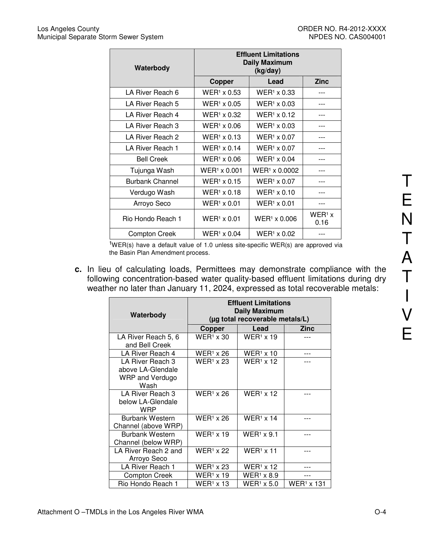| Waterbody              | <b>Effluent Limitations</b><br><b>Daily Maximum</b><br>(kg/day) |                           |                  |  |
|------------------------|-----------------------------------------------------------------|---------------------------|------------------|--|
|                        | Copper                                                          | Lead                      | <b>Zinc</b>      |  |
| LA River Reach 6       | $WER1 \times 0.53$                                              | $WER1 \times 0.33$        |                  |  |
| LA River Reach 5       | $WER1 \times 0.05$                                              | $WER1 \times 0.03$        |                  |  |
| LA River Reach 4       | WER <sup>1</sup> x 0.32                                         | $WER1 \times 0.12$        | ---              |  |
| LA River Reach 3       | $WER1 \times 0.06$                                              | $WER1 \times 0.03$        |                  |  |
| LA River Reach 2       | $WER1 \times 0.13$                                              | $WER1 \times 0.07$        |                  |  |
| LA River Reach 1       | $WER1 \times 0.14$                                              | $WER1 \times 0.07$        |                  |  |
| <b>Bell Creek</b>      | $WER1 \times 0.06$                                              | $WER1 \times 0.04$        |                  |  |
| Tujunga Wash           | $WER1 \times 0.001$                                             | WER <sup>1</sup> x 0.0002 | ---              |  |
| <b>Burbank Channel</b> | $WER1 \times 0.15$                                              | $WER1 \times 0.07$        |                  |  |
| Verdugo Wash           | $WER1 \times 0.18$                                              | $WER1 \times 0.10$        |                  |  |
| Arroyo Seco            | $WER1 \times 0.01$                                              | $WER1 \times 0.01$        |                  |  |
| Rio Hondo Reach 1      | $WER1 \times 0.01$                                              | $WER1 \times 0.006$       | $WER1$ x<br>0.16 |  |
| <b>Compton Creek</b>   | $WER1 \times 0.04$                                              | $WER1 \times 0.02$        |                  |  |

 $1$ WER(s) have a default value of 1.0 unless site-specific WER(s) are approved via the Basin Plan Amendment process.

**c.** In lieu of calculating loads, Permittees may demonstrate compliance with the following concentration-based water quality-based effluent limitations during dry weather no later than January 11, 2024, expressed as total recoverable metals:

| Waterbody                                                        | <b>Effluent Limitations</b><br>Daily Maximum<br>(µg total recoverable metals/L) |                   |            |  |  |
|------------------------------------------------------------------|---------------------------------------------------------------------------------|-------------------|------------|--|--|
|                                                                  | Copper                                                                          | Lead              | Zinc       |  |  |
| LA River Reach 5, 6<br>and Bell Creek                            | $WER1 \times 30$                                                                | $WER1 \times 19$  |            |  |  |
| LA River Reach 4                                                 | $WER1 \times 26$                                                                | $WER1 \times 10$  |            |  |  |
| LA River Reach 3<br>above LA-Glendale<br>WRP and Verdugo<br>Wash | $WER1 \times 23$                                                                | $WER1 \times 12$  |            |  |  |
| LA River Reach 3<br>below LA-Glendale<br><b>WRP</b>              | $WER1 \times 26$                                                                | $WER1 \times 12$  |            |  |  |
| <b>Burbank Western</b><br>Channel (above WRP)                    | $WER1 \times 26$                                                                | $WER1 \times 14$  |            |  |  |
| <b>Burbank Western</b><br>Channel (below WRP)                    | $WER1 \times 19$                                                                | $WER1 \times 9.1$ |            |  |  |
| LA River Reach 2 and<br>Arroyo Seco                              | $WER1 \times 22$                                                                | $WER1 \times 11$  |            |  |  |
| LA River Reach 1                                                 | $WER1 \times 23$                                                                | $WER1 \times 12$  |            |  |  |
| <b>Compton Creek</b>                                             | $WER1 \times 19$                                                                | $WER1 \times 8.9$ |            |  |  |
| Rio Hondo Reach 1                                                | $WER1 \times 13$                                                                | $WER1$ x 5.0      | WER1 x 131 |  |  |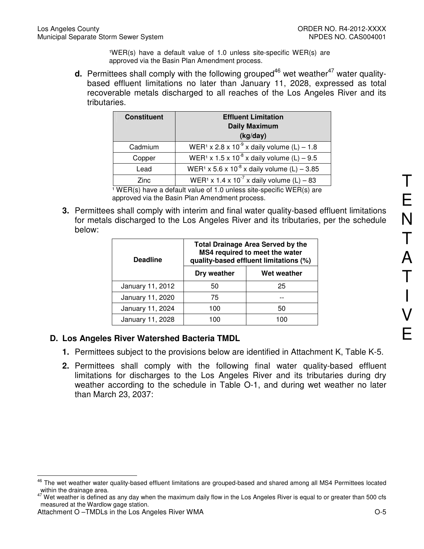$WER(s)$  have a default value of 1.0 unless site-specific WER(s) are approved via the Basin Plan Amendment process.

**d.** Permittees shall comply with the following grouped<sup>46</sup> wet weather<sup>47</sup> water qualitybased effluent limitations no later than January 11, 2028, expressed as total recoverable metals discharged to all reaches of the Los Angeles River and its tributaries.

| <b>Constituent</b> | <b>Effluent Limitation</b><br><b>Daily Maximum</b><br>(kg/day)      |
|--------------------|---------------------------------------------------------------------|
| Cadmium            | WER <sup>1</sup> x 2.8 x 10 <sup>-9</sup> x daily volume (L) – 1.8  |
| Copper             | WER <sup>1</sup> x 1.5 x 10 <sup>-8</sup> x daily volume (L) – 9.5  |
| Lead               | WER <sup>1</sup> x 5.6 x 10 <sup>-8</sup> x daily volume (L) - 3.85 |
| <b>Zinc</b>        | WER <sup>1</sup> x 1.4 x 10 <sup>-7</sup> x daily volume (L) – 83   |

 $1$  WER(s) have a default value of 1.0 unless site-specific WER(s) are approved via the Basin Plan Amendment process.

**3.** Permittees shall comply with interim and final water quality-based effluent limitations for metals discharged to the Los Angeles River and its tributaries, per the schedule below:

| <b>Deadline</b>  |             | <b>Total Drainage Area Served by the</b><br>MS4 required to meet the water<br>quality-based effluent limitations (%) |
|------------------|-------------|----------------------------------------------------------------------------------------------------------------------|
|                  | Dry weather | Wet weather                                                                                                          |
| January 11, 2012 | 50          | 25                                                                                                                   |
| January 11, 2020 | 75          |                                                                                                                      |
| January 11, 2024 | 100         | 50                                                                                                                   |
| January 11, 2028 | 100         | 1 በበ                                                                                                                 |

## **D. Los Angeles River Watershed Bacteria TMDL**

- **1.** Permittees subject to the provisions below are identified in Attachment K, Table K-5.
- **2.** Permittees shall comply with the following final water quality-based effluent limitations for discharges to the Los Angeles River and its tributaries during dry weather according to the schedule in Table O-1, and during wet weather no later than March 23, 2037:

 $\overline{a}$ <sup>46</sup> The wet weather water quality-based effluent limitations are grouped-based and shared among all MS4 Permittees located within the drainage area.

<sup>47</sup> Wet weather is defined as any day when the maximum daily flow in the Los Angeles River is equal to or greater than 500 cfs measured at the Wardlow gage station.

Attachment O –TMDLs in the Los Angeles River WMA  $O-5$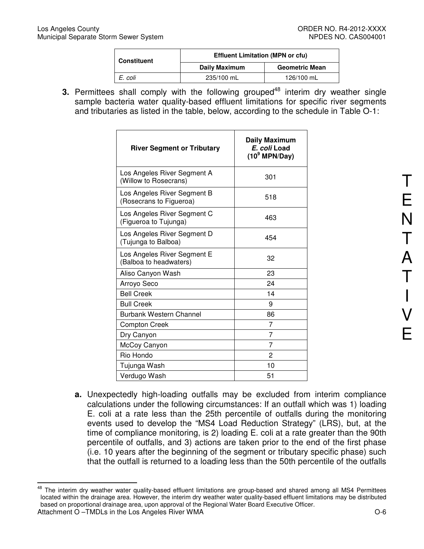| <b>Constituent</b> | <b>Effluent Limitation (MPN or cfu)</b> |                       |  |  |
|--------------------|-----------------------------------------|-----------------------|--|--|
|                    | Daily Maximum                           | <b>Geometric Mean</b> |  |  |
| E. coli            | 235/100 mL                              | 126/100 mL            |  |  |
|                    |                                         |                       |  |  |

**3.** Permittees shall comply with the following grouped<sup>48</sup> interim dry weather single sample bacteria water quality-based effluent limitations for specific river segments and tributaries as listed in the table, below, according to the schedule in Table O-1:

| <b>River Segment or Tributary</b>                      | Daily Maximum<br>E. coli Load<br>$(10^9 \text{ MPN/Day})$ |
|--------------------------------------------------------|-----------------------------------------------------------|
| Los Angeles River Segment A<br>(Willow to Rosecrans)   | 301                                                       |
| Los Angeles River Segment B<br>(Rosecrans to Figueroa) | 518                                                       |
| Los Angeles River Segment C<br>(Figueroa to Tujunga)   | 463                                                       |
| Los Angeles River Segment D<br>(Tujunga to Balboa)     | 454                                                       |
| Los Angeles River Segment E<br>(Balboa to headwaters)  | 32                                                        |
| Aliso Canyon Wash                                      | 23                                                        |
| Arroyo Seco                                            | 24                                                        |
| <b>Bell Creek</b>                                      | 14                                                        |
| <b>Bull Creek</b>                                      | 9                                                         |
| Burbank Western Channel                                | 86                                                        |
| <b>Compton Creek</b>                                   | 7                                                         |
| Dry Canyon                                             | 7                                                         |
| McCoy Canyon                                           | 7                                                         |
| Rio Hondo                                              | $\overline{c}$                                            |
| Tujunga Wash                                           | 10                                                        |
| Verdugo Wash                                           | 51                                                        |

- T E N T A T I V E
- **a.** Unexpectedly high-loading outfalls may be excluded from interim compliance calculations under the following circumstances: If an outfall which was 1) loading E. coli at a rate less than the 25th percentile of outfalls during the monitoring events used to develop the "MS4 Load Reduction Strategy" (LRS), but, at the time of compliance monitoring, is 2) loading E. coli at a rate greater than the 90th percentile of outfalls, and 3) actions are taken prior to the end of the first phase (i.e. 10 years after the beginning of the segment or tributary specific phase) such that the outfall is returned to a loading less than the 50th percentile of the outfalls

<sup>48</sup> <sup>48</sup> The interim dry weather water quality-based effluent limitations are group-based and shared among all MS4 Permittees located within the drainage area. However, the interim dry weather water quality-based effluent limitations may be distributed based on proportional drainage area, upon approval of the Regional Water Board Executive Officer.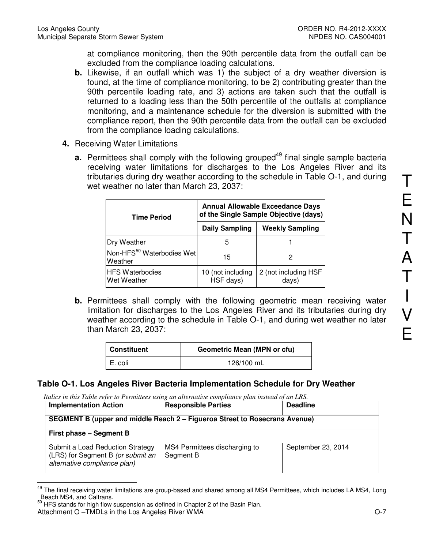at compliance monitoring, then the 90th percentile data from the outfall can be excluded from the compliance loading calculations.

- **b.** Likewise, if an outfall which was 1) the subject of a dry weather diversion is found, at the time of compliance monitoring, to be 2) contributing greater than the 90th percentile loading rate, and 3) actions are taken such that the outfall is returned to a loading less than the 50th percentile of the outfalls at compliance monitoring, and a maintenance schedule for the diversion is submitted with the compliance report, then the 90th percentile data from the outfall can be excluded from the compliance loading calculations.
- **4.** Receiving Water Limitations
	- **a.** Permittees shall comply with the following grouped<sup>49</sup> final single sample bacteria receiving water limitations for discharges to the Los Angeles River and its tributaries during dry weather according to the schedule in Table O-1, and during wet weather no later than March 23, 2037:

| <b>Time Period</b>                               | <b>Annual Allowable Exceedance Days</b><br>of the Single Sample Objective (days) |                               |  |
|--------------------------------------------------|----------------------------------------------------------------------------------|-------------------------------|--|
|                                                  | <b>Daily Sampling</b>                                                            | <b>Weekly Sampling</b>        |  |
| Dry Weather                                      | 5                                                                                |                               |  |
| Non-HFS <sup>50</sup> Waterbodies Wet<br>Weather | 15                                                                               | 2                             |  |
| <b>HFS Waterbodies</b><br>Wet Weather            | 10 (not including<br>HSF days)                                                   | 2 (not including HSF<br>days) |  |

**b.** Permittees shall comply with the following geometric mean receiving water limitation for discharges to the Los Angeles River and its tributaries during dry weather according to the schedule in Table O-1, and during wet weather no later than March 23, 2037:

| <b>Constituent</b> | <b>Geometric Mean (MPN or cfu)</b> |
|--------------------|------------------------------------|
| E. coli            | 126/100 mL                         |

## **Table O-1. Los Angeles River Bacteria Implementation Schedule for Dry Weather**

*Italics in this Table refer to Permittees using an alternative compliance plan instead of an LRS.*

| <b>Implementation Action</b>                                                                          | <b>Responsible Parties</b>                 | <b>Deadline</b>    |
|-------------------------------------------------------------------------------------------------------|--------------------------------------------|--------------------|
| SEGMENT B (upper and middle Reach 2 – Figueroa Street to Rosecrans Avenue)                            |                                            |                    |
| First phase - Segment B                                                                               |                                            |                    |
| Submit a Load Reduction Strategy<br>(LRS) for Segment B (or submit an<br>alternative compliance plan) | MS4 Permittees discharging to<br>Segment B | September 23, 2014 |

<sup>49</sup> The final receiving water limitations are group-based and shared among all MS4 Permittees, which includes LA MS4, Long Beach MS4, and Caltrans.

<sup>&</sup>lt;sup>50</sup> HFS stands for high flow suspension as defined in Chapter 2 of the Basin Plan.

Attachment O –TMDLs in the Los Angeles River WMA  $O-7$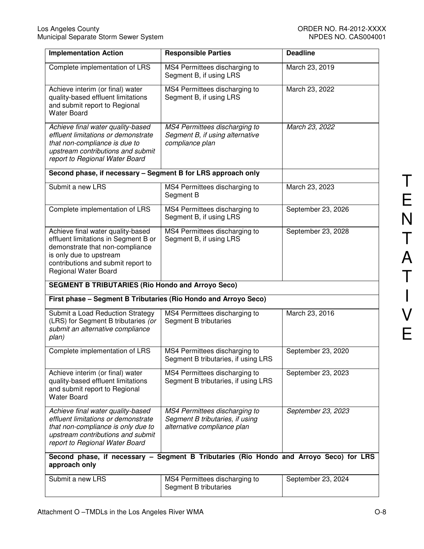| <b>Implementation Action</b>                                                                                                                                                                          | <b>Responsible Parties</b>                                                                      | <b>Deadline</b>    |
|-------------------------------------------------------------------------------------------------------------------------------------------------------------------------------------------------------|-------------------------------------------------------------------------------------------------|--------------------|
| Complete implementation of LRS                                                                                                                                                                        | MS4 Permittees discharging to<br>Segment B, if using LRS                                        | March 23, 2019     |
| Achieve interim (or final) water<br>quality-based effluent limitations<br>and submit report to Regional<br><b>Water Board</b>                                                                         | MS4 Permittees discharging to<br>Segment B, if using LRS                                        | March 23, 2022     |
| Achieve final water quality-based<br>effluent limitations or demonstrate<br>that non-compliance is due to<br>upstream contributions and submit<br>report to Regional Water Board                      | MS4 Permittees discharging to<br>Segment B, if using alternative<br>compliance plan             | March 23, 2022     |
| Second phase, if necessary - Segment B for LRS approach only                                                                                                                                          |                                                                                                 |                    |
| Submit a new LRS                                                                                                                                                                                      | MS4 Permittees discharging to<br>Segment B                                                      | March 23, 2023     |
| Complete implementation of LRS                                                                                                                                                                        | MS4 Permittees discharging to<br>Segment B, if using LRS                                        | September 23, 2026 |
| Achieve final water quality-based<br>effluent limitations in Segment B or<br>demonstrate that non-compliance<br>is only due to upstream<br>contributions and submit report to<br>Regional Water Board | MS4 Permittees discharging to<br>Segment B, if using LRS                                        | September 23, 2028 |
| <b>SEGMENT B TRIBUTARIES (Rio Hondo and Arroyo Seco)</b>                                                                                                                                              |                                                                                                 |                    |
| First phase - Segment B Tributaries (Rio Hondo and Arroyo Seco)                                                                                                                                       |                                                                                                 |                    |
| Submit a Load Reduction Strategy<br>(LRS) for Segment B tributaries (or<br>submit an alternative compliance<br>plan)                                                                                  | MS4 Permittees discharging to<br>Segment B tributaries                                          | March 23, 2016     |
| Complete implementation of LRS                                                                                                                                                                        | MS4 Permittees discharging to<br>Segment B tributaries, if using LRS                            | September 23, 2020 |
| Achieve interim (or final) water<br>quality-based effluent limitations<br>and submit report to Regional<br><b>Water Board</b>                                                                         | MS4 Permittees discharging to<br>Segment B tributaries, if using LRS                            | September 23, 2023 |
| Achieve final water quality-based<br>effluent limitations or demonstrate<br>that non-compliance is only due to<br>upstream contributions and submit<br>report to Regional Water Board                 | MS4 Permittees discharging to<br>Segment B tributaries, if using<br>alternative compliance plan | September 23, 2023 |
| approach only                                                                                                                                                                                         | Second phase, if necessary - Segment B Tributaries (Rio Hondo and Arroyo Seco) for LRS          |                    |
| Submit a new LRS                                                                                                                                                                                      | MS4 Permittees discharging to<br>Segment B tributaries                                          | September 23, 2024 |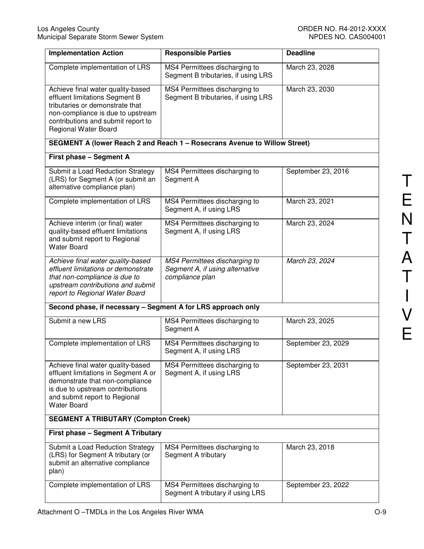| <b>Implementation Action</b>                                                                                                                                                                                     | <b>Responsible Parties</b>                                                          | <b>Deadline</b>    |
|------------------------------------------------------------------------------------------------------------------------------------------------------------------------------------------------------------------|-------------------------------------------------------------------------------------|--------------------|
| Complete implementation of LRS                                                                                                                                                                                   | MS4 Permittees discharging to<br>Segment B tributaries, if using LRS                | March 23, 2028     |
| Achieve final water quality-based<br>effluent limitations Segment B<br>tributaries or demonstrate that<br>non-compliance is due to upstream<br>contributions and submit report to<br><b>Regional Water Board</b> | MS4 Permittees discharging to<br>Segment B tributaries, if using LRS                | March 23, 2030     |
|                                                                                                                                                                                                                  | SEGMENT A (lower Reach 2 and Reach 1 - Rosecrans Avenue to Willow Street)           |                    |
| First phase - Segment A                                                                                                                                                                                          |                                                                                     |                    |
| Submit a Load Reduction Strategy<br>(LRS) for Segment A (or submit an<br>alternative compliance plan)                                                                                                            | MS4 Permittees discharging to<br>Segment A                                          | September 23, 2016 |
| Complete implementation of LRS                                                                                                                                                                                   | MS4 Permittees discharging to<br>Segment A, if using LRS                            | March 23, 2021     |
| Achieve interim (or final) water<br>quality-based effluent limitations<br>and submit report to Regional<br><b>Water Board</b>                                                                                    | MS4 Permittees discharging to<br>Segment A, if using LRS                            | March 23, 2024     |
| Achieve final water quality-based<br>effluent limitations or demonstrate<br>that non-compliance is due to<br>upstream contributions and submit<br>report to Regional Water Board                                 | MS4 Permittees discharging to<br>Segment A, if using alternative<br>compliance plan | March 23, 2024     |
| Second phase, if necessary - Segment A for LRS approach only                                                                                                                                                     |                                                                                     |                    |
| Submit a new LRS                                                                                                                                                                                                 | MS4 Permittees discharging to<br>Segment A                                          | March 23, 2025     |
| Complete implementation of LRS                                                                                                                                                                                   | MS4 Permittees discharging to<br>Segment A, if using LRS                            | September 23, 2029 |
| Achieve final water quality-based<br>effluent limitations in Segment A or<br>demonstrate that non-compliance<br>is due to upstream contributions<br>and submit report to Regional<br><b>Water Board</b>          | MS4 Permittees discharging to<br>Segment A, if using LRS                            | September 23, 2031 |
| <b>SEGMENT A TRIBUTARY (Compton Creek)</b>                                                                                                                                                                       |                                                                                     |                    |
| First phase - Segment A Tributary                                                                                                                                                                                |                                                                                     |                    |
| Submit a Load Reduction Strategy<br>(LRS) for Segment A tributary (or<br>submit an alternative compliance<br>plan)                                                                                               | MS4 Permittees discharging to<br>Segment A tributary                                | March 23, 2018     |
| Complete implementation of LRS                                                                                                                                                                                   | MS4 Permittees discharging to<br>Segment A tributary if using LRS                   | September 23, 2022 |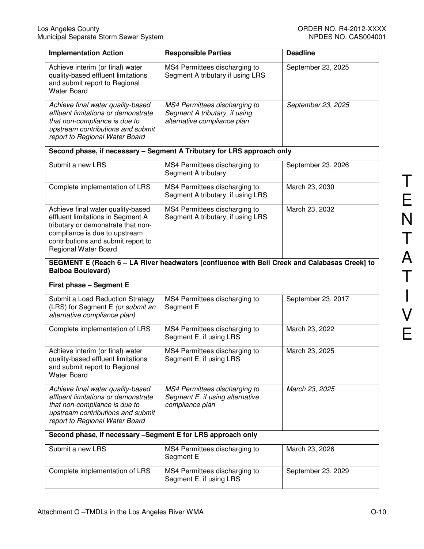| <b>Implementation Action</b>                                                                                                                                                                                       | <b>Responsible Parties</b>                                                                    | <b>Deadline</b>    |
|--------------------------------------------------------------------------------------------------------------------------------------------------------------------------------------------------------------------|-----------------------------------------------------------------------------------------------|--------------------|
| Achieve interim (or final) water<br>quality-based effluent limitations<br>and submit report to Regional<br><b>Water Board</b>                                                                                      | MS4 Permittees discharging to<br>Segment A tributary if using LRS                             | September 23, 2025 |
| Achieve final water quality-based<br>effluent limitations or demonstrate<br>that non-compliance is due to<br>upstream contributions and submit<br>report to Regional Water Board                                   | MS4 Permittees discharging to<br>Segment A tributary, if using<br>alternative compliance plan | September 23, 2025 |
|                                                                                                                                                                                                                    | Second phase, if necessary - Segment A Tributary for LRS approach only                        |                    |
| Submit a new LRS                                                                                                                                                                                                   | MS4 Permittees discharging to<br>Segment A tributary                                          | September 23, 2026 |
| Complete implementation of LRS                                                                                                                                                                                     | MS4 Permittees discharging to<br>Segment A tributary, if using LRS                            | March 23, 2030     |
| Achieve final water quality-based<br>effluent limitations in Segment A<br>tributary or demonstrate that non-<br>compliance is due to upstream<br>contributions and submit report to<br><b>Regional Water Board</b> | MS4 Permittees discharging to<br>Segment A tributary, if using LRS                            | March 23, 2032     |
| <b>Balboa Boulevard)</b>                                                                                                                                                                                           | SEGMENT E (Reach 6 - LA River headwaters [confluence with Bell Creek and Calabasas Creek] to  |                    |
| First phase - Segment E                                                                                                                                                                                            |                                                                                               |                    |
| Submit a Load Reduction Strategy<br>(LRS) for Segment E (or submit an<br>alternative compliance plan)                                                                                                              | MS4 Permittees discharging to<br>Segment E                                                    | September 23, 2017 |
| Complete implementation of LRS                                                                                                                                                                                     |                                                                                               |                    |
|                                                                                                                                                                                                                    | MS4 Permittees discharging to<br>Segment E, if using LRS                                      | March 23, 2022     |
| Achieve interim (or final) water<br>quality-based effluent limitations<br>and submit report to Regional<br><b>Water Board</b>                                                                                      | MS4 Permittees discharging to<br>Segment E, if using LRS                                      | March 23, 2025     |
| Achieve final water quality-based<br>effluent limitations or demonstrate<br>that non-compliance is due to<br>upstream contributions and submit<br>report to Regional Water Board                                   | MS4 Permittees discharging to<br>Segment E, if using alternative<br>compliance plan           | March 23, 2025     |
| Second phase, if necessary -Segment E for LRS approach only                                                                                                                                                        |                                                                                               |                    |
| Submit a new LRS                                                                                                                                                                                                   | MS4 Permittees discharging to<br>Segment E                                                    | March 23, 2026     |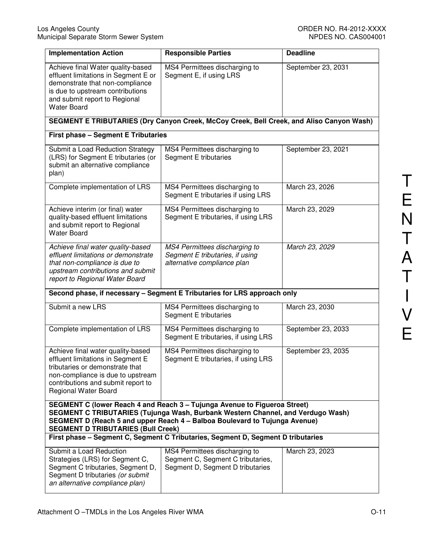| <b>Implementation Action</b>                                                                                                                                                                                                                                                            | <b>Responsible Parties</b>                                                                             | <b>Deadline</b>    |
|-----------------------------------------------------------------------------------------------------------------------------------------------------------------------------------------------------------------------------------------------------------------------------------------|--------------------------------------------------------------------------------------------------------|--------------------|
| Achieve final Water quality-based<br>effluent limitations in Segment E or<br>demonstrate that non-compliance<br>is due to upstream contributions<br>and submit report to Regional<br><b>Water Board</b>                                                                                 | MS4 Permittees discharging to<br>Segment E, if using LRS                                               | September 23, 2031 |
|                                                                                                                                                                                                                                                                                         | SEGMENT E TRIBUTARIES (Dry Canyon Creek, McCoy Creek, Bell Creek, and Aliso Canyon Wash)               |                    |
| <b>First phase - Segment E Tributaries</b>                                                                                                                                                                                                                                              |                                                                                                        |                    |
| Submit a Load Reduction Strategy<br>(LRS) for Segment E tributaries (or<br>submit an alternative compliance<br>plan)                                                                                                                                                                    | MS4 Permittees discharging to<br>Segment E tributaries                                                 | September 23, 2021 |
| Complete implementation of LRS                                                                                                                                                                                                                                                          | MS4 Permittees discharging to<br>Segment E tributaries if using LRS                                    | March 23, 2026     |
| Achieve interim (or final) water<br>quality-based effluent limitations<br>and submit report to Regional<br><b>Water Board</b>                                                                                                                                                           | MS4 Permittees discharging to<br>Segment E tributaries, if using LRS                                   | March 23, 2029     |
| Achieve final water quality-based<br>effluent limitations or demonstrate<br>that non-compliance is due to<br>upstream contributions and submit<br>report to Regional Water Board                                                                                                        | MS4 Permittees discharging to<br>Segment E tributaries, if using<br>alternative compliance plan        | March 23, 2029     |
| Second phase, if necessary - Segment E Tributaries for LRS approach only                                                                                                                                                                                                                |                                                                                                        |                    |
| Submit a new LRS                                                                                                                                                                                                                                                                        | MS4 Permittees discharging to<br>Segment E tributaries                                                 | March 23, 2030     |
| Complete implementation of LRS                                                                                                                                                                                                                                                          | MS4 Permittees discharging to<br>Segment E tributaries, if using LRS                                   | September 23, 2033 |
| Achieve final water quality-based<br>effluent limitations in Segment E<br>tributaries or demonstrate that<br>non-compliance is due to upstream<br>contributions and submit report to<br><b>Regional Water Board</b>                                                                     | MS4 Permittees discharging to<br>Segment E tributaries, if using LRS                                   | September 23, 2035 |
| SEGMENT C (lower Reach 4 and Reach 3 - Tujunga Avenue to Figueroa Street)<br>SEGMENT C TRIBUTARIES (Tujunga Wash, Burbank Western Channel, and Verdugo Wash)<br>SEGMENT D (Reach 5 and upper Reach 4 - Balboa Boulevard to Tujunga Avenue)<br><b>SEGMENT D TRIBUTARIES (Bull Creek)</b> |                                                                                                        |                    |
|                                                                                                                                                                                                                                                                                         | First phase - Segment C, Segment C Tributaries, Segment D, Segment D tributaries                       |                    |
| Submit a Load Reduction<br>Strategies (LRS) for Segment C,<br>Segment C tributaries, Segment D,<br>Segment D tributaries (or submit<br>an alternative compliance plan)                                                                                                                  | MS4 Permittees discharging to<br>Segment C, Segment C tributaries,<br>Segment D, Segment D tributaries | March 23, 2023     |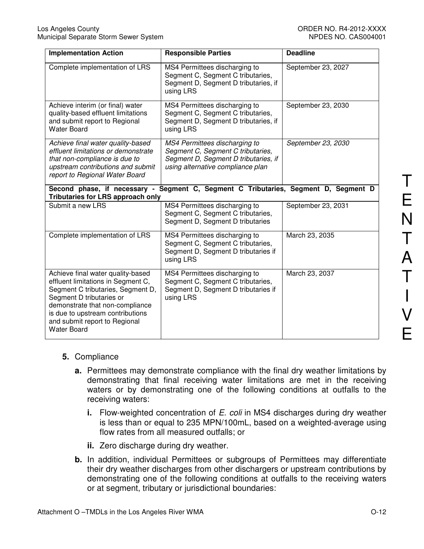| <b>Implementation Action</b>                                                                                                                                                                                                                                           | <b>Responsible Parties</b>                                                                                                                      | <b>Deadline</b>    |
|------------------------------------------------------------------------------------------------------------------------------------------------------------------------------------------------------------------------------------------------------------------------|-------------------------------------------------------------------------------------------------------------------------------------------------|--------------------|
| Complete implementation of LRS                                                                                                                                                                                                                                         | MS4 Permittees discharging to<br>Segment C, Segment C tributaries,<br>Segment D, Segment D tributaries, if<br>using LRS                         | September 23, 2027 |
| Achieve interim (or final) water<br>quality-based effluent limitations<br>and submit report to Regional<br><b>Water Board</b>                                                                                                                                          | MS4 Permittees discharging to<br>Segment C, Segment C tributaries,<br>Segment D, Segment D tributaries, if<br>using LRS                         | September 23, 2030 |
| Achieve final water quality-based<br>effluent limitations or demonstrate<br>that non-compliance is due to<br>upstream contributions and submit<br>report to Regional Water Board                                                                                       | MS4 Permittees discharging to<br>Segment C, Segment C tributaries,<br>Segment D, Segment D tributaries, if<br>using alternative compliance plan | September 23, 2030 |
| Second phase, if necessary -<br><b>Tributaries for LRS approach only</b>                                                                                                                                                                                               | Segment C, Segment C Tributaries, Segment D, Segment D                                                                                          |                    |
| Submit a new LRS                                                                                                                                                                                                                                                       | MS4 Permittees discharging to<br>Segment C, Segment C tributaries,<br>Segment D, Segment D tributaries                                          | September 23, 2031 |
| Complete implementation of LRS                                                                                                                                                                                                                                         | MS4 Permittees discharging to<br>Segment C, Segment C tributaries,<br>Segment D, Segment D tributaries if<br>using LRS                          | March 23, 2035     |
| Achieve final water quality-based<br>effluent limitations in Segment C,<br>Segment C tributaries, Segment D,<br>Segment D tributaries or<br>demonstrate that non-compliance<br>is due to upstream contributions<br>and submit report to Regional<br><b>Water Board</b> | MS4 Permittees discharging to<br>Segment C, Segment C tributaries,<br>Segment D, Segment D tributaries if<br>using LRS                          | March 23, 2037     |

#### **5.** Compliance

- **a.** Permittees may demonstrate compliance with the final dry weather limitations by demonstrating that final receiving water limitations are met in the receiving waters or by demonstrating one of the following conditions at outfalls to the receiving waters:
	- **i.** Flow-weighted concentration of E. coli in MS4 discharges during dry weather is less than or equal to 235 MPN/100mL, based on a weighted-average using flow rates from all measured outfalls; or
	- **ii.** Zero discharge during dry weather.
- **b.** In addition, individual Permittees or subgroups of Permittees may differentiate their dry weather discharges from other dischargers or upstream contributions by demonstrating one of the following conditions at outfalls to the receiving waters or at segment, tributary or jurisdictional boundaries: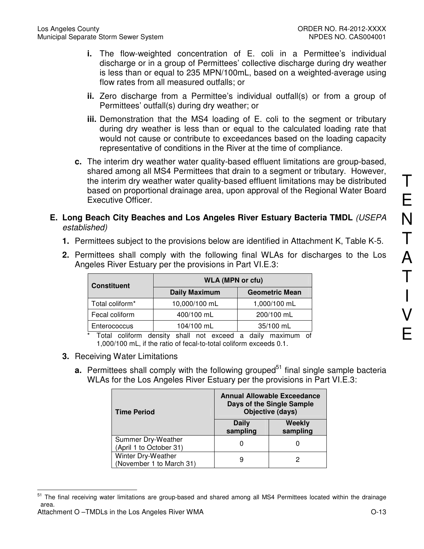- **i.** The flow-weighted concentration of E. coli in a Permittee's individual discharge or in a group of Permittees' collective discharge during dry weather is less than or equal to 235 MPN/100mL, based on a weighted-average using flow rates from all measured outfalls; or
- **ii.** Zero discharge from a Permittee's individual outfall(s) or from a group of Permittees' outfall(s) during dry weather; or
- **iii.** Demonstration that the MS4 loading of E. coli to the segment or tributary during dry weather is less than or equal to the calculated loading rate that would not cause or contribute to exceedances based on the loading capacity representative of conditions in the River at the time of compliance.
- **c.** The interim dry weather water quality-based effluent limitations are group-based, shared among all MS4 Permittees that drain to a segment or tributary. However, the interim dry weather water quality-based effluent limitations may be distributed based on proportional drainage area, upon approval of the Regional Water Board Executive Officer.
- **E. Long Beach City Beaches and Los Angeles River Estuary Bacteria TMDL** (USEPA established)
	- **1.** Permittees subject to the provisions below are identified in Attachment K, Table K-5.
	- **2.** Permittees shall comply with the following final WLAs for discharges to the Los Angeles River Estuary per the provisions in Part VI.E.3:

| <b>Constituent</b> | <b>WLA (MPN or cfu)</b><br><b>Daily Maximum</b><br><b>Geometric Mean</b> |              |
|--------------------|--------------------------------------------------------------------------|--------------|
|                    |                                                                          |              |
| Total coliform*    | 10,000/100 mL                                                            | 1,000/100 mL |
| Fecal coliform     | 400/100 mL                                                               | 200/100 mL   |
| Enterococcus       | 104/100 mL                                                               | 35/100 mL    |

Total coliform density shall not exceed a daily maximum of 1,000/100 mL, if the ratio of fecal-to-total coliform exceeds 0.1.

- **3.** Receiving Water Limitations
	- **a.** Permittees shall comply with the following grouped<sup>51</sup> final single sample bacteria WLAs for the Los Angeles River Estuary per the provisions in Part VI.E.3:

| <b>Time Period</b>                             |                   | <b>Annual Allowable Exceedance</b><br>Days of the Single Sample<br>Objective (days) |
|------------------------------------------------|-------------------|-------------------------------------------------------------------------------------|
|                                                | Daily<br>sampling | <b>Weekly</b><br>sampling                                                           |
| Summer Dry-Weather<br>(April 1 to October 31)  |                   |                                                                                     |
| Winter Dry-Weather<br>(November 1 to March 31) | 9                 |                                                                                     |

<sup>51</sup> The final receiving water limitations are group-based and shared among all MS4 Permittees located within the drainage area.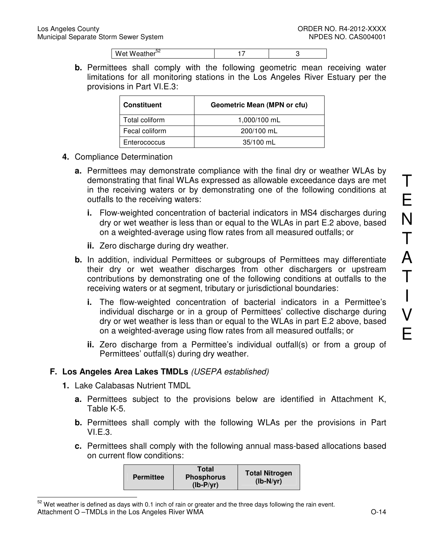| Wet Weather <sup>32</sup> |  |
|---------------------------|--|

**b.** Permittees shall comply with the following geometric mean receiving water limitations for all monitoring stations in the Los Angeles River Estuary per the provisions in Part VI.E.3:

| <b>Constituent</b> | <b>Geometric Mean (MPN or cfu)</b> |
|--------------------|------------------------------------|
| Total coliform     | 1,000/100 mL                       |
| Fecal coliform     | 200/100 mL                         |
| Enterococcus       | $35/100$ mL                        |

- **4.** Compliance Determination
	- **a.** Permittees may demonstrate compliance with the final dry or weather WLAs by demonstrating that final WLAs expressed as allowable exceedance days are met in the receiving waters or by demonstrating one of the following conditions at outfalls to the receiving waters:
		- **i.** Flow-weighted concentration of bacterial indicators in MS4 discharges during dry or wet weather is less than or equal to the WLAs in part E.2 above, based on a weighted-average using flow rates from all measured outfalls; or
		- **ii.** Zero discharge during dry weather.
	- **b.** In addition, individual Permittees or subgroups of Permittees may differentiate their dry or wet weather discharges from other dischargers or upstream contributions by demonstrating one of the following conditions at outfalls to the receiving waters or at segment, tributary or jurisdictional boundaries:
		- **i.** The flow-weighted concentration of bacterial indicators in a Permittee's individual discharge or in a group of Permittees' collective discharge during dry or wet weather is less than or equal to the WLAs in part E.2 above, based on a weighted-average using flow rates from all measured outfalls; or
		- **ii.** Zero discharge from a Permittee's individual outfall(s) or from a group of Permittees' outfall(s) during dry weather.

## **F. Los Angeles Area Lakes TMDLs** (USEPA established)

**1.** Lake Calabasas Nutrient TMDL

 $\overline{a}$ 

- **a.** Permittees subject to the provisions below are identified in Attachment K, Table K-5.
- **b.** Permittees shall comply with the following WLAs per the provisions in Part VI.E.3.
- **c.** Permittees shall comply with the following annual mass-based allocations based on current flow conditions:

| <b>Permittee</b> | <b>Total</b><br><b>Phosphorus</b><br>$(Ib-P/yr)$ | <b>Total Nitrogen</b><br>$(lb-N/yr)$ |
|------------------|--------------------------------------------------|--------------------------------------|
|------------------|--------------------------------------------------|--------------------------------------|

Attachment O –TMDLs in the Los Angeles River WMA  $O-14$  $52$  Wet weather is defined as days with 0.1 inch of rain or greater and the three days following the rain event.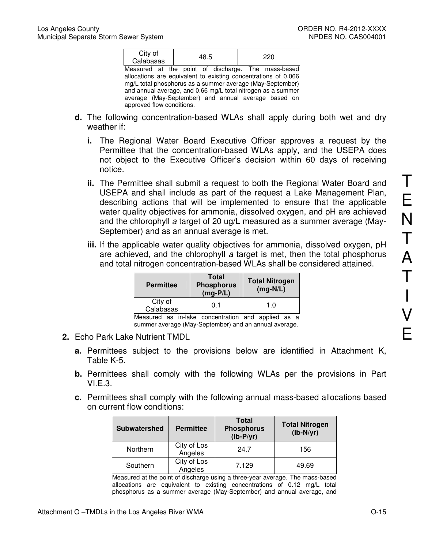| City of<br>Calabasas | 48.5                                                           | 220 |
|----------------------|----------------------------------------------------------------|-----|
|                      | Measured at the point of discharge. The mass-based             |     |
|                      | allocations are equivalent to existing concentrations of 0.066 |     |
|                      | mg/L total phosphorus as a summer average (May-September)      |     |
|                      | and annual average, and 0.66 mg/L total nitrogen as a summer   |     |
|                      | average (May-September) and annual average based on            |     |

approved flow conditions.

- **d.** The following concentration-based WLAs shall apply during both wet and dry weather if:
	- **i.** The Regional Water Board Executive Officer approves a request by the Permittee that the concentration-based WLAs apply, and the USEPA does not object to the Executive Officer's decision within 60 days of receiving notice.
	- **ii.** The Permittee shall submit a request to both the Regional Water Board and USEPA and shall include as part of the request a Lake Management Plan, describing actions that will be implemented to ensure that the applicable water quality objectives for ammonia, dissolved oxygen, and pH are achieved and the chlorophyll a target of 20 ug/L measured as a summer average (May-September) and as an annual average is met.
	- **iii.** If the applicable water quality objectives for ammonia, dissolved oxygen, pH are achieved, and the chlorophyll a target is met, then the total phosphorus and total nitrogen concentration-based WLAs shall be considered attained.

| <b>Permittee</b>     | <b>Total</b><br><b>Phosphorus</b><br>$(mg-P/L)$ | <b>Total Nitrogen</b><br>$(mg-N/L)$ |
|----------------------|-------------------------------------------------|-------------------------------------|
| City of<br>Calabasas | 0.1                                             | 1. $0$                              |
|                      |                                                 |                                     |

Measured as in-lake concentration and applied as a summer average (May-September) and an annual average.

- **2.** Echo Park Lake Nutrient TMDL
	- **a.** Permittees subject to the provisions below are identified in Attachment K, Table K-5.
	- **b.** Permittees shall comply with the following WLAs per the provisions in Part  $VLE.3.$
	- **c.** Permittees shall comply with the following annual mass-based allocations based on current flow conditions:

| Subwatershed | <b>Permittee</b>       | <b>Total</b><br><b>Phosphorus</b><br>$(lb-P/yr)$ | <b>Total Nitrogen</b><br>$(lb-N/yr)$ |
|--------------|------------------------|--------------------------------------------------|--------------------------------------|
| Northern     | City of Los<br>Angeles | 24.7                                             | 156                                  |
| Southern     | City of Los<br>Angeles | 7.129                                            | 49.69                                |

Measured at the point of discharge using a three-year average. The mass-based allocations are equivalent to existing concentrations of 0.12 mg/L total phosphorus as a summer average (May-September) and annual average, and T

E

N

T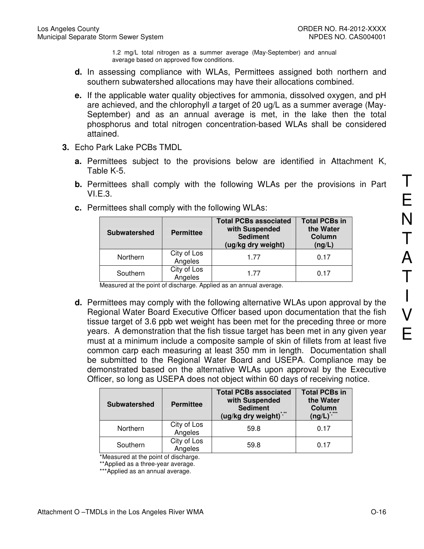1.2 mg/L total nitrogen as a summer average (May-September) and annual average based on approved flow conditions.

- **d.** In assessing compliance with WLAs, Permittees assigned both northern and southern subwatershed allocations may have their allocations combined.
- **e.** If the applicable water quality objectives for ammonia, dissolved oxygen, and pH are achieved, and the chlorophyll a target of 20 ug/L as a summer average (May-September) and as an annual average is met, in the lake then the total phosphorus and total nitrogen concentration-based WLAs shall be considered attained.
- **3.** Echo Park Lake PCBs TMDL
	- **a.** Permittees subject to the provisions below are identified in Attachment K, Table K-5.
	- **b.** Permittees shall comply with the following WLAs per the provisions in Part VI.E.3.

| <b>Subwatershed</b> | <b>Permittee</b>       | <b>Total PCBs associated</b><br>with Suspended<br><b>Sediment</b><br>(ug/kg dry weight) | <b>Total PCBs in</b><br>the Water<br>Column<br>(ng/L) |
|---------------------|------------------------|-----------------------------------------------------------------------------------------|-------------------------------------------------------|
| Northern            | City of Los<br>Angeles | 1 77                                                                                    | 0.17                                                  |
| Southern            | City of Los<br>Angeles | 177                                                                                     | 0.17                                                  |

**c.** Permittees shall comply with the following WLAs:

Measured at the point of discharge. Applied as an annual average.

**d.** Permittees may comply with the following alternative WLAs upon approval by the Regional Water Board Executive Officer based upon documentation that the fish tissue target of 3.6 ppb wet weight has been met for the preceding three or more years. A demonstration that the fish tissue target has been met in any given year must at a minimum include a composite sample of skin of fillets from at least five common carp each measuring at least 350 mm in length. Documentation shall be submitted to the Regional Water Board and USEPA. Compliance may be demonstrated based on the alternative WLAs upon approval by the Executive Officer, so long as USEPA does not object within 60 days of receiving notice.

| <b>Subwatershed</b> | <b>Permittee</b>       | <b>Total PCBs associated</b><br>with Suspended<br><b>Sediment</b><br>(ug/kg dry weight)*,** | <b>Total PCBs in</b><br>the Water<br>Column<br>$****$<br>$($ ng/L $)^{^*}$ |
|---------------------|------------------------|---------------------------------------------------------------------------------------------|----------------------------------------------------------------------------|
| Northern            | City of Los<br>Angeles | 59.8                                                                                        | 0.17                                                                       |
| Southern            | City of Los<br>Angeles | 59.8                                                                                        | 0.17                                                                       |

\*Measured at the point of discharge.

\*\*Applied as a three-year average.

\*\*\*Applied as an annual average.

T

E

N

T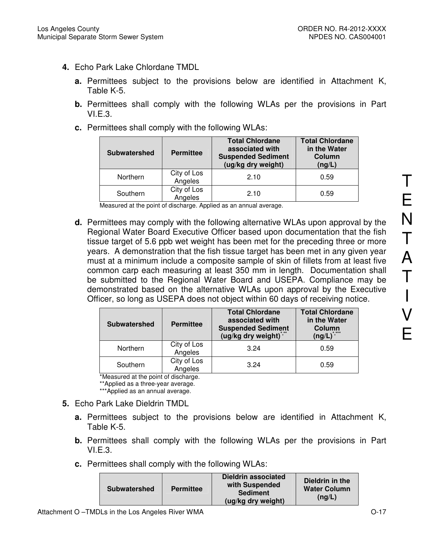- **4.** Echo Park Lake Chlordane TMDL
	- **a.** Permittees subject to the provisions below are identified in Attachment K, Table K-5.
	- **b.** Permittees shall comply with the following WLAs per the provisions in Part VI.E.3.
	- **c.** Permittees shall comply with the following WLAs:

| <b>Subwatershed</b> | <b>Permittee</b>       | <b>Total Chlordane</b><br>associated with<br><b>Suspended Sediment</b><br>(ug/kg dry weight) | <b>Total Chlordane</b><br>in the Water<br>Column<br>(ng/L) |
|---------------------|------------------------|----------------------------------------------------------------------------------------------|------------------------------------------------------------|
| Northern            | City of Los<br>Angeles | 2.10                                                                                         | 0.59                                                       |
| Southern            | City of Los<br>Angeles | 2.10                                                                                         | 0.59                                                       |

Measured at the point of discharge. Applied as an annual average.

**d.** Permittees may comply with the following alternative WLAs upon approval by the Regional Water Board Executive Officer based upon documentation that the fish tissue target of 5.6 ppb wet weight has been met for the preceding three or more years. A demonstration that the fish tissue target has been met in any given year must at a minimum include a composite sample of skin of fillets from at least five common carp each measuring at least 350 mm in length. Documentation shall be submitted to the Regional Water Board and USEPA. Compliance may be demonstrated based on the alternative WLAs upon approval by the Executive Officer, so long as USEPA does not object within 60 days of receiving notice.

| <b>Subwatershed</b> | <b>Permittee</b>       | <b>Total Chlordane</b><br>associated with<br><b>Suspended Sediment</b><br>(ug/kg dry weight) <sup>*</sup> | <b>Total Chlordane</b><br>in the Water<br>Column<br>$(ng/L)^3$ |
|---------------------|------------------------|-----------------------------------------------------------------------------------------------------------|----------------------------------------------------------------|
| Northern            | City of Los<br>Angeles | 3.24                                                                                                      | 0.59                                                           |
| Southern            | City of Los<br>Angeles | 3.24                                                                                                      | 0.59                                                           |

\*Measured at the point of discharge.

\*\*Applied as a three-year average.

\*\*\*Applied as an annual average.

- **5.** Echo Park Lake Dieldrin TMDL
	- **a.** Permittees subject to the provisions below are identified in Attachment K, Table K-5.
	- **b.** Permittees shall comply with the following WLAs per the provisions in Part VI.E.3.
	- **c.** Permittees shall comply with the following WLAs:

| <b>Subwatershed</b> | <b>Permittee</b> | <b>Dieldrin associated</b><br>with Suspended<br><b>Sediment</b><br>(ug/kg dry weight) | Dieldrin in the<br><b>Water Column</b><br>(nq/L) |
|---------------------|------------------|---------------------------------------------------------------------------------------|--------------------------------------------------|
|---------------------|------------------|---------------------------------------------------------------------------------------|--------------------------------------------------|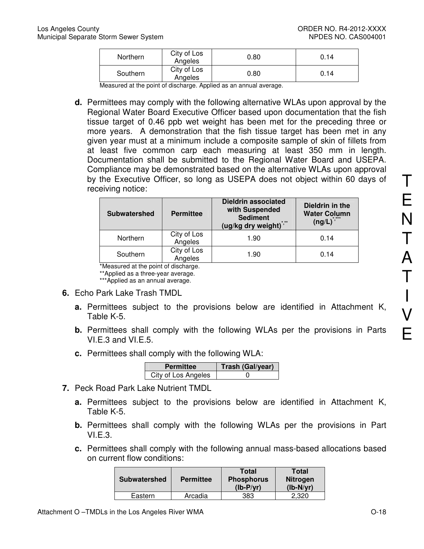| <b>Northern</b> | City of Los<br>Angeles | 0.80 | 0.14 |
|-----------------|------------------------|------|------|
| Southern        | City of Los<br>Angeles | 0.80 | 0.14 |

Measured at the point of discharge. Applied as an annual average.

**d.** Permittees may comply with the following alternative WLAs upon approval by the Regional Water Board Executive Officer based upon documentation that the fish tissue target of 0.46 ppb wet weight has been met for the preceding three or more years. A demonstration that the fish tissue target has been met in any given year must at a minimum include a composite sample of skin of fillets from at least five common carp each measuring at least 350 mm in length. Documentation shall be submitted to the Regional Water Board and USEPA. Compliance may be demonstrated based on the alternative WLAs upon approval by the Executive Officer, so long as USEPA does not object within 60 days of receiving notice:

| <b>Subwatershed</b> | <b>Permittee</b>       | <b>Dieldrin associated</b><br>with Suspended<br><b>Sediment</b><br>(ug/kg dry weight)*,** | Dieldrin in the<br><b>Water Column</b><br>$(ng/L)^{1,***}$ |
|---------------------|------------------------|-------------------------------------------------------------------------------------------|------------------------------------------------------------|
| Northern            | City of Los<br>Angeles | 1.90                                                                                      | 0.14                                                       |
| Southern            | City of Los<br>Angeles | 1.90                                                                                      | 0.14                                                       |

\*Measured at the point of discharge.

\*\*Applied as a three-year average. \*\*\*Applied as an annual average.

- **6.** Echo Park Lake Trash TMDL
	- **a.** Permittees subject to the provisions below are identified in Attachment K, Table K-5.
	- **b.** Permittees shall comply with the following WLAs per the provisions in Parts VI.E.3 and VI.E.5.
	- **c.** Permittees shall comply with the following WLA:

| <b>Permittee</b>    | Trash (Gal/year) |
|---------------------|------------------|
| City of Los Angeles |                  |

- **7.** Peck Road Park Lake Nutrient TMDL
	- **a.** Permittees subject to the provisions below are identified in Attachment K, Table K-5.
	- **b.** Permittees shall comply with the following WLAs per the provisions in Part VI.E.3.
	- **c.** Permittees shall comply with the following annual mass-based allocations based on current flow conditions:

| <b>Subwatershed</b> | <b>Permittee</b> | <b>Total</b><br><b>Phosphorus</b><br>$(Ib-P/vr)$ | <b>Total</b><br><b>Nitrogen</b><br>$(lb-N/yr)$ |
|---------------------|------------------|--------------------------------------------------|------------------------------------------------|
| Eastern             | Arcadia          | 383                                              | 2.320                                          |

T

E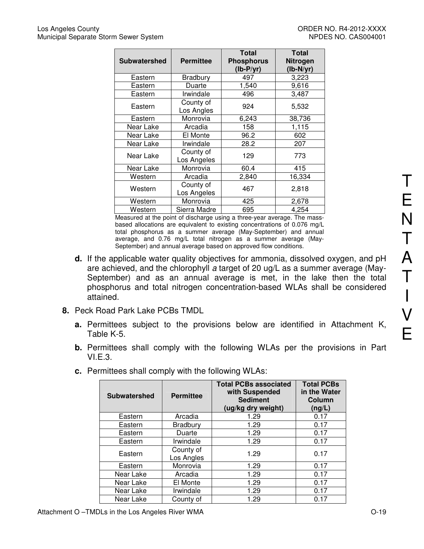| <b>Subwatershed</b><br><b>Permittee</b> |                          | <b>Total</b><br><b>Phosphorus</b><br>$(lb-P/yr)$ | <b>Total</b><br>Nitrogen<br>$(lb-N/yr)$ |
|-----------------------------------------|--------------------------|--------------------------------------------------|-----------------------------------------|
| Eastern                                 | <b>Bradbury</b>          | 497                                              | 3,223                                   |
| Eastern                                 | Duarte                   | 1,540                                            | 9,616                                   |
| Eastern                                 | Irwindale                | 496                                              | 3,487                                   |
| Eastern                                 | County of<br>Los Angles  | 924                                              | 5,532                                   |
| Eastern                                 | Monrovia                 | 6,243                                            | 38,736                                  |
| Near Lake                               | Arcadia                  | 158                                              | 1,115                                   |
| Near Lake                               | El Monte                 | 96.2                                             | 602                                     |
| Near Lake                               | Irwindale                | 28.2                                             | 207                                     |
| County of<br>Near Lake<br>Los Angeles   |                          | 129                                              | 773                                     |
| Near Lake                               | Monrovia                 | 60.4                                             | 415                                     |
| Western                                 | Arcadia                  | 2,840                                            | 16,334                                  |
| Western                                 | County of<br>Los Angeles | 467                                              | 2,818                                   |
| Western                                 | Monrovia                 | 425                                              | 2,678                                   |
| Western                                 | Sierra Madre             | 695                                              | 4,254                                   |

Measured at the point of discharge using a three-year average. The massbased allocations are equivalent to existing concentrations of 0.076 mg/L total phosphorus as a summer average (May-September) and annual average, and 0.76 mg/L total nitrogen as a summer average (May-September) and annual average based on approved flow conditions.

- **d.** If the applicable water quality objectives for ammonia, dissolved oxygen, and pH are achieved, and the chlorophyll a target of 20 ug/L as a summer average (May-September) and as an annual average is met, in the lake then the total phosphorus and total nitrogen concentration-based WLAs shall be considered attained.
- **8.** Peck Road Park Lake PCBs TMDL
	- **a.** Permittees subject to the provisions below are identified in Attachment K, Table K-5.
	- **b.** Permittees shall comply with the following WLAs per the provisions in Part VI.E.3.
	- **c.** Permittees shall comply with the following WLAs:

| <b>Subwatershed</b> | <b>Permittee</b>        | <b>Total PCBs associated</b><br>with Suspended<br><b>Sediment</b><br>(ug/kg dry weight) | <b>Total PCBs</b><br>in the Water<br>Column<br>(ng/L) |
|---------------------|-------------------------|-----------------------------------------------------------------------------------------|-------------------------------------------------------|
| Eastern             | Arcadia                 | 1.29                                                                                    | 0.17                                                  |
| Eastern             | <b>Bradbury</b>         | 1.29                                                                                    | 0.17                                                  |
| Eastern             | Duarte                  | 1.29                                                                                    | 0.17                                                  |
| Eastern             | Irwindale               | 1.29                                                                                    | 0.17                                                  |
| Eastern             | County of<br>Los Angles | 1.29                                                                                    | 0.17                                                  |
| Eastern             | Monrovia                | 1.29                                                                                    | 0.17                                                  |
| Near Lake           | Arcadia                 | 1.29                                                                                    | 0.17                                                  |
| Near Lake           | El Monte                | 1.29                                                                                    | 0.17                                                  |
| Near Lake           | Irwindale               | 1.29                                                                                    | 0.17                                                  |
| Near Lake           | County of               | 1.29                                                                                    | 0.17                                                  |

T

E

N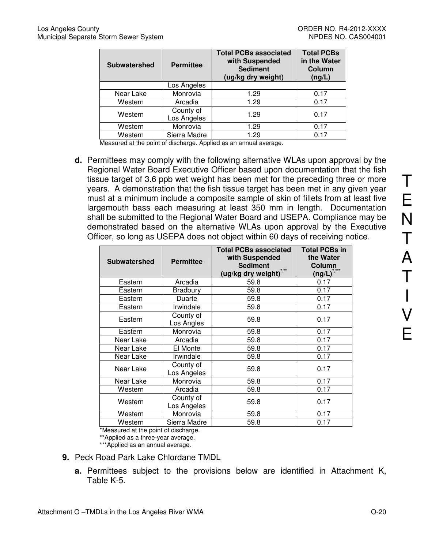| <b>Subwatershed</b> | <b>Permittee</b>         | <b>Total PCBs associated</b><br>with Suspended<br><b>Sediment</b><br>(ug/kg dry weight) | <b>Total PCBs</b><br>in the Water<br>Column<br>(ng/L) |
|---------------------|--------------------------|-----------------------------------------------------------------------------------------|-------------------------------------------------------|
|                     | Los Angeles              |                                                                                         |                                                       |
| Near Lake           | Monrovia                 | 1.29                                                                                    | 0.17                                                  |
| Western             | Arcadia                  | 1.29                                                                                    | 0.17                                                  |
| Western             | County of<br>Los Angeles | 1.29                                                                                    | 0.17                                                  |
| Western             | Monrovia                 | 1.29                                                                                    | 0.17                                                  |
| Western             | Sierra Madre             | 1.29                                                                                    | 0.17                                                  |

Measured at the point of discharge. Applied as an annual average.

**d.** Permittees may comply with the following alternative WLAs upon approval by the Regional Water Board Executive Officer based upon documentation that the fish tissue target of 3.6 ppb wet weight has been met for the preceding three or more years. A demonstration that the fish tissue target has been met in any given year must at a minimum include a composite sample of skin of fillets from at least five largemouth bass each measuring at least 350 mm in length. Documentation shall be submitted to the Regional Water Board and USEPA. Compliance may be demonstrated based on the alternative WLAs upon approval by the Executive Officer, so long as USEPA does not object within 60 days of receiving notice.

| <b>Subwatershed</b> | <b>Permittee</b>         | <b>Total PCBs associated</b><br>with Suspended<br><b>Sediment</b><br>(ug/kg dry weight) <sup>*</sup> | <b>Total PCBs in</b><br>the Water<br>Column<br>* ***<br>$($ ng/L $)^{\hat{\ } ,\hat{\ }}$ |
|---------------------|--------------------------|------------------------------------------------------------------------------------------------------|-------------------------------------------------------------------------------------------|
| Eastern             | Arcadia                  | 59.8                                                                                                 | 0.17                                                                                      |
| Eastern             | Bradbury                 | 59.8                                                                                                 | 0.17                                                                                      |
| Eastern             | Duarte                   | 59.8                                                                                                 | 0.17                                                                                      |
| Eastern             | Irwindale                | 59.8                                                                                                 | 0.17                                                                                      |
| Eastern             | County of<br>Los Angles  | 59.8                                                                                                 | 0.17                                                                                      |
| Eastern             | Monrovia                 | 59.8                                                                                                 | 0.17                                                                                      |
| Near Lake           | Arcadia                  | 59.8                                                                                                 | 0.17                                                                                      |
| Near Lake           | El Monte                 | 59.8                                                                                                 | 0.17                                                                                      |
| Near Lake           | Irwindale                | 59.8                                                                                                 | 0.17                                                                                      |
| Near Lake           | County of<br>Los Angeles | 59.8                                                                                                 | 0.17                                                                                      |
| Near Lake           | Monrovia                 | 59.8                                                                                                 | 0.17                                                                                      |
| Western             | Arcadia                  | 59.8                                                                                                 | 0.17                                                                                      |
| Western             | County of<br>Los Angeles | 59.8                                                                                                 | 0.17                                                                                      |
| Western             | Monrovia                 | 59.8                                                                                                 | 0.17                                                                                      |
| Western             | Sierra Madre             | 59.8                                                                                                 | 0.17                                                                                      |

\*Measured at the point of discharge.

\*\*Applied as a three-year average.

\*\*\*Applied as an annual average.

- **9.** Peck Road Park Lake Chlordane TMDL
	- **a.** Permittees subject to the provisions below are identified in Attachment K, Table K-5.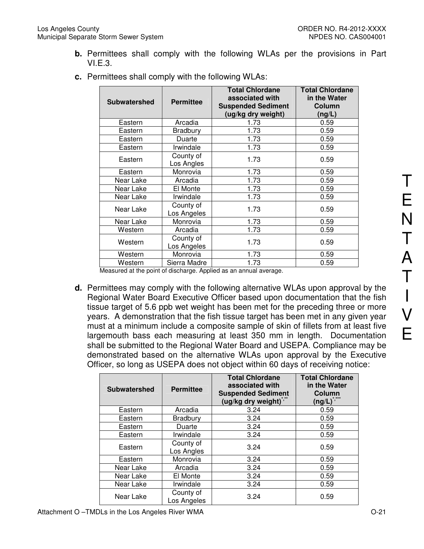**b.** Permittees shall comply with the following WLAs per the provisions in Part VI.E.3.

| <b>Subwatershed</b> | <b>Permittee</b>         | <b>Total Chlordane</b><br>associated with<br><b>Suspended Sediment</b><br>(ug/kg dry weight) | <b>Total Chlordane</b><br>in the Water<br>Column<br>(ng/L) |
|---------------------|--------------------------|----------------------------------------------------------------------------------------------|------------------------------------------------------------|
| Eastern             | Arcadia                  | 1.73                                                                                         | 0.59                                                       |
| Eastern             | <b>Bradbury</b>          | 1.73                                                                                         | 0.59                                                       |
| Eastern             | Duarte                   | 1.73                                                                                         | 0.59                                                       |
| Eastern             | Irwindale                | 1.73                                                                                         | 0.59                                                       |
| Eastern             | County of<br>Los Angles  | 1.73                                                                                         | 0.59                                                       |
| Eastern             | Monrovia                 | 1.73                                                                                         | 0.59                                                       |
| Near Lake           | Arcadia                  | 1.73                                                                                         | 0.59                                                       |
| Near Lake           | El Monte                 | 1.73                                                                                         | 0.59                                                       |
| Near Lake           | Irwindale                | 1.73                                                                                         | 0.59                                                       |
| Near Lake           | County of<br>Los Angeles | 1.73                                                                                         | 0.59                                                       |
| Near Lake           | Monrovia                 | 1.73                                                                                         | 0.59                                                       |
| Western             | Arcadia                  | 1.73                                                                                         | 0.59                                                       |
| Western             | County of<br>Los Angeles | 1.73                                                                                         | 0.59                                                       |
| Western             | Monrovia                 | 1.73                                                                                         | 0.59                                                       |
| Western             | Sierra Madre             | 1.73                                                                                         | 0.59                                                       |

**c.** Permittees shall comply with the following WLAs:

Measured at the point of discharge. Applied as an annual average.

**d.** Permittees may comply with the following alternative WLAs upon approval by the Regional Water Board Executive Officer based upon documentation that the fish tissue target of 5.6 ppb wet weight has been met for the preceding three or more years. A demonstration that the fish tissue target has been met in any given year must at a minimum include a composite sample of skin of fillets from at least five largemouth bass each measuring at least 350 mm in length. Documentation shall be submitted to the Regional Water Board and USEPA. Compliance may be demonstrated based on the alternative WLAs upon approval by the Executive Officer, so long as USEPA does not object within 60 days of receiving notice:

| <b>Subwatershed</b> | <b>Permittee</b>         | <b>Total Chlordane</b><br>associated with<br><b>Suspended Sediment</b><br>(ug/kg dry weight) | <b>Total Chlordane</b><br>in the Water<br>Column<br>(ng/L) $^{\circ}$ |
|---------------------|--------------------------|----------------------------------------------------------------------------------------------|-----------------------------------------------------------------------|
| Eastern             | Arcadia                  | 3.24                                                                                         | 0.59                                                                  |
| Eastern             | <b>Bradbury</b>          | 3.24                                                                                         | 0.59                                                                  |
| Eastern             | Duarte                   | 3.24                                                                                         | 0.59                                                                  |
| Eastern             | Irwindale                | 3.24                                                                                         | 0.59                                                                  |
| Eastern             | County of<br>Los Angles  | 3.24                                                                                         | 0.59                                                                  |
| Eastern             | Monrovia                 | 3.24                                                                                         | 0.59                                                                  |
| Near Lake           | Arcadia                  | 3.24                                                                                         | 0.59                                                                  |
| Near Lake           | El Monte                 | 3.24                                                                                         | 0.59                                                                  |
| Near Lake           | Irwindale                | 3.24                                                                                         | 0.59                                                                  |
| Near Lake           | County of<br>Los Angeles | 3.24                                                                                         | 0.59                                                                  |

T

E

N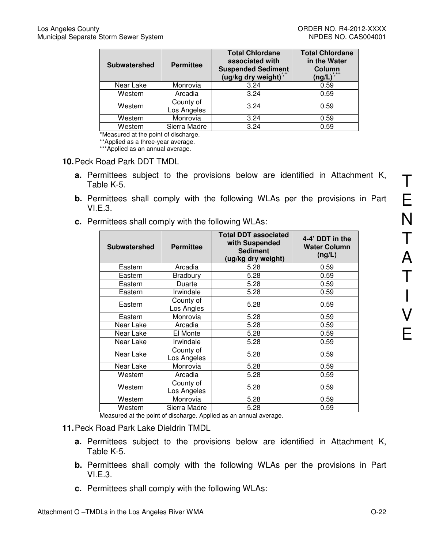| <b>Subwatershed</b> | <b>Permittee</b>         | <b>Total Chlordane</b><br>associated with<br><b>Suspended Sediment</b><br>(ug/kg dry weight) $\delta$ | <b>Total Chlordane</b><br>in the Water<br>Column<br>* ***<br>$(ng/L)^{n}$ |
|---------------------|--------------------------|-------------------------------------------------------------------------------------------------------|---------------------------------------------------------------------------|
| Near Lake           | Monrovia                 | 3.24                                                                                                  | 0.59                                                                      |
| Western             | Arcadia                  | 3.24                                                                                                  | 0.59                                                                      |
| Western             | County of<br>Los Angeles | 3.24                                                                                                  | 0.59                                                                      |
| Western             | Monrovia                 | 3.24                                                                                                  | 0.59                                                                      |
| Western             | Sierra Madre             | 3.24                                                                                                  | 0.59                                                                      |

\*Measured at the point of discharge.

\*\*Applied as a three-year average.

\*\*\*Applied as an annual average.

#### **10.** Peck Road Park DDT TMDL

- **a.** Permittees subject to the provisions below are identified in Attachment K, Table K-5.
- **b.** Permittees shall comply with the following WLAs per the provisions in Part VI.E.3.
- **c.** Permittees shall comply with the following WLAs:

| <b>Subwatershed</b>             | <b>Permittee</b>                                          | <b>Total DDT associated</b><br>with Suspended<br><b>Sediment</b><br>(ug/kg dry weight) | 4-4' DDT in the<br><b>Water Column</b><br>(ng/L) |
|---------------------------------|-----------------------------------------------------------|----------------------------------------------------------------------------------------|--------------------------------------------------|
| Eastern                         | Arcadia                                                   | 5.28                                                                                   | 0.59                                             |
| Eastern                         | Bradbury                                                  | 5.28                                                                                   | 0.59                                             |
| Eastern                         | Duarte                                                    | 5.28                                                                                   | 0.59                                             |
| Eastern                         | Irwindale                                                 | 5.28                                                                                   | 0.59                                             |
| Eastern                         | County of<br>Los Angles                                   | 5.28                                                                                   | 0.59                                             |
| Eastern                         | Monrovia                                                  | 5.28                                                                                   | 0.59                                             |
| Near Lake                       | Arcadia                                                   | 5.28                                                                                   | 0.59                                             |
| Near Lake                       | El Monte                                                  | 5.28                                                                                   | 0.59                                             |
| Near Lake                       | Irwindale                                                 | 5.28                                                                                   | 0.59                                             |
| Near Lake                       | County of<br>Los Angeles                                  | 5.28                                                                                   | 0.59                                             |
| Near Lake                       | Monrovia                                                  | 5.28                                                                                   | 0.59                                             |
| Western                         | Arcadia                                                   | 5.28                                                                                   | 0.59                                             |
| Western                         | County of<br>Los Angeles                                  | 5.28                                                                                   | 0.59                                             |
| Western                         | Monrovia                                                  | 5.28                                                                                   | 0.59                                             |
| Western<br>$\ddot{\phantom{a}}$ | Sierra Madre<br>and the second control of the second<br>. | 5.28                                                                                   | 0.59                                             |

Measured at the point of discharge. Applied as an annual average.

- **11.** Peck Road Park Lake Dieldrin TMDL
	- **a.** Permittees subject to the provisions below are identified in Attachment K, Table K-5.
	- **b.** Permittees shall comply with the following WLAs per the provisions in Part VI.E.3.
	- **c.** Permittees shall comply with the following WLAs: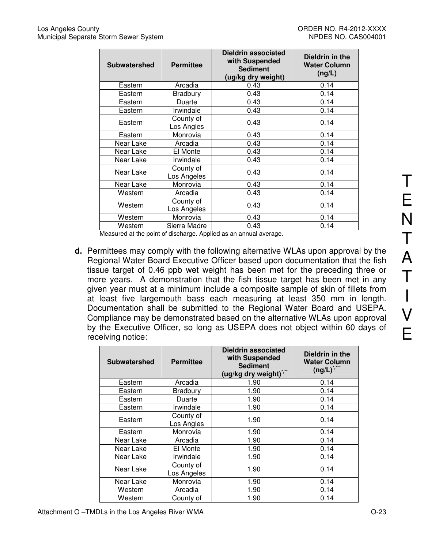| <b>Subwatershed</b> | <b>Permittee</b>         | Dieldrin associated<br>with Suspended<br><b>Sediment</b><br>(ug/kg dry weight) | Dieldrin in the<br><b>Water Column</b><br>(ng/L) |
|---------------------|--------------------------|--------------------------------------------------------------------------------|--------------------------------------------------|
| Eastern             | Arcadia                  | 0.43                                                                           | 0.14                                             |
| Eastern             | <b>Bradbury</b>          | 0.43                                                                           | 0.14                                             |
| Eastern             | Duarte                   | 0.43                                                                           | 0.14                                             |
| Eastern             | Irwindale                | 0.43                                                                           | 0.14                                             |
| Eastern             | County of<br>Los Angles  | 0.43                                                                           | 0.14                                             |
| Eastern             | Monrovia                 | 0.43                                                                           | 0.14                                             |
| Near Lake           | Arcadia                  | 0.43                                                                           | 0.14                                             |
| Near Lake           | El Monte                 | 0.43                                                                           | 0.14                                             |
| Near Lake           | Irwindale                | 0.43                                                                           | 0.14                                             |
| Near Lake           | County of<br>Los Angeles | 0.43                                                                           | 0.14                                             |
| Near Lake           | Monrovia                 | 0.43                                                                           | 0.14                                             |
| Western             | Arcadia                  | 0.43                                                                           | 0.14                                             |
| Western             | County of<br>Los Angeles | 0.43                                                                           | 0.14                                             |
| Western             | Monrovia                 | 0.43                                                                           | 0.14                                             |
| Western             | Sierra Madre             | 0.43                                                                           | 0.14                                             |

Measured at the point of discharge. Applied as an annual average.

**d.** Permittees may comply with the following alternative WLAs upon approval by the Regional Water Board Executive Officer based upon documentation that the fish tissue target of 0.46 ppb wet weight has been met for the preceding three or more years. A demonstration that the fish tissue target has been met in any given year must at a minimum include a composite sample of skin of fillets from at least five largemouth bass each measuring at least 350 mm in length. Documentation shall be submitted to the Regional Water Board and USEPA. Compliance may be demonstrated based on the alternative WLAs upon approval by the Executive Officer, so long as USEPA does not object within 60 days of receiving notice:

| <b>Subwatershed</b> | <b>Permittee</b>         | <b>Dieldrin associated</b><br>with Suspended<br><b>Sediment</b><br>$(ug/kg$ dry weight) $\hat{g}$ | Dieldrin in the<br><b>Water Column</b><br>$(ng/L)^{3}$ |
|---------------------|--------------------------|---------------------------------------------------------------------------------------------------|--------------------------------------------------------|
| Eastern             | Arcadia                  | 1.90                                                                                              | 0.14                                                   |
| Eastern             | Bradbury                 | 1.90                                                                                              | 0.14                                                   |
| Eastern             | Duarte                   | 1.90                                                                                              | 0.14                                                   |
| Eastern             | Irwindale                | 1.90                                                                                              | 0.14                                                   |
| Eastern             | County of<br>Los Angles  | 1.90                                                                                              | 0.14                                                   |
| Eastern             | Monrovia                 | 1.90                                                                                              | 0.14                                                   |
| Near Lake           | Arcadia                  | 1.90                                                                                              | 0.14                                                   |
| Near Lake           | El Monte                 | 1.90                                                                                              | 0.14                                                   |
| Near Lake           | Irwindale                | 1.90                                                                                              | 0.14                                                   |
| Near Lake           | County of<br>Los Angeles | 1.90                                                                                              | 0.14                                                   |
| Near Lake           | Monrovia                 | 1.90                                                                                              | 0.14                                                   |
| Western             | Arcadia                  | 1.90                                                                                              | 0.14                                                   |
| Western             | County of                | 1.90                                                                                              | 0.14                                                   |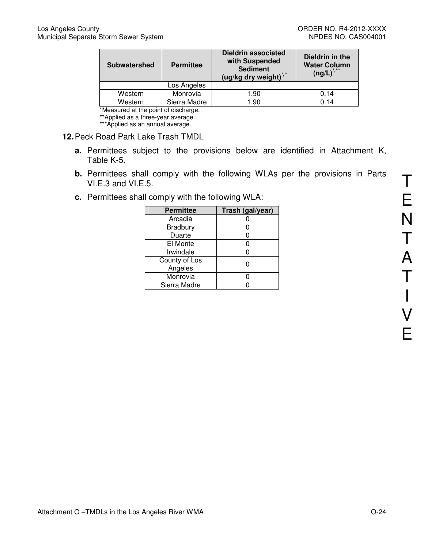| <b>Subwatershed</b> | <b>Permittee</b> | <b>Dieldrin associated</b><br>with Suspended<br><b>Sediment</b><br>(ug/kg dry weight)" | Dieldrin in the<br><b>Water Column</b><br>$(ng/L)^{*,***}$ |
|---------------------|------------------|----------------------------------------------------------------------------------------|------------------------------------------------------------|
|                     | Los Angeles      |                                                                                        |                                                            |
| Western             | Monrovia         | 1.90                                                                                   | 0.14                                                       |
| Western             | Sierra Madre     | 90. ا                                                                                  | 0.14                                                       |

\*Measured at the point of discharge.

\*\*Applied as a three-year average.

\*\*\*Applied as an annual average.

#### **12.** Peck Road Park Lake Trash TMDL

- **a.** Permittees subject to the provisions below are identified in Attachment K, Table K-5.
- **b.** Permittees shall comply with the following WLAs per the provisions in Parts VI.E.3 and VI.E.5.
- **c.** Permittees shall comply with the following WLA:

| <b>Permittee</b>         | Trash (gal/year) |
|--------------------------|------------------|
| Arcadia                  |                  |
| Bradbury                 |                  |
| Duarte                   | 0                |
| El Monte                 |                  |
| Irwindale                |                  |
| County of Los<br>Angeles |                  |
| Monrovia                 |                  |
| Sierra Madre             |                  |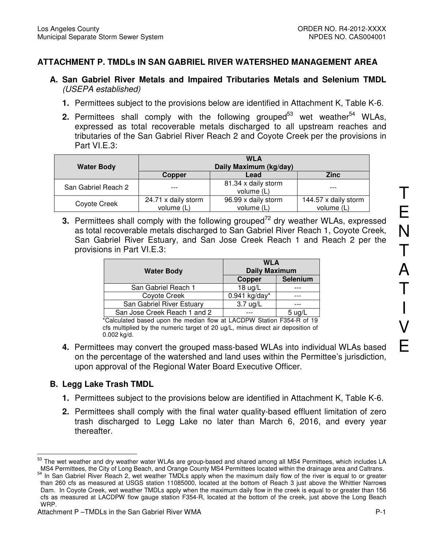# **ATTACHMENT P. TMDLs IN SAN GABRIEL RIVER WATERSHED MANAGEMENT AREA**

- **A. San Gabriel River Metals and Impaired Tributaries Metals and Selenium TMDL**  (USEPA established)
	- **1.** Permittees subject to the provisions below are identified in Attachment K, Table K-6.
	- **2.** Permittees shall comply with the following grouped<sup>53</sup> wet weather<sup>54</sup> WLAs, expressed as total recoverable metals discharged to all upstream reaches and tributaries of the San Gabriel River Reach 2 and Coyote Creek per the provisions in Part VI.E.3:

| <b>Water Body</b>   | <b>WLA</b><br>Daily Maximum (kg/day) |                                   |                                    |
|---------------------|--------------------------------------|-----------------------------------|------------------------------------|
|                     | <b>Copper</b>                        | Lead                              | <b>Zinc</b>                        |
| San Gabriel Reach 2 |                                      | 81.34 x daily storm<br>volume (L) |                                    |
| Coyote Creek        | 24.71 x daily storm<br>volume (L)    | 96.99 x daily storm<br>volume (L) | 144.57 x daily storm<br>volume (L) |

**3.** Permittees shall comply with the following grouped<sup>72</sup> dry weather WLAs, expressed as total recoverable metals discharged to San Gabriel River Reach 1, Coyote Creek, San Gabriel River Estuary, and San Jose Creek Reach 1 and Reach 2 per the provisions in Part VI.E.3:

|                              | <b>WLA</b><br><b>Daily Maximum</b><br><b>Water Body</b> |                 |
|------------------------------|---------------------------------------------------------|-----------------|
|                              |                                                         |                 |
|                              | Copper                                                  | Selenium        |
| San Gabriel Reach 1          | $18 \text{ ug/L}$                                       |                 |
| Coyote Creek                 | 0.941 kg/day*                                           |                 |
| San Gabriel River Estuary    | $3.7 \text{ ug/L}$                                      |                 |
| San Jose Creek Reach 1 and 2 |                                                         | 5 <sub>uq</sub> |

\*Calculated based upon the median flow at LACDPW Station F354-R of 19 cfs multiplied by the numeric target of 20 ug/L, minus direct air deposition of 0.002 kg/d.

**4.** Permittees may convert the grouped mass-based WLAs into individual WLAs based on the percentage of the watershed and land uses within the Permittee's jurisdiction, upon approval of the Regional Water Board Executive Officer.

## **B. Legg Lake Trash TMDL**

- **1.** Permittees subject to the provisions below are identified in Attachment K, Table K-6.
- **2.** Permittees shall comply with the final water quality-based effluent limitation of zero trash discharged to Legg Lake no later than March 6, 2016, and every year thereafter.

 $\overline{a}$ <sup>53</sup> The wet weather and dry weather water WLAs are group-based and shared among all MS4 Permittees, which includes LA MS4 Permittees, the City of Long Beach, and Orange County MS4 Permittees located within the drainage area and Caltrans.

<sup>&</sup>lt;sup>54</sup> In San Gabriel River Reach 2, wet weather TMDLs apply when the maximum daily flow of the river is equal to or greater than 260 cfs as measured at USGS station 11085000, located at the bottom of Reach 3 just above the Whittier Narrows Dam. In Coyote Creek, wet weather TMDLs apply when the maximum daily flow in the creek is equal to or greater than 156 cfs as measured at LACDPW flow gauge station F354-R, located at the bottom of the creek, just above the Long Beach WRP.

Attachment P –TMDLs in the San Gabriel River WMA **P-1** Attachment P –TMDLs in the San Gabriel River WMA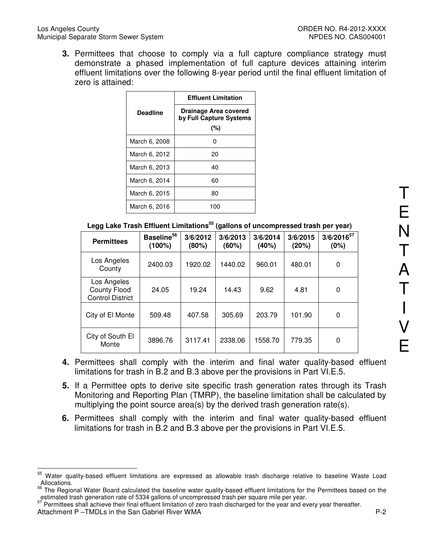**3.** Permittees that choose to comply via a full capture compliance strategy must demonstrate a phased implementation of full capture devices attaining interim effluent limitations over the following 8-year period until the final effluent limitation of zero is attained:

|                 | <b>Effluent Limitation</b>                       |
|-----------------|--------------------------------------------------|
| <b>Deadline</b> | Drainage Area covered<br>by Full Capture Systems |
|                 | (%)                                              |
| March 6, 2008   | n                                                |
| March 6, 2012   | 20                                               |
| March 6, 2013   | 40                                               |
| March 6, 2014   | 60                                               |
| March 6, 2015   | 80                                               |
| March 6, 2016   | 100                                              |

| <b>Permittees</b>                                             | Baseline <sup>56</sup><br>(100%) | 3/6/2012<br>(80%) | 3/6/2013<br>(60%) | 3/6/2014<br>(40%) | 3/6/2015<br>(20%) | $3/6/2016^{57}$<br>(0%) |
|---------------------------------------------------------------|----------------------------------|-------------------|-------------------|-------------------|-------------------|-------------------------|
| Los Angeles<br>County                                         | 2400.03                          | 1920.02           | 1440.02           | 960.01            | 480.01            | 0                       |
| Los Angeles<br><b>County Flood</b><br><b>Control District</b> | 24.05                            | 19.24             | 14.43             | 9.62              | 4.81              | 0                       |
| City of El Monte                                              | 509.48                           | 407.58            | 305.69            | 203.79            | 101.90            | 0                       |
| City of South El<br>Monte                                     | 3896.76                          | 3117.41           | 2338.06           | 1558.70           | 779.35            | 0                       |

- **4.** Permittees shall comply with the interim and final water quality-based effluent limitations for trash in B.2 and B.3 above per the provisions in Part VI.E.5.
- **5.** If a Permittee opts to derive site specific trash generation rates through its Trash Monitoring and Reporting Plan (TMRP), the baseline limitation shall be calculated by multiplying the point source area(s) by the derived trash generation rate(s).
- **6.** Permittees shall comply with the interim and final water quality-based effluent limitations for trash in B.2 and B.3 above per the provisions in Part VI.E.5.

T

E

<sup>55</sup> <sup>55</sup> Water quality-based effluent limitations are expressed as allowable trash discharge relative to baseline Waste Load Allocations.

<sup>56</sup> The Regional Water Board calculated the baseline water quality-based effluent limitations for the Permittees based on the estimated trash generation rate of 5334 gallons of uncompressed trash per square mile per year.

Attachment P –TMDLs in the San Gabriel River WMA **P-2 P-2** <sup>57</sup> Permittees shall achieve their final effluent limitation of zero trash discharged for the year and every year thereafter.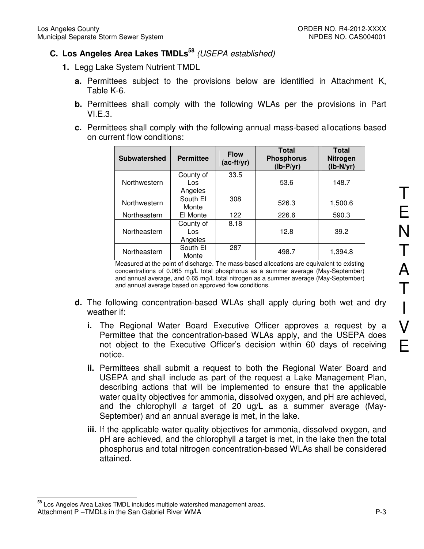# **C. Los Angeles Area Lakes TMDLs<sup>58</sup>** (USEPA established)

- **1.** Legg Lake System Nutrient TMDL
	- **a.** Permittees subject to the provisions below are identified in Attachment K, Table K-6.
	- **b.** Permittees shall comply with the following WLAs per the provisions in Part VI.E.3.
	- **c.** Permittees shall comply with the following annual mass-based allocations based on current flow conditions:

| <b>Subwatershed</b> | <b>Permittee</b>            | <b>Flow</b><br>$(ac-ft/yr)$ | <b>Total</b><br><b>Phosphorus</b><br>$(lb-P/yr)$ | <b>Total</b><br>Nitrogen<br>$(lb-N/yr)$ |
|---------------------|-----------------------------|-----------------------------|--------------------------------------------------|-----------------------------------------|
| Northwestern        | County of<br>Los<br>Angeles | 33.5                        | 53.6                                             | 148.7                                   |
| Northwestern        | South El<br>Monte           | 308                         | 526.3                                            | 1,500.6                                 |
| Northeastern        | El Monte                    | 122                         | 226.6                                            | 590.3                                   |
| Northeastern        | County of<br>Los<br>Angeles | 8.18                        | 12.8                                             | 39.2                                    |
| Northeastern        | South El<br>Monte           | 287                         | 498.7                                            | 1,394.8                                 |

Measured at the point of discharge. The mass-based allocations are equivalent to existing concentrations of 0.065 mg/L total phosphorus as a summer average (May-September) and annual average, and 0.65 mg/L total nitrogen as a summer average (May-September) and annual average based on approved flow conditions.

- **d.** The following concentration-based WLAs shall apply during both wet and dry weather if:
	- **i.** The Regional Water Board Executive Officer approves a request by a Permittee that the concentration-based WLAs apply, and the USEPA does not object to the Executive Officer's decision within 60 days of receiving notice.
	- **ii.** Permittees shall submit a request to both the Regional Water Board and USEPA and shall include as part of the request a Lake Management Plan, describing actions that will be implemented to ensure that the applicable water quality objectives for ammonia, dissolved oxygen, and pH are achieved, and the chlorophyll a target of 20 ug/L as a summer average (May-September) and an annual average is met, in the lake.
	- **iii.** If the applicable water quality objectives for ammonia, dissolved oxygen, and pH are achieved, and the chlorophyll a target is met, in the lake then the total phosphorus and total nitrogen concentration-based WLAs shall be considered attained.

Attachment P –TMDLs in the San Gabriel River WMA **P-3 P-3**  $\overline{a}$  $^{58}$  Los Angeles Area Lakes TMDL includes multiple watershed management areas.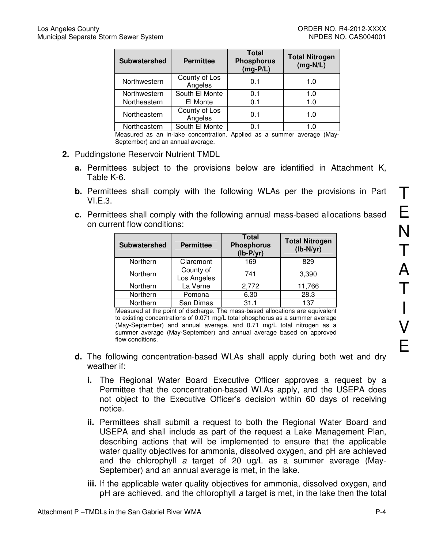| <b>Subwatershed</b> | <b>Permittee</b>         | <b>Total</b><br><b>Phosphorus</b><br>$(mg-P/L)$ | <b>Total Nitrogen</b><br>$(mg-N/L)$ |
|---------------------|--------------------------|-------------------------------------------------|-------------------------------------|
| Northwestern        | County of Los<br>Angeles | 0.1                                             | 1.0                                 |
| Northwestern        | South El Monte           | 0.1                                             | 1.0                                 |
| Northeastern        | El Monte                 | 0.1                                             | 1.0                                 |
| Northeastern        | County of Los<br>Angeles | 0.1                                             | 1.0                                 |
| Northeastern        | South El Monte           | 0 1                                             | 1.0                                 |

Measured as an in-lake concentration. Applied as a summer average (May-September) and an annual average.

- **2.** Puddingstone Reservoir Nutrient TMDL
	- **a.** Permittees subject to the provisions below are identified in Attachment K, Table K-6.
	- **b.** Permittees shall comply with the following WLAs per the provisions in Part VI.E.3.
	- **c.** Permittees shall comply with the following annual mass-based allocations based on current flow conditions:

| <b>Subwatershed</b> | <b>Permittee</b>         | <b>Total</b><br><b>Phosphorus</b><br>$(lb-P/yr)$ | <b>Total Nitrogen</b><br>$(lb-N/yr)$ |
|---------------------|--------------------------|--------------------------------------------------|--------------------------------------|
| Northern            | Claremont                | 169                                              | 829                                  |
| Northern            | County of<br>Los Angeles | 741                                              | 3,390                                |
| Northern            | La Verne                 | 2,772                                            | 11,766                               |
| Northern            | Pomona                   | 6.30                                             | 28.3                                 |
| Northern            | San Dimas                | 31.1                                             | 137                                  |

Measured at the point of discharge. The mass-based allocations are equivalent to existing concentrations of 0.071 mg/L total phosphorus as a summer average (May-September) and annual average, and 0.71 mg/L total nitrogen as a summer average (May-September) and annual average based on approved flow conditions.

- **d.** The following concentration-based WLAs shall apply during both wet and dry weather if:
	- **i.** The Regional Water Board Executive Officer approves a request by a Permittee that the concentration-based WLAs apply, and the USEPA does not object to the Executive Officer's decision within 60 days of receiving notice.
	- **ii.** Permittees shall submit a request to both the Regional Water Board and USEPA and shall include as part of the request a Lake Management Plan, describing actions that will be implemented to ensure that the applicable water quality objectives for ammonia, dissolved oxygen, and pH are achieved and the chlorophyll a target of 20 ug/L as a summer average (May-September) and an annual average is met, in the lake.
	- **iii.** If the applicable water quality objectives for ammonia, dissolved oxygen, and pH are achieved, and the chlorophyll a target is met, in the lake then the total

T

E

N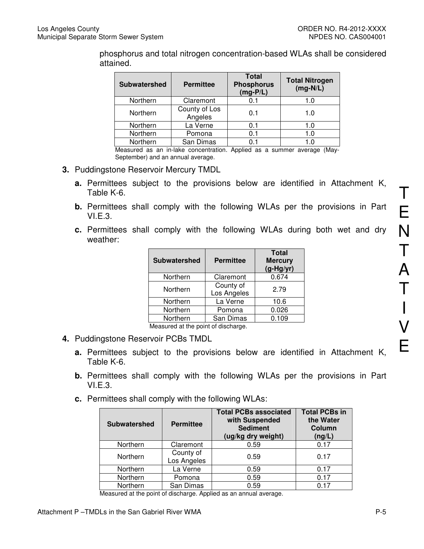phosphorus and total nitrogen concentration-based WLAs shall be considered attained.

| <b>Subwatershed</b> | <b>Permittee</b>         | <b>Total</b><br><b>Phosphorus</b><br>$(mg-P/L)$ | <b>Total Nitrogen</b><br>$(mg-N/L)$ |
|---------------------|--------------------------|-------------------------------------------------|-------------------------------------|
| Northern            | Claremont                | 0.1                                             | 1.0                                 |
| Northern            | County of Los<br>Angeles | 0.1                                             | 1.0                                 |
| Northern            | La Verne                 | 0.1                                             | 1.0                                 |
| Northern            | Pomona                   | 0.1                                             | 1.0                                 |
| Northern            | San Dimas                | 0.1                                             | 1.0                                 |

Measured as an in-lake concentration. Applied as a summer average (May-September) and an annual average.

- **3.** Puddingstone Reservoir Mercury TMDL
	- **a.** Permittees subject to the provisions below are identified in Attachment K, Table K-6.
	- **b.** Permittees shall comply with the following WLAs per the provisions in Part  $VLE.3.$
	- **c.** Permittees shall comply with the following WLAs during both wet and dry weather:

| <b>Subwatershed</b> | <b>Permittee</b>         | <b>Total</b><br><b>Mercury</b><br>$(g-Hg/yr)$ |
|---------------------|--------------------------|-----------------------------------------------|
| Northern            | Claremont                | 0.674                                         |
| Northern            | County of<br>Los Angeles | 2.79                                          |
| Northern            | La Verne                 | 10.6                                          |
| Northern            | Pomona                   | 0.026                                         |
| Northern            | San Dimas                | 0.109                                         |

Measured at the point of discharge.

- **4.** Puddingstone Reservoir PCBs TMDL
	- **a.** Permittees subject to the provisions below are identified in Attachment K, Table K-6.
	- **b.** Permittees shall comply with the following WLAs per the provisions in Part VI.E.3.
	- **c.** Permittees shall comply with the following WLAs:

| <b>Subwatershed</b> | <b>Permittee</b>         | <b>Total PCBs associated</b><br>with Suspended<br><b>Sediment</b><br>(ug/kg dry weight) | <b>Total PCBs in</b><br>the Water<br><b>Column</b><br>(ng/L) |
|---------------------|--------------------------|-----------------------------------------------------------------------------------------|--------------------------------------------------------------|
| Northern            | Claremont                | 0.59                                                                                    | 0.17                                                         |
| Northern            | County of<br>Los Angeles | 0.59                                                                                    | 0.17                                                         |
| Northern            | La Verne                 | 0.59                                                                                    | 0.17                                                         |
| Northern            | Pomona                   | 0.59                                                                                    | 0.17                                                         |
| Northern            | San Dimas                | 0.59                                                                                    | 0.17                                                         |

Measured at the point of discharge. Applied as an annual average.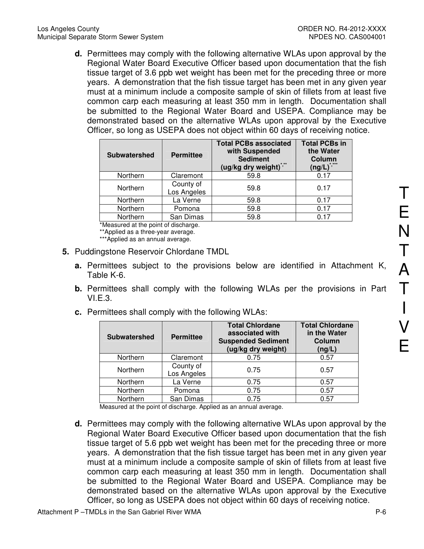**d.** Permittees may comply with the following alternative WLAs upon approval by the Regional Water Board Executive Officer based upon documentation that the fish tissue target of 3.6 ppb wet weight has been met for the preceding three or more years. A demonstration that the fish tissue target has been met in any given year must at a minimum include a composite sample of skin of fillets from at least five common carp each measuring at least 350 mm in length. Documentation shall be submitted to the Regional Water Board and USEPA. Compliance may be demonstrated based on the alternative WLAs upon approval by the Executive Officer, so long as USEPA does not object within 60 days of receiving notice.

| <b>Subwatershed</b> | <b>Permittee</b>         | <b>Total PCBs associated</b><br>with Suspended<br><b>Sediment</b><br>(ug/kg dry weight) <sup>2</sup> | <b>Total PCBs in</b><br>the Water<br>Column<br>$($ ng/L $)$ |
|---------------------|--------------------------|------------------------------------------------------------------------------------------------------|-------------------------------------------------------------|
| Northern            | Claremont                | 59.8                                                                                                 | 0.17                                                        |
| Northern            | County of<br>Los Angeles | 59.8                                                                                                 | 0.17                                                        |
| Northern            | La Verne                 | 59.8                                                                                                 | 0.17                                                        |
| Northern            | Pomona                   | 59.8                                                                                                 | 0.17                                                        |
| Northern            | San Dimas                | 59.8                                                                                                 | በ 17                                                        |

\*Measured at the point of discharge.

\*\*Applied as a three-year average.

\*\*\*Applied as an annual average.

- **5.** Puddingstone Reservoir Chlordane TMDL
	- **a.** Permittees subject to the provisions below are identified in Attachment K, Table K-6.
	- **b.** Permittees shall comply with the following WLAs per the provisions in Part VI.E.3.
	- **c.** Permittees shall comply with the following WLAs:

| <b>Subwatershed</b> | <b>Permittee</b>         | <b>Total Chlordane</b><br>associated with<br><b>Suspended Sediment</b><br>(ug/kg dry weight) | <b>Total Chlordane</b><br>in the Water<br>Column<br>(ng/L) |
|---------------------|--------------------------|----------------------------------------------------------------------------------------------|------------------------------------------------------------|
| Northern            | Claremont                | 0.75                                                                                         | 0.57                                                       |
| Northern            | County of<br>Los Angeles | 0.75                                                                                         | 0.57                                                       |
| Northern            | La Verne                 | 0.75                                                                                         | 0.57                                                       |
| Northern            | Pomona                   | 0.75                                                                                         | 0.57                                                       |
| Northern            | San Dimas                | 0.75                                                                                         | 0.57                                                       |

Measured at the point of discharge. Applied as an annual average.

**d.** Permittees may comply with the following alternative WLAs upon approval by the Regional Water Board Executive Officer based upon documentation that the fish tissue target of 5.6 ppb wet weight has been met for the preceding three or more years. A demonstration that the fish tissue target has been met in any given year must at a minimum include a composite sample of skin of fillets from at least five common carp each measuring at least 350 mm in length. Documentation shall be submitted to the Regional Water Board and USEPA. Compliance may be demonstrated based on the alternative WLAs upon approval by the Executive Officer, so long as USEPA does not object within 60 days of receiving notice.

T

E

N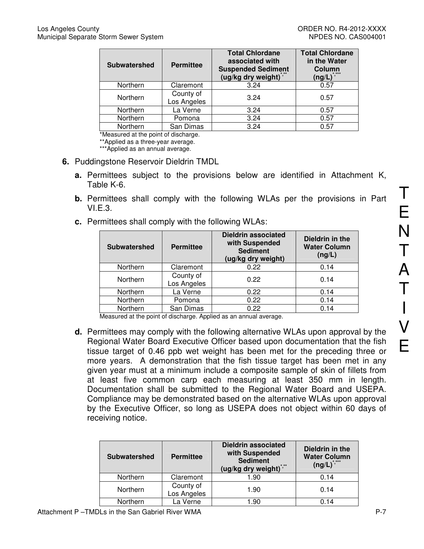| <b>Subwatershed</b> | <b>Permittee</b>         | <b>Total Chlordane</b><br>associated with<br><b>Suspended Sediment</b><br>(ug/kg dry weight) | <b>Total Chlordane</b><br>in the Water<br>Column<br>* ***<br>$(ng/L)^{n}$ |
|---------------------|--------------------------|----------------------------------------------------------------------------------------------|---------------------------------------------------------------------------|
| Northern            | Claremont                | 3.24                                                                                         | 0.57                                                                      |
| Northern            | County of<br>Los Angeles | 3.24                                                                                         | 0.57                                                                      |
| Northern            | La Verne                 | 3.24                                                                                         | 0.57                                                                      |
| Northern            | Pomona                   | 3.24                                                                                         | 0.57                                                                      |
| Northern            | San Dimas                | 3.24                                                                                         | 0.57                                                                      |

\*Measured at the point of discharge.

\*\*Applied as a three-year average.

\*\*\*Applied as an annual average.

- **6.** Puddingstone Reservoir Dieldrin TMDL
	- **a.** Permittees subject to the provisions below are identified in Attachment K, Table K-6.
	- **b.** Permittees shall comply with the following WLAs per the provisions in Part VI.E.3.
	- **c.** Permittees shall comply with the following WLAs:

| <b>Subwatershed</b> | <b>Dieldrin associated</b><br>with Suspended<br><b>Permittee</b><br><b>Sediment</b><br>(ug/kg dry weight) |      | Dieldrin in the<br><b>Water Column</b><br>(ng/L) |  |
|---------------------|-----------------------------------------------------------------------------------------------------------|------|--------------------------------------------------|--|
| Northern            | Claremont                                                                                                 | 0.22 | 0.14                                             |  |
| Northern            | County of<br>Los Angeles                                                                                  | 0.22 | 0.14                                             |  |
| Northern            | La Verne                                                                                                  | 0.22 | 0.14                                             |  |
| Northern            | Pomona                                                                                                    | 0.22 | 0.14                                             |  |
| Northern            | San Dimas                                                                                                 | 0.22 | 0.14                                             |  |

Measured at the point of discharge. Applied as an annual average.

**d.** Permittees may comply with the following alternative WLAs upon approval by the Regional Water Board Executive Officer based upon documentation that the fish tissue target of 0.46 ppb wet weight has been met for the preceding three or more years. A demonstration that the fish tissue target has been met in any given year must at a minimum include a composite sample of skin of fillets from at least five common carp each measuring at least 350 mm in length. Documentation shall be submitted to the Regional Water Board and USEPA. Compliance may be demonstrated based on the alternative WLAs upon approval by the Executive Officer, so long as USEPA does not object within 60 days of receiving notice.

| <b>Subwatershed</b>  | <b>Permittee</b>         | <b>Dieldrin associated</b><br>with Suspended<br><b>Sediment</b><br>(ug/kg dry weight)*,** | Dieldrin in the<br><b>Water Column</b><br>$(ng/L)^{7}$ |  |
|----------------------|--------------------------|-------------------------------------------------------------------------------------------|--------------------------------------------------------|--|
| Northern             | Claremont                | 1.90                                                                                      | 0.14                                                   |  |
| Northern             | County of<br>Los Angeles | 1.90                                                                                      | 0.14                                                   |  |
| La Verne<br>Northern |                          | 1.90                                                                                      | 0.14                                                   |  |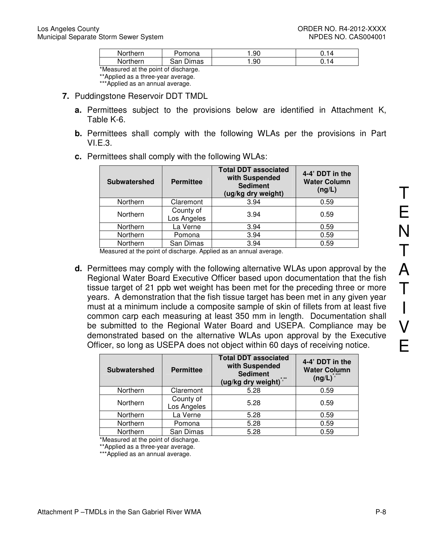| <b>Northern</b> | 'omona       | .90 |  |
|-----------------|--------------|-----|--|
| Northern        | Dimas<br>san | .90 |  |
|                 |              |     |  |

\*Measured at the point of discharge.

\*\*Applied as a three-year average.

- \*\*\*Applied as an annual average.
- **7.** Puddingstone Reservoir DDT TMDL
	- **a.** Permittees subject to the provisions below are identified in Attachment K, Table K-6.
	- **b.** Permittees shall comply with the following WLAs per the provisions in Part  $VLE.3.$

| <b>Subwatershed</b> | <b>Permittee</b>         | <b>Total DDT associated</b><br>with Suspended<br><b>Sediment</b><br>(ug/kg dry weight) | 4-4' DDT in the<br><b>Water Column</b><br>(ng/L) |
|---------------------|--------------------------|----------------------------------------------------------------------------------------|--------------------------------------------------|
| Northern            | Claremont                | 3.94                                                                                   | 0.59                                             |
| Northern            | County of<br>Los Angeles | 3.94                                                                                   | 0.59                                             |
| Northern            | La Verne                 | 3.94                                                                                   | 0.59                                             |
| Northern            | Pomona                   | 3.94                                                                                   | 0.59                                             |
| Northern            | San Dimas<br>.           | 3.94<br>.                                                                              | 0.59                                             |

**c.** Permittees shall comply with the following WLAs:

Measured at the point of discharge. Applied as an annual average.

**d.** Permittees may comply with the following alternative WLAs upon approval by the Regional Water Board Executive Officer based upon documentation that the fish tissue target of 21 ppb wet weight has been met for the preceding three or more years. A demonstration that the fish tissue target has been met in any given year must at a minimum include a composite sample of skin of fillets from at least five common carp each measuring at least 350 mm in length. Documentation shall be submitted to the Regional Water Board and USEPA. Compliance may be demonstrated based on the alternative WLAs upon approval by the Executive Officer, so long as USEPA does not object within 60 days of receiving notice.

| <b>Subwatershed</b> | <b>Permittee</b>         | <b>Total DDT associated</b><br>with Suspended<br><b>Sediment</b><br>(ug/kg dry weight)*,** | 4-4' DDT in the<br><b>Water Column</b><br>$(ng/L)^{\hat{}}$ |  |
|---------------------|--------------------------|--------------------------------------------------------------------------------------------|-------------------------------------------------------------|--|
| Northern            | Claremont                | 5.28                                                                                       | 0.59                                                        |  |
| Northern            | County of<br>Los Angeles | 5.28                                                                                       | 0.59                                                        |  |
| Northern            | La Verne                 | 5.28                                                                                       | 0.59                                                        |  |
| Northern            | Pomona                   | 5.28                                                                                       | 0.59                                                        |  |
| Northern            | San Dimas                | 5.28                                                                                       | 0.59                                                        |  |

\*Measured at the point of discharge.

\*\*\*Applied as an annual average.

<sup>\*\*</sup>Applied as a three-year average.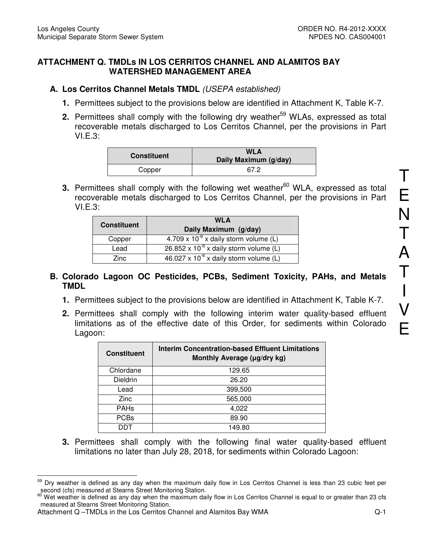#### **ATTACHMENT Q. TMDLs IN LOS CERRITOS CHANNEL AND ALAMITOS BAY WATERSHED MANAGEMENT AREA**

### **A. Los Cerritos Channel Metals TMDL** (USEPA established)

- **1.** Permittees subject to the provisions below are identified in Attachment K, Table K-7.
- **2.** Permittees shall comply with the following dry weather<sup>59</sup> WLAs, expressed as total recoverable metals discharged to Los Cerritos Channel, per the provisions in Part VI.E.3:

| <b>Constituent</b> | <b>WLA</b><br>Daily Maximum (g/day) |  |
|--------------------|-------------------------------------|--|
| Copper             | 67 2                                |  |

**3.** Permittees shall comply with the following wet weather<sup>60</sup> WLA, expressed as total recoverable metals discharged to Los Cerritos Channel, per the provisions in Part VI.E.3:

|                    | <b>WLA</b>                                       |
|--------------------|--------------------------------------------------|
| <b>Constituent</b> | Daily Maximum (g/day)                            |
| Copper             | $4.709 \times 10^{-6}$ x daily storm volume (L)  |
| Lead               | $26.852 \times 10^{-6}$ x daily storm volume (L) |
| Zinc.              | $46.027 \times 10^{-6}$ x daily storm volume (L) |

#### **B. Colorado Lagoon OC Pesticides, PCBs, Sediment Toxicity, PAHs, and Metals TMDL**

- **1.** Permittees subject to the provisions below are identified in Attachment K, Table K-7.
- **2.** Permittees shall comply with the following interim water quality-based effluent limitations as of the effective date of this Order, for sediments within Colorado Lagoon:

| <b>Constituent</b> | Interim Concentration-based Effluent Limitations<br>Monthly Average (µg/dry kg) |  |
|--------------------|---------------------------------------------------------------------------------|--|
| Chlordane          | 129.65                                                                          |  |
| Dieldrin           | 26.20                                                                           |  |
| Lead               | 399,500                                                                         |  |
| <b>Zinc</b>        | 565,000                                                                         |  |
| <b>PAHs</b>        | 4,022                                                                           |  |
| <b>PCBs</b>        | 89.90                                                                           |  |
|                    | 149.80                                                                          |  |

**3.** Permittees shall comply with the following final water quality-based effluent limitations no later than July 28, 2018, for sediments within Colorado Lagoon:

 $\overline{a}$ <sup>59</sup> Dry weather is defined as any day when the maximum daily flow in Los Cerritos Channel is less than 23 cubic feet per second (cfs) measured at Stearns Street Monitoring Station.

<sup>&</sup>lt;sup>60</sup> Wet weather is defined as any day when the maximum daily flow in Los Cerritos Channel is equal to or greater than 23 cfs measured at Stearns Street Monitoring Station.

Attachment Q –TMDLs in the Los Cerritos Channel and Alamitos Bay WMA Q-1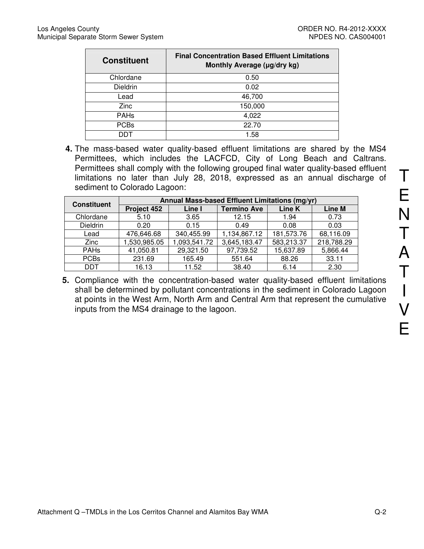| <b>Constituent</b> | <b>Final Concentration Based Effluent Limitations</b><br>Monthly Average (µg/dry kg) |
|--------------------|--------------------------------------------------------------------------------------|
| Chlordane          | 0.50                                                                                 |
| <b>Dieldrin</b>    | 0.02                                                                                 |
| Lead               | 46,700                                                                               |
| Zinc               | 150,000                                                                              |
| <b>PAHs</b>        | 4,022                                                                                |
| <b>PCBs</b>        | 22.70                                                                                |
| דחח                | 1.58                                                                                 |

**4.** The mass-based water quality-based effluent limitations are shared by the MS4 Permittees, which includes the LACFCD, City of Long Beach and Caltrans. Permittees shall comply with the following grouped final water quality-based effluent limitations no later than July 28, 2018, expressed as an annual discharge of sediment to Colorado Lagoon:

| <b>Constituent</b> | Annual Mass-based Effluent Limitations (mg/yr) |              |                    |            |            |
|--------------------|------------------------------------------------|--------------|--------------------|------------|------------|
|                    | Project 452                                    | Line I       | <b>Termino Ave</b> | Line K     | Line M     |
| Chlordane          | 5.10                                           | 3.65         | 12.15              | 1.94       | 0.73       |
| Dieldrin           | 0.20                                           | 0.15         | 0.49               | 0.08       | 0.03       |
| Lead               | 476,646.68                                     | 340,455.99   | 1,134,867.12       | 181,573.76 | 68,116.09  |
| Zinc               | 1,530,985.05                                   | 1,093,541.72 | 3,645,183.47       | 583,213.37 | 218,788.29 |
| <b>PAHs</b>        | 41,050.81                                      | 29,321.50    | 97,739.52          | 15,637.89  | 5,866.44   |
| <b>PCBs</b>        | 231.69                                         | 165.49       | 551.64             | 88.26      | 33.11      |
| DDT                | 16.13                                          | 11.52        | 38.40              | 6.14       | 2.30       |

**5.** Compliance with the concentration-based water quality-based effluent limitations shall be determined by pollutant concentrations in the sediment in Colorado Lagoon at points in the West Arm, North Arm and Central Arm that represent the cumulative inputs from the MS4 drainage to the lagoon.